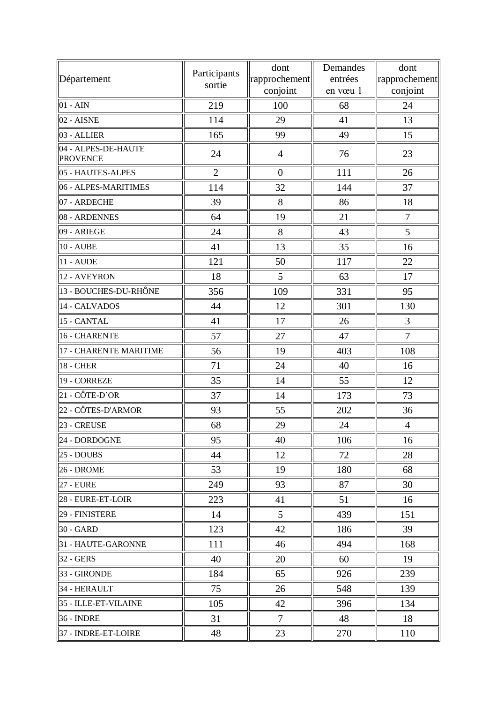| Département                            | Participants   | dont<br>rapprochement | Demandes<br>entrées | dont<br>rapprochement |
|----------------------------------------|----------------|-----------------------|---------------------|-----------------------|
|                                        | sortie         | conjoint              | en vœu 1            | conjoint              |
| $01 - AIN$                             | 219            | 100                   | 68                  | 24                    |
| 02 - AISNE                             | 114            | 29                    | 41                  | 13                    |
| 03 - ALLIER                            | 165            | 99                    | 49                  | 15                    |
| 04 - ALPES-DE-HAUTE<br><b>PROVENCE</b> | 24             | $\overline{4}$        | 76                  | 23                    |
| 05 - HAUTES-ALPES                      | $\overline{2}$ | $\overline{0}$        | 111                 | 26                    |
| 06 - ALPES-MARITIMES                   | 114            | 32                    | 144                 | 37                    |
| 07 - ARDECHE                           | 39             | 8                     | 86                  | 18                    |
| 08 - ARDENNES                          | 64             | 19                    | 21                  | $\boldsymbol{7}$      |
| 09 - ARIEGE                            | 24             | 8                     | 43                  | 5                     |
| <b>10 - AUBE</b>                       | 41             | 13                    | 35                  | 16                    |
| <b>11 - AUDE</b>                       | 121            | 50                    | 117                 | 22                    |
| 12 - AVEYRON                           | 18             | 5                     | 63                  | 17                    |
| 13 - BOUCHES-DU-RHÔNE                  | 356            | 109                   | 331                 | 95                    |
| 14 - CALVADOS                          | 44             | 12                    | 301                 | 130                   |
| 15 - CANTAL                            | 41             | 17                    | 26                  | 3                     |
| 16 - CHARENTE                          | 57             | 27                    | 47                  | $\tau$                |
| 17 - CHARENTE MARITIME                 | 56             | 19                    | 403                 | 108                   |
| <b>18 - CHER</b>                       | 71             | 24                    | 40                  | 16                    |
| 19 - CORREZE                           | 35             | 14                    | 55                  | 12                    |
| 21 - CÔTE-D'OR                         | 37             | 14                    | 173                 | 73                    |
| 22 - CÔTES-D'ARMOR                     | 93             | 55                    | 202                 | 36                    |
| 23 - CREUSE                            | 68             | 29                    | 24                  | $\overline{4}$        |
| 24 - DORDOGNE                          | 95             | 40                    | 106                 | 16                    |
| 25 - DOUBS                             | 44             | 12                    | 72                  | 28                    |
| 26 - DROME                             | 53             | 19                    | 180                 | 68                    |
| <b>27 - EURE</b>                       | 249            | 93                    | 87                  | 30                    |
| 28 - EURE-ET-LOIR                      | 223            | 41                    | 51                  | 16                    |
| 29 - FINISTERE                         | 14             | 5                     | 439                 | 151                   |
| 30 - GARD                              | 123            | 42                    | 186                 | 39                    |
| 31 - HAUTE-GARONNE                     | 111            | 46                    | 494                 | 168                   |
| 32 - GERS                              | 40             | 20                    | 60                  | 19                    |
| 33 - GIRONDE                           | 184            | 65                    | 926                 | 239                   |
| 34 - HERAULT                           | 75             | 26                    | 548                 | 139                   |
| 35 - ILLE-ET-VILAINE                   | 105            | 42                    | 396                 | 134                   |
| <b>36 - INDRE</b>                      | 31             | $\tau$                | 48                  | 18                    |
| 37 - INDRE-ET-LOIRE                    | 48             | 23                    | 270                 | 110                   |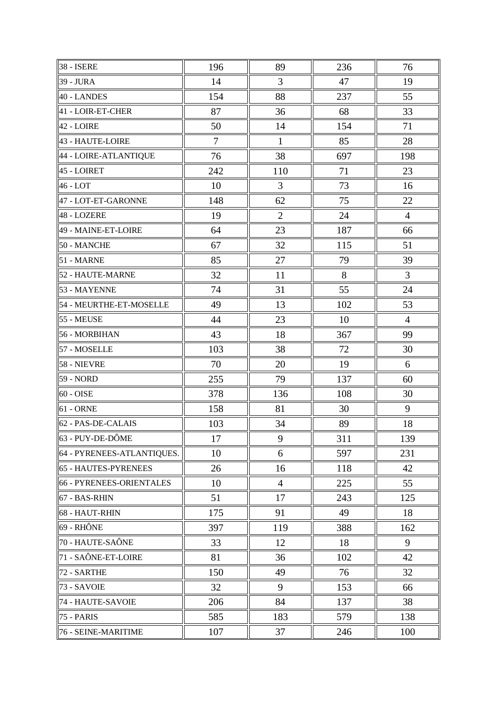| <b>38 - ISERE</b>          | 196 | 89             | 236 | 76             |
|----------------------------|-----|----------------|-----|----------------|
| 39 - JURA                  | 14  | 3              | 47  | 19             |
| 40 - LANDES                | 154 | 88             | 237 | 55             |
| 41 - LOIR-ET-CHER          | 87  | 36             | 68  | 33             |
| 42 - LOIRE                 | 50  | 14             | 154 | 71             |
| 43 - HAUTE-LOIRE           | 7   | $\mathbf{1}$   | 85  | 28             |
| 44 - LOIRE-ATLANTIQUE      | 76  | 38             | 697 | 198            |
| 45 - LOIRET                | 242 | 110            | 71  | 23             |
| 46 - LOT                   | 10  | 3              | 73  | 16             |
| 47 - LOT-ET-GARONNE        | 148 | 62             | 75  | 22             |
| 48 - LOZERE                | 19  | $\overline{2}$ | 24  | $\overline{4}$ |
| 49 - MAINE-ET-LOIRE        | 64  | 23             | 187 | 66             |
| 50 - MANCHE                | 67  | 32             | 115 | 51             |
| 51 - MARNE                 | 85  | 27             | 79  | 39             |
| 52 - HAUTE-MARNE           | 32  | 11             | 8   | 3              |
| 53 - MAYENNE               | 74  | 31             | 55  | 24             |
| 54 - MEURTHE-ET-MOSELLE    | 49  | 13             | 102 | 53             |
| 55 - MEUSE                 | 44  | 23             | 10  | $\overline{4}$ |
| 56 - MORBIHAN              | 43  | 18             | 367 | 99             |
| 57 - MOSELLE               | 103 | 38             | 72  | 30             |
| 58 - NIEVRE                | 70  | 20             | 19  | 6              |
| 59 - NORD                  | 255 | 79             | 137 | 60             |
| 60 - OISE                  | 378 | 136            | 108 | 30             |
| $61 - ORNE$                | 158 | 81             | 30  | 9              |
| 62 - PAS-DE-CALAIS         | 103 | 34             | 89  | 18             |
| $63 - PUY-DE-DÔME$         | 17  | 9              | 311 | 139            |
| 64 - PYRENEES-ATLANTIQUES. | 10  | 6              | 597 | 231            |
| 65 - HAUTES-PYRENEES       | 26  | 16             | 118 | 42             |
| 66 - PYRENEES-ORIENTALES   | 10  | $\overline{4}$ | 225 | 55             |
| 67 - BAS-RHIN              | 51  | 17             | 243 | 125            |
| 68 - HAUT-RHIN             | 175 | 91             | 49  | 18             |
| 69 - RHÔNE                 | 397 | 119            | 388 | 162            |
| 70 - HAUTE-SAÔNE           | 33  | 12             | 18  | 9              |
| 71 - SAÔNE-ET-LOIRE        | 81  | 36             | 102 | 42             |
| 72 - SARTHE                | 150 | 49             | 76  | 32             |
| 73 - SAVOIE                | 32  | 9              | 153 | 66             |
| 74 - HAUTE-SAVOIE          | 206 | 84             | 137 | 38             |
| 75 - PARIS                 | 585 | 183            | 579 | 138            |
| 76 - SEINE-MARITIME        | 107 | 37             | 246 | 100            |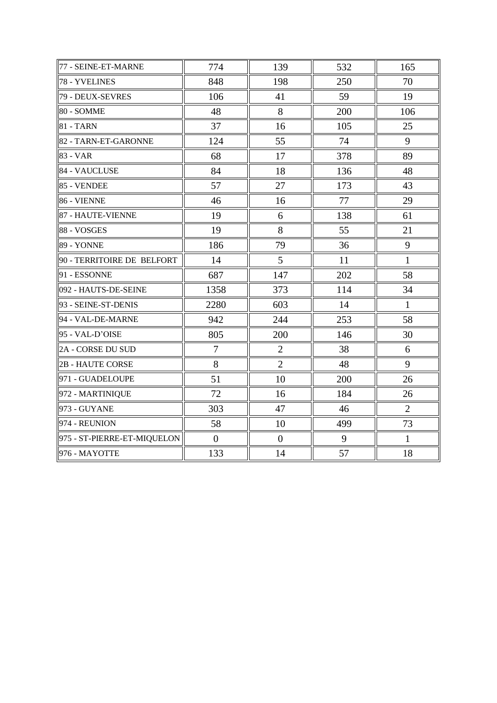| 77 - SEINE-ET-MARNE         | 774            | 139            | 532 | 165            |
|-----------------------------|----------------|----------------|-----|----------------|
| 78 - YVELINES               | 848            | 198            | 250 | 70             |
| 79 - DEUX-SEVRES            | 106            | 41             | 59  | 19             |
| 80 - SOMME                  | 48             | 8              | 200 | 106            |
| $81 - TARN$                 | 37             | 16             | 105 | 25             |
| 82 - TARN-ET-GARONNE        | 124            | 55             | 74  | 9              |
| $83 - VAR$                  | 68             | 17             | 378 | 89             |
| 84 - VAUCLUSE               | 84             | 18             | 136 | 48             |
| $85 - VENDEE$               | 57             | 27             | 173 | 43             |
| 86 - VIENNE                 | 46             | 16             | 77  | 29             |
| 87 - HAUTE-VIENNE           | 19             | 6              | 138 | 61             |
| 88 - VOSGES                 | 19             | 8              | 55  | 21             |
| 89 - YONNE                  | 186            | 79             | 36  | 9              |
| 90 - TERRITOIRE DE BELFORT  | 14             | $\mathfrak{S}$ | 11  | $\mathbf{1}$   |
| 91 - ESSONNE                | 687            | 147            | 202 | 58             |
| 092 - HAUTS-DE-SEINE        | 1358           | 373            | 114 | 34             |
| 93 - SEINE-ST-DENIS         | 2280           | 603            | 14  | $\mathbf{1}$   |
| 94 - VAL-DE-MARNE           | 942            | 244            | 253 | 58             |
| 95 - VAL-D'OISE             | 805            | 200            | 146 | 30             |
| 2A - CORSE DU SUD           | $\tau$         | $\overline{2}$ | 38  | 6              |
| <b>2B - HAUTE CORSE</b>     | 8              | $\overline{2}$ | 48  | 9              |
| 971 - GUADELOUPE            | 51             | 10             | 200 | 26             |
| 972 - MARTINIQUE            | 72             | 16             | 184 | 26             |
| 973 - GUYANE                | 303            | 47             | 46  | $\overline{2}$ |
| $ 974 - REUNION$            | 58             | 10             | 499 | 73             |
| 975 - ST-PIERRE-ET-MIQUELON | $\overline{0}$ | $\overline{0}$ | 9   | $\mathbf{1}$   |
| 976 - MAYOTTE               | 133            | 14             | 57  | 18             |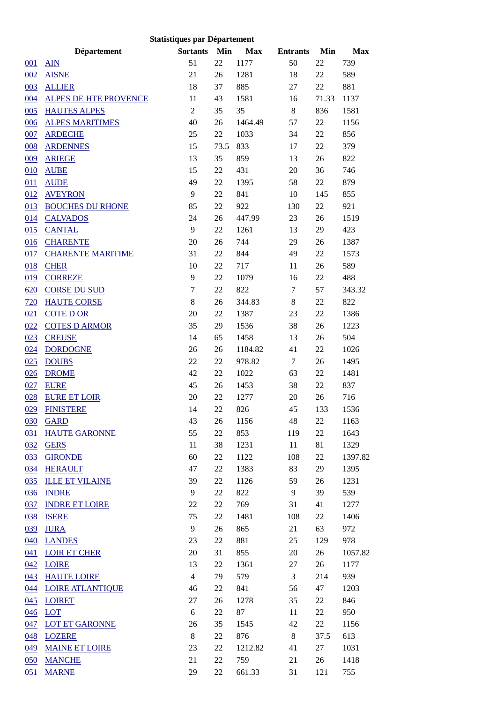| <b>Statistiques par Département</b> |                              |                  |        |            |                  |       |            |  |
|-------------------------------------|------------------------------|------------------|--------|------------|------------------|-------|------------|--|
|                                     | Département                  | <b>Sortants</b>  | Min    | <b>Max</b> | <b>Entrants</b>  | Min   | <b>Max</b> |  |
| 001                                 | <b>AIN</b>                   | 51               | 22     | 1177       | 50               | 22    | 739        |  |
| 002                                 | <b>AISNE</b>                 | 21               | 26     | 1281       | 18               | 22    | 589        |  |
| 003                                 | <b>ALLIER</b>                | 18               | 37     | 885        | 27               | 22    | 881        |  |
| 004                                 | <b>ALPES DE HTE PROVENCE</b> | 11               | 43     | 1581       | 16               | 71.33 | 1137       |  |
| 005                                 | <b>HAUTES ALPES</b>          | $\overline{2}$   | 35     | 35         | $\,8\,$          | 836   | 1581       |  |
| 006                                 | <b>ALPES MARITIMES</b>       | 40               | 26     | 1464.49    | 57               | 22    | 1156       |  |
| 007                                 | <b>ARDECHE</b>               | 25               | 22     | 1033       | 34               | 22    | 856        |  |
| 008                                 | <b>ARDENNES</b>              | 15               | 73.5   | 833        | 17               | 22    | 379        |  |
| 009                                 | <b>ARIEGE</b>                | 13               | 35     | 859        | 13               | 26    | 822        |  |
| 010                                 | <b>AUBE</b>                  | 15               | 22     | 431        | 20               | 36    | 746        |  |
| 011                                 | <b>AUDE</b>                  | 49               | 22     | 1395       | 58               | 22    | 879        |  |
| 012                                 | <b>AVEYRON</b>               | 9                | 22     | 841        | 10               | 145   | 855        |  |
| 013                                 | <b>BOUCHES DU RHONE</b>      | 85               | 22     | 922        | 130              | 22    | 921        |  |
| 014                                 | <b>CALVADOS</b>              | 24               | 26     | 447.99     | 23               | 26    | 1519       |  |
| 015                                 | <b>CANTAL</b>                | 9                | 22     | 1261       | 13               | 29    | 423        |  |
| 016                                 | <b>CHARENTE</b>              | 20               | 26     | 744        | 29               | 26    | 1387       |  |
| 017                                 | <b>CHARENTE MARITIME</b>     | 31               | 22     | 844        | 49               | 22    | 1573       |  |
| 018                                 | <b>CHER</b>                  | 10               | 22     | 717        | 11               | 26    | 589        |  |
| 019                                 | <b>CORREZE</b>               | 9                | 22     | 1079       | 16               | 22    | 488        |  |
| 620                                 | <b>CORSE DU SUD</b>          | $\boldsymbol{7}$ | 22     | 822        | $\boldsymbol{7}$ | 57    | 343.32     |  |
| 720                                 | <b>HAUTE CORSE</b>           | $\,8\,$          | 26     | 344.83     | $8\,$            | 22    | 822        |  |
| 021                                 | <b>COTED OR</b>              | 20               | 22     | 1387       | 23               | 22    | 1386       |  |
| 022                                 | <b>COTES D ARMOR</b>         | 35               | 29     | 1536       | 38               | 26    | 1223       |  |
| 023                                 | <b>CREUSE</b>                | 14               | 65     | 1458       | 13               | 26    | 504        |  |
| 024                                 | <b>DORDOGNE</b>              | 26               | 26     | 1184.82    | 41               | 22    | 1026       |  |
| 025                                 | <b>DOUBS</b>                 | 22               | 22     | 978.82     | 7                | 26    | 1495       |  |
| 026                                 | <b>DROME</b>                 | 42               | 22     | 1022       | 63               | 22    | 1481       |  |
| 027                                 | <b>EURE</b>                  | 45               | 26     | 1453       | 38               | 22    | 837        |  |
| 028                                 | <b>EURE ET LOIR</b>          | 20               | 22     | 1277       | 20               | 26    | 716        |  |
|                                     | 029 FINISTERE                | 14               | $22\,$ | 826        | 45               | 133   | 1536       |  |
|                                     | 030 GARD                     | 43               | 26     | 1156       | 48               | 22    | 1163       |  |
|                                     | 031 HAUTE GARONNE            | 55               | 22     | 853        | 119              | 22    | 1643       |  |
| 032                                 | <b>GERS</b>                  | 11               | 38     | 1231       | 11               | 81    | 1329       |  |
| 033                                 | <b>GIRONDE</b>               | 60               | 22     | 1122       | 108              | 22    | 1397.82    |  |
| 034                                 | <b>HERAULT</b>               | 47               | 22     | 1383       | 83               | 29    | 1395       |  |
| 035                                 | <b>ILLE ET VILAINE</b>       | 39               | 22     | 1126       | 59               | 26    | 1231       |  |
| 036                                 | <b>INDRE</b>                 | 9                | 22     | 822        | 9                | 39    | 539        |  |
| 037                                 | <b>INDRE ET LOIRE</b>        | 22               | 22     | 769        | 31               | 41    | 1277       |  |
| 038                                 | <b>ISERE</b>                 | 75               | 22     | 1481       | 108              | 22    | 1406       |  |
| 039                                 | <b>JURA</b>                  | 9                | 26     | 865        | 21               | 63    | 972        |  |
|                                     | 040 LANDES                   | 23               | 22     | 881        | 25               | 129   | 978        |  |
|                                     | 041 LOIR ET CHER             | 20               | 31     | 855        | 20               | 26    | 1057.82    |  |
| 042                                 | LOIRE                        | 13               | 22     | 1361       | 27               | 26    | 1177       |  |
| 043                                 | <b>HAUTE LOIRE</b>           | $\overline{4}$   | 79     | 579        | $\mathfrak{Z}$   | 214   | 939        |  |
|                                     | 044 LOIRE ATLANTIQUE         | 46               | 22     | 841        | 56               | 47    | 1203       |  |
| 045                                 | <b>LOIRET</b>                | 27               | 26     | 1278       | 35               | 22    | 846        |  |
| 046                                 | <b>LOT</b>                   | 6                | 22     | 87         | 11               | 22    | 950        |  |
| 047                                 | <b>LOT ET GARONNE</b>        | 26               | 35     | 1545       | 42               | 22    | 1156       |  |
| 048                                 | <b>LOZERE</b>                | 8                | 22     | 876        | $\,8\,$          | 37.5  | 613        |  |
|                                     | 049 MAINE ET LOIRE           | 23               | 22     | 1212.82    | 41               | 27    | 1031       |  |
|                                     | 050 MANCHE                   | 21               | 22     | 759        | 21               | 26    | 1418       |  |
| 051                                 | <b>MARNE</b>                 | 29               | 22     | 661.33     | 31               | 121   | 755        |  |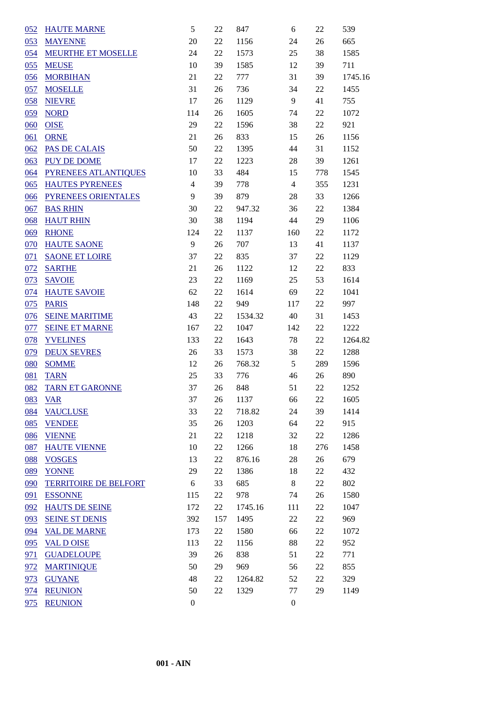| 052               | <b>HAUTE MARNE</b>           | 5                | 22     | 847     | 6                | 22     | 539     |
|-------------------|------------------------------|------------------|--------|---------|------------------|--------|---------|
| 053               | <b>MAYENNE</b>               | 20               | 22     | 1156    | 24               | 26     | 665     |
| 054               | <b>MEURTHE ET MOSELLE</b>    | 24               | 22     | 1573    | 25               | 38     | 1585    |
| 055               | <b>MEUSE</b>                 | 10               | 39     | 1585    | 12               | 39     | 711     |
| 056               | <b>MORBIHAN</b>              | 21               | $22\,$ | 777     | 31               | 39     | 1745.16 |
| 057               | <b>MOSELLE</b>               | 31               | 26     | 736     | 34               | 22     | 1455    |
| 058               | <b>NIEVRE</b>                | 17               | 26     | 1129    | 9                | 41     | 755     |
| 059               | <b>NORD</b>                  | 114              | 26     | 1605    | 74               | $22\,$ | 1072    |
| 060               | <b>OISE</b>                  | 29               | $22\,$ | 1596    | 38               | $22\,$ | 921     |
| 061               | <b>ORNE</b>                  | 21               | 26     | 833     | 15               | 26     | 1156    |
| 062               | PAS DE CALAIS                | 50               | 22     | 1395    | 44               | 31     | 1152    |
| 063               | <b>PUY DE DOME</b>           | 17               | 22     | 1223    | 28               | 39     | 1261    |
| 064               | <b>PYRENEES ATLANTIQUES</b>  | 10               | 33     | 484     | 15               | 778    | 1545    |
| 065               | <b>HAUTES PYRENEES</b>       | $\overline{4}$   | 39     | 778     | $\overline{4}$   | 355    | 1231    |
| 066               | PYRENEES ORIENTALES          | 9                | 39     | 879     | 28               | 33     | 1266    |
| 067               | <b>BAS RHIN</b>              | 30               | 22     | 947.32  | 36               | 22     | 1384    |
| 068               | <b>HAUT RHIN</b>             | 30               | 38     | 1194    | 44               | 29     | 1106    |
| 069               | <b>RHONE</b>                 | 124              | 22     | 1137    | 160              | $22\,$ | 1172    |
| 070               | <b>HAUTE SAONE</b>           | $\overline{9}$   | 26     | 707     | 13               | 41     | 1137    |
| 071               | <b>SAONE ET LOIRE</b>        | 37               | 22     | 835     | 37               | $22\,$ | 1129    |
| 072               | <b>SARTHE</b>                | 21               | 26     | 1122    | 12               | $22\,$ | 833     |
| 073               | <b>SAVOIE</b>                | 23               | $22\,$ | 1169    | 25               | 53     | 1614    |
| 074               | <b>HAUTE SAVOIE</b>          | 62               | $22\,$ | 1614    | 69               | $22\,$ | 1041    |
| 075               | <b>PARIS</b>                 | 148              | 22     | 949     | 117              | $22\,$ | 997     |
| 076               | <b>SEINE MARITIME</b>        | 43               | 22     | 1534.32 | 40               | 31     | 1453    |
| 077               | <b>SEINE ET MARNE</b>        | 167              | 22     | 1047    | 142              | $22\,$ | 1222    |
| 078               | <b>YVELINES</b>              | 133              | $22\,$ | 1643    | 78               | $22\,$ | 1264.82 |
| 079               | <b>DEUX SEVRES</b>           | 26               | 33     | 1573    | 38               | 22     | 1288    |
| 080               | <b>SOMME</b>                 | 12               | 26     | 768.32  | 5                | 289    | 1596    |
| 081               | <b>TARN</b>                  | 25               | 33     | 776     | 46               | 26     | 890     |
| 082               | <b>TARN ET GARONNE</b>       | 37               | 26     | 848     | 51               | $22\,$ | 1252    |
| 083               | <b>VAR</b>                   | 37               | 26     | 1137    | 66               | $22\,$ | 1605    |
| 084               | <b>VAUCLUSE</b>              | 33               | 22     | 718.82  | 24               | 39     | 1414    |
| 085               | <b>VENDEE</b>                | 35               | 26     | 1203    | 64               | $22\,$ | 915     |
| 086               | <b>VIENNE</b>                | 21               | 22     | 1218    | 32               | $22\,$ | 1286    |
| 087               | <b>HAUTE VIENNE</b>          | 10               | 22     | 1266    | 18               | 276    | 1458    |
| 088               | <b>VOSGES</b>                | 13               | 22     | 876.16  | 28               | 26     | 679     |
| 089               | <b>YONNE</b>                 | 29               | $22\,$ | 1386    | 18               | $22\,$ | 432     |
| 090               | <b>TERRITOIRE DE BELFORT</b> | $\sqrt{6}$       | 33     | 685     | $8\,$            | $22\,$ | 802     |
| 091               | <b>ESSONNE</b>               | 115              | 22     | 978     | 74               | 26     | 1580    |
| 092               | <b>HAUTS DE SEINE</b>        | 172              | 22     | 1745.16 | 111              | 22     | 1047    |
| 093               | <b>SEINE ST DENIS</b>        | 392              | 157    | 1495    | 22               | 22     | 969     |
| 094               | <b>VAL DE MARNE</b>          | 173              | 22     | 1580    | 66               | 22     | 1072    |
| $\underline{095}$ | <b>VAL D OISE</b>            | 113              | 22     | 1156    | 88               | 22     | 952     |
| 971               | <b>GUADELOUPE</b>            | 39               | 26     | 838     | 51               | 22     | 771     |
| 972               | <b>MARTINIQUE</b>            | 50               | 29     | 969     | 56               | 22     | 855     |
| 973               | <b>GUYANE</b>                | 48               | 22     | 1264.82 | 52               | 22     | 329     |
| 974               | <b>REUNION</b>               | 50               | 22     | 1329    | 77               | 29     | 1149    |
| 975               | <b>REUNION</b>               | $\boldsymbol{0}$ |        |         | $\boldsymbol{0}$ |        |         |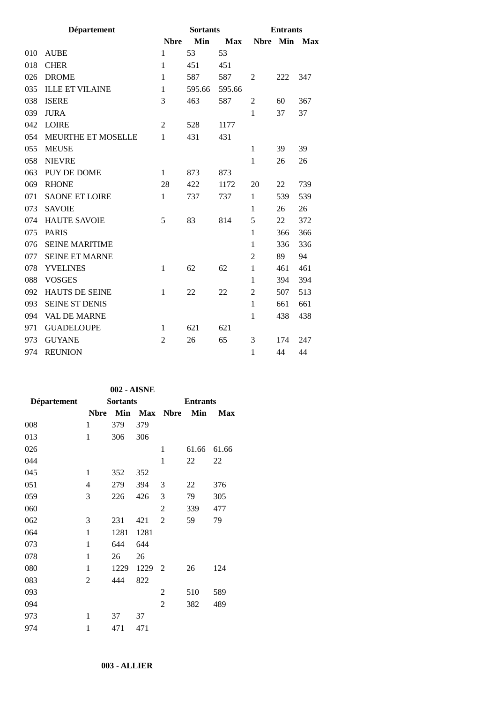|     | <b>Département</b>        |                | <b>Sortants</b> |            | <b>Entrants</b> |     |            |
|-----|---------------------------|----------------|-----------------|------------|-----------------|-----|------------|
|     |                           | <b>Nbre</b>    | Min             | <b>Max</b> | <b>Nbre</b>     | Min | <b>Max</b> |
| 010 | <b>AUBE</b>               | $\mathbf{1}$   | 53              | 53         |                 |     |            |
| 018 | <b>CHER</b>               | $\mathbf{1}$   | 451             | 451        |                 |     |            |
| 026 | <b>DROME</b>              | $\mathbf{1}$   | 587             | 587        | $\overline{2}$  | 222 | 347        |
| 035 | <b>ILLE ET VILAINE</b>    | $\mathbf{1}$   | 595.66          | 595.66     |                 |     |            |
| 038 | <b>ISERE</b>              | 3              | 463             | 587        | 2               | 60  | 367        |
| 039 | <b>JURA</b>               |                |                 |            | 1               | 37  | 37         |
| 042 | <b>LOIRE</b>              | $\overline{2}$ | 528             | 1177       |                 |     |            |
| 054 | <b>MEURTHE ET MOSELLE</b> | 1              | 431             | 431        |                 |     |            |
| 055 | <b>MEUSE</b>              |                |                 |            | $\mathbf{1}$    | 39  | 39         |
| 058 | <b>NIEVRE</b>             |                |                 |            | $\mathbf{1}$    | 26  | 26         |
| 063 | PUY DE DOME               | 1              | 873             | 873        |                 |     |            |
| 069 | <b>RHONE</b>              | 28             | 422             | 1172       | 20              | 22  | 739        |
| 071 | <b>SAONE ET LOIRE</b>     | $\mathbf{1}$   | 737             | 737        | 1               | 539 | 539        |
| 073 | <b>SAVOIE</b>             |                |                 |            | 1               | 26  | 26         |
| 074 | <b>HAUTE SAVOIE</b>       | 5              | 83              | 814        | 5               | 22  | 372        |
| 075 | <b>PARIS</b>              |                |                 |            | $\mathbf{1}$    | 366 | 366        |
| 076 | <b>SEINE MARITIME</b>     |                |                 |            | 1               | 336 | 336        |
| 077 | <b>SEINE ET MARNE</b>     |                |                 |            | $\overline{2}$  | 89  | 94         |
| 078 | <b>YVELINES</b>           | 1              | 62              | 62         | 1               | 461 | 461        |
| 088 | <b>VOSGES</b>             |                |                 |            | 1               | 394 | 394        |
| 092 | HAUTS DE SEINE            | $\mathbf{1}$   | 22              | 22         | $\overline{2}$  | 507 | 513        |
| 093 | <b>SEINE ST DENIS</b>     |                |                 |            | 1               | 661 | 661        |
| 094 | <b>VAL DE MARNE</b>       |                |                 |            | $\mathbf{1}$    | 438 | 438        |
| 971 | <b>GUADELOUPE</b>         | $\mathbf{1}$   | 621             | 621        |                 |     |            |
| 973 | <b>GUYANE</b>             | $\overline{2}$ | 26              | 65         | 3               | 174 | 247        |
| 974 | <b>REUNION</b>            |                |                 |            | $\mathbf{1}$    | 44  | 44         |
|     |                           |                |                 |            |                 |     |            |

| 002 - AISNE  |      |      |                            |       |                 |  |  |
|--------------|------|------|----------------------------|-------|-----------------|--|--|
|              |      |      |                            |       |                 |  |  |
| <b>Nbre</b>  |      |      | <b>Nbre</b>                | Min   | <b>Max</b>      |  |  |
| 1            | 379  | 379  |                            |       |                 |  |  |
| 1            | 306  | 306  |                            |       |                 |  |  |
|              |      |      | 1                          | 61.66 | 61.66           |  |  |
|              |      |      | 1                          | 22    | 22              |  |  |
| 1            | 352  | 352  |                            |       |                 |  |  |
| 4            | 279  | 394  | 3                          | 22    | 376             |  |  |
| 3            | 226  | 426  | 3                          | 79    | 305             |  |  |
|              |      |      | $\overline{2}$             | 339   | 477             |  |  |
| 3            | 231  | 421  | $\overline{2}$             | 59    | 79              |  |  |
| $\mathbf{1}$ | 1281 | 1281 |                            |       |                 |  |  |
| 1            | 644  | 644  |                            |       |                 |  |  |
| 1            | 26   | 26   |                            |       |                 |  |  |
| 1            | 1229 | 1229 | 2                          | 26    | 124             |  |  |
| 2            | 444  | 822  |                            |       |                 |  |  |
|              |      |      | 2                          | 510   | 589             |  |  |
|              |      |      | $\overline{2}$             | 382   | 489             |  |  |
| 1            | 37   | 37   |                            |       |                 |  |  |
| 1            | 471  | 471  |                            |       |                 |  |  |
|              |      |      | <b>Sortants</b><br>Min Max |       | <b>Entrants</b> |  |  |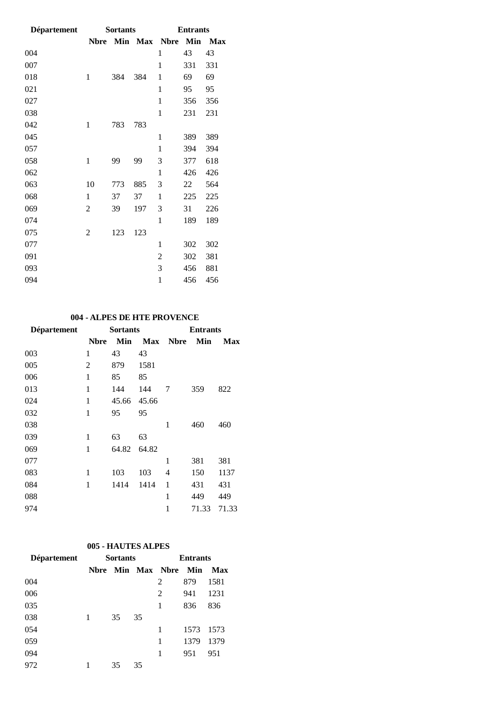| <b>Département</b> |                | <b>Sortants</b> |         | <b>Entrants</b> |     |            |
|--------------------|----------------|-----------------|---------|-----------------|-----|------------|
|                    | <b>Nbre</b>    |                 | Min Max | <b>Nbre</b>     | Min | <b>Max</b> |
| 004                |                |                 |         | $\mathbf{1}$    | 43  | 43         |
| 007                |                |                 |         | 1               | 331 | 331        |
| 018                | 1              | 384             | 384     | 1               | 69  | 69         |
| 021                |                |                 |         | 1               | 95  | 95         |
| 027                |                |                 |         | $\mathbf{1}$    | 356 | 356        |
| 038                |                |                 |         | 1               | 231 | 231        |
| 042                | 1              | 783             | 783     |                 |     |            |
| 045                |                |                 |         | $\mathbf{1}$    | 389 | 389        |
| 057                |                |                 |         | $\mathbf{1}$    | 394 | 394        |
| 058                | $\mathbf{1}$   | 99              | 99      | 3               | 377 | 618        |
| 062                |                |                 |         | $\mathbf{1}$    | 426 | 426        |
| 063                | 10             | 773             | 885     | 3               | 22  | 564        |
| 068                | 1              | 37              | 37      | $\mathbf{1}$    | 225 | 225        |
| 069                | $\overline{2}$ | 39              | 197     | 3               | 31  | 226        |
| 074                |                |                 |         | $\mathbf{1}$    | 189 | 189        |
| 075                | 2              | 123             | 123     |                 |     |            |
| 077                |                |                 |         | 1               | 302 | 302        |
| 091                |                |                 |         | $\overline{c}$  | 302 | 381        |
| 093                |                |                 |         | 3               | 456 | 881        |
| 094                |                |                 |         | $\mathbf{1}$    | 456 | 456        |

## **004 - ALPES DE HTE PROVENCE**

| Département |             | <b>Sortants</b> |       | <b>Entrants</b> |       |            |  |
|-------------|-------------|-----------------|-------|-----------------|-------|------------|--|
|             | <b>Nbre</b> | Min             |       | <b>Max</b> Nbre | Min   | <b>Max</b> |  |
| 003         | 1           | 43              | 43    |                 |       |            |  |
| 005         | 2           | 879             | 1581  |                 |       |            |  |
| 006         | 1           | 85              | 85    |                 |       |            |  |
| 013         | 1           | 144             | 144   | 7               | 359   | 822        |  |
| 024         | 1           | 45.66           | 45.66 |                 |       |            |  |
| 032         | 1           | 95              | 95    |                 |       |            |  |
| 038         |             |                 |       | 1               | 460   | 460        |  |
| 039         | 1           | 63              | 63    |                 |       |            |  |
| 069         | 1           | 64.82           | 64.82 |                 |       |            |  |
| 077         |             |                 |       | 1               | 381   | 381        |  |
| 083         | 1           | 103             | 103   | 4               | 150   | 1137       |  |
| 084         | 1           | 1414            | 1414  | 1               | 431   | 431        |  |
| 088         |             |                 |       | 1               | 449   | 449        |  |
| 974         |             |                 |       | 1               | 71.33 | 71.33      |  |

## **005 - HAUTES ALPES**

| Département | <b>Sortants</b> |    |    |                     | <b>Entrants</b> |      |
|-------------|-----------------|----|----|---------------------|-----------------|------|
|             | <b>N</b> bre    |    |    | <b>Min Max Nbre</b> | Min             | Max  |
| 004         |                 |    |    | 2                   | 879             | 1581 |
| 006         |                 |    |    | 2                   | 941             | 1231 |
| 035         |                 |    |    | 1                   | 836             | 836  |
| 038         |                 | 35 | 35 |                     |                 |      |
| 054         |                 |    |    |                     | 1573            | 1573 |
| 059         |                 |    |    | 1                   | 1379            | 1379 |
| 094         |                 |    |    | 1                   | 951             | 951  |
| 972         |                 | 35 | 35 |                     |                 |      |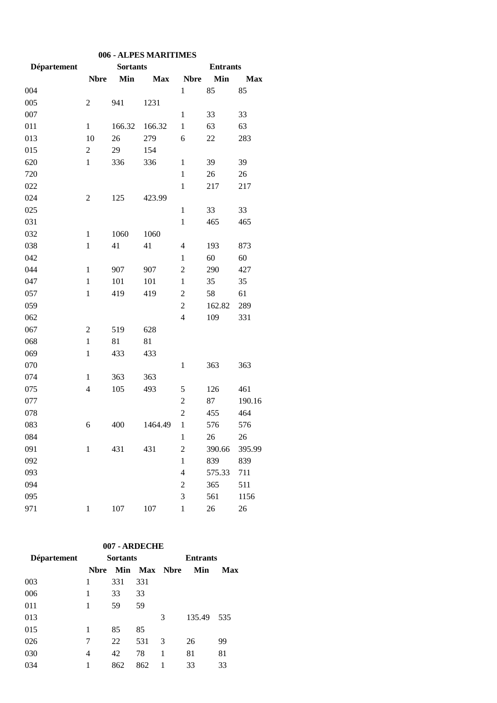| 006 - ALPES MARITIMES |                          |                 |            |                  |                 |            |  |
|-----------------------|--------------------------|-----------------|------------|------------------|-----------------|------------|--|
| Département           |                          | <b>Sortants</b> |            |                  | <b>Entrants</b> |            |  |
|                       | <b>Nbre</b>              | Min             | <b>Max</b> | <b>Nbre</b>      | Min             | <b>Max</b> |  |
| 004                   |                          |                 |            | 1                | 85              | 85         |  |
| 005                   | 2                        | 941             | 1231       |                  |                 |            |  |
| 007                   |                          |                 |            | 1                | 33              | 33         |  |
| 011                   | $\mathbf{1}$             | 166.32          | 166.32     | $\mathbf{1}$     | 63              | 63         |  |
| 013                   | 10                       | 26              | 279        | 6                | 22              | 283        |  |
| 015                   | $\mathfrak 2$            | 29              | 154        |                  |                 |            |  |
| 620                   | $\mathbf{1}$             | 336             | 336        | 1                | 39              | 39         |  |
| 720                   |                          |                 |            | $\mathbf{1}$     | 26              | 26         |  |
| 022                   |                          |                 |            | $\mathbf{1}$     | 217             | 217        |  |
| 024                   | $\overline{c}$           | 125             | 423.99     |                  |                 |            |  |
| 025                   |                          |                 |            | $\mathbf{1}$     | 33              | 33         |  |
| 031                   |                          |                 |            | $\mathbf{1}$     | 465             | 465        |  |
| 032                   | 1                        | 1060            | 1060       |                  |                 |            |  |
| 038                   | $\mathbf{1}$             | 41              | 41         | 4                | 193             | 873        |  |
| 042                   |                          |                 |            | $\mathbf{1}$     | 60              | 60         |  |
| 044                   | $\mathbf{1}$             | 907             | 907        | $\overline{2}$   | 290             | 427        |  |
| 047                   | $\mathbf{1}$             | 101             | 101        | $\mathbf{1}$     | 35              | 35         |  |
| 057                   | $\mathbf{1}$             | 419             | 419        | $\overline{2}$   | 58              | 61         |  |
| 059                   |                          |                 |            | $\overline{c}$   | 162.82          | 289        |  |
| 062                   |                          |                 |            | $\overline{4}$   | 109             | 331        |  |
| 067                   | $\overline{c}$           | 519             | 628        |                  |                 |            |  |
| 068                   | $\mathbf{1}$             | 81              | 81         |                  |                 |            |  |
| 069                   | 1                        | 433             | 433        |                  |                 |            |  |
| 070                   |                          |                 |            | 1                | 363             | 363        |  |
| 074                   | $\mathbf{1}$             | 363             | 363        |                  |                 |            |  |
| 075                   | $\overline{\mathcal{L}}$ | 105             | 493        | 5                | 126             | 461        |  |
| 077                   |                          |                 |            | $\overline{c}$   | 87              | 190.16     |  |
| 078                   |                          |                 |            | $\overline{2}$   | 455             | 464        |  |
| 083                   | 6                        | 400             | 1464.49    | $\mathbf{1}$     | 576             | 576        |  |
| 084                   |                          |                 |            | $\mathbf{1}$     | 26              | 26         |  |
| 091                   | $\mathbf{1}$             | 431             | 431        | $\overline{2}$   | 390.66          | 395.99     |  |
| 092                   |                          |                 |            | $\mathbf{1}$     | 839             | 839        |  |
| 093                   |                          |                 |            | $\overline{4}$   | 575.33          | 711        |  |
| 094                   |                          |                 |            | $\boldsymbol{2}$ | 365             | 511        |  |
| 095                   |                          |                 |            | 3                | 561             | 1156       |  |
| 971                   | $\mathbf{1}$             | $107\,$         | 107        | $\mathbf{1}$     | 26              | 26         |  |

#### **007 - ARDECHE**

| Département | <b>Sortants</b> |     |     | <b>Entrants</b> |        |     |  |
|-------------|-----------------|-----|-----|-----------------|--------|-----|--|
|             | <b>N</b> bre    | Min |     | Max Nbre        | Min    | Max |  |
| 003         | 1               | 331 | 331 |                 |        |     |  |
| 006         | 1               | 33  | 33  |                 |        |     |  |
| 011         | 1               | 59  | 59  |                 |        |     |  |
| 013         |                 |     |     | 3               | 135.49 | 535 |  |
| 015         | 1               | 85  | 85  |                 |        |     |  |
| 026         | 7               | 22  | 531 | 3               | 26     | 99  |  |
| 030         | 4               | 42  | 78  | 1               | 81     | 81  |  |
| 034         | 1               | 862 | 862 | 1               | 33     | 33  |  |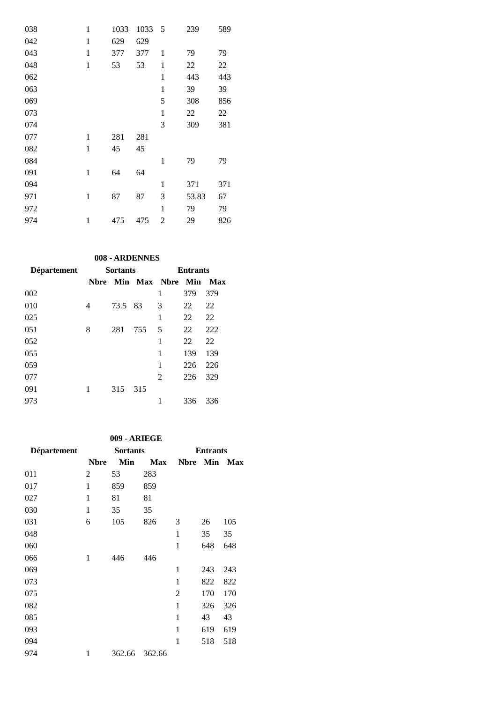| 038 | $\mathbf{1}$ | 1033 | 1033 | 5            | 239   | 589 |
|-----|--------------|------|------|--------------|-------|-----|
| 042 | $\mathbf{1}$ | 629  | 629  |              |       |     |
| 043 | 1            | 377  | 377  | 1            | 79    | 79  |
| 048 | $\mathbf{1}$ | 53   | 53   | 1            | 22    | 22  |
| 062 |              |      |      | 1            | 443   | 443 |
| 063 |              |      |      | $\mathbf{1}$ | 39    | 39  |
| 069 |              |      |      | 5            | 308   | 856 |
| 073 |              |      |      | $\mathbf{1}$ | 22    | 22  |
| 074 |              |      |      | 3            | 309   | 381 |
| 077 | 1            | 281  | 281  |              |       |     |
| 082 | $\mathbf{1}$ | 45   | 45   |              |       |     |
| 084 |              |      |      | 1            | 79    | 79  |
| 091 | $\mathbf{1}$ | 64   | 64   |              |       |     |
| 094 |              |      |      | 1            | 371   | 371 |
| 971 | 1            | 87   | 87   | 3            | 53.83 | 67  |
| 972 |              |      |      | 1            | 79    | 79  |
| 974 | $\mathbf{1}$ | 475  | 475  | 2            | 29    | 826 |

#### **008 - ARDENNES**

| Département | <b>Sortants</b> |         |     | <b>Entrants</b>         |     |     |  |
|-------------|-----------------|---------|-----|-------------------------|-----|-----|--|
|             | <b>Nbre</b>     |         |     | <b>Min Max Nbre Min</b> |     | Max |  |
| 002         |                 |         |     | 1                       | 379 | 379 |  |
| 010         | 4               | 73.5 83 |     | 3                       | 22  | 22  |  |
| 025         |                 |         |     | 1                       | 22  | 22  |  |
| 051         | 8               | 281     | 755 | 5                       | 22  | 222 |  |
| 052         |                 |         |     | 1                       | 22  | 22  |  |
| 055         |                 |         |     | 1                       | 139 | 139 |  |
| 059         |                 |         |     | 1                       | 226 | 226 |  |
| 077         |                 |         |     | 2                       | 226 | 329 |  |
| 091         | 1               | 315     | 315 |                         |     |     |  |
| 973         |                 |         |     | 1                       | 336 | 336 |  |

### **009 - ARIEGE**

| Département | <b>Sortants</b> |        |            | <b>Entrants</b> |     |            |  |
|-------------|-----------------|--------|------------|-----------------|-----|------------|--|
|             | <b>Nbre</b>     | Min    | <b>Max</b> | <b>Nbre</b>     | Min | <b>Max</b> |  |
| 011         | 2               | 53     | 283        |                 |     |            |  |
| 017         | $\mathbf{1}$    | 859    | 859        |                 |     |            |  |
| 027         | 1               | 81     | 81         |                 |     |            |  |
| 030         | 1               | 35     | 35         |                 |     |            |  |
| 031         | 6               | 105    | 826        | 3               | 26  | 105        |  |
| 048         |                 |        |            | 1               | 35  | 35         |  |
| 060         |                 |        |            | $\mathbf{1}$    | 648 | 648        |  |
| 066         | 1               | 446    | 446        |                 |     |            |  |
| 069         |                 |        |            | 1               | 243 | 243        |  |
| 073         |                 |        |            | 1               | 822 | 822        |  |
| 075         |                 |        |            | $\overline{2}$  | 170 | 170        |  |
| 082         |                 |        |            | 1               | 326 | 326        |  |
| 085         |                 |        |            | 1               | 43  | 43         |  |
| 093         |                 |        |            | 1               | 619 | 619        |  |
| 094         |                 |        |            | 1               | 518 | 518        |  |
| 974         | 1               | 362.66 | 362.66     |                 |     |            |  |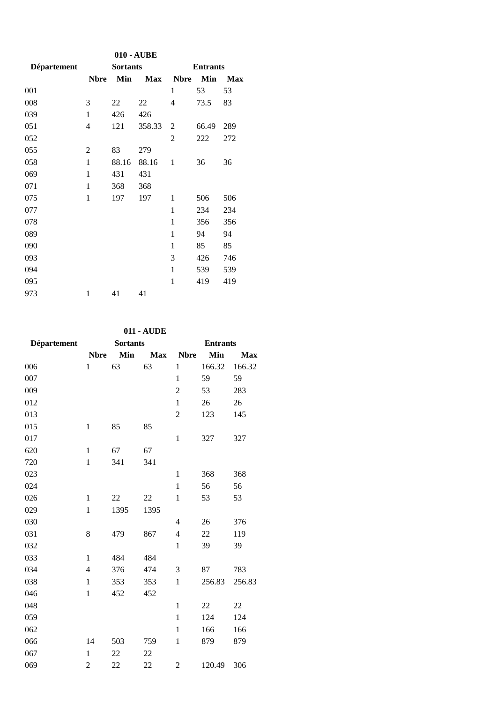| 010 - AUBE  |                |                 |            |              |                 |            |  |  |
|-------------|----------------|-----------------|------------|--------------|-----------------|------------|--|--|
| Département |                | <b>Sortants</b> |            |              | <b>Entrants</b> |            |  |  |
|             | <b>Nbre</b>    | Min             | <b>Max</b> | <b>Nbre</b>  | Min             | <b>Max</b> |  |  |
| 001         |                |                 |            | 1            | 53              | 53         |  |  |
| 008         | 3              | 22              | 22         | 4            | 73.5            | 83         |  |  |
| 039         | 1              | 426             | 426        |              |                 |            |  |  |
| 051         | 4              | 121             | 358.33     | 2            | 66.49           | 289        |  |  |
| 052         |                |                 |            | 2            | 222             | 272        |  |  |
| 055         | $\overline{2}$ | 83              | 279        |              |                 |            |  |  |
| 058         | 1              | 88.16           | 88.16      | 1            | 36              | 36         |  |  |
| 069         | 1              | 431             | 431        |              |                 |            |  |  |
| 071         | 1              | 368             | 368        |              |                 |            |  |  |
| 075         | 1              | 197             | 197        | 1            | 506             | 506        |  |  |
| 077         |                |                 |            | 1            | 234             | 234        |  |  |
| 078         |                |                 |            | 1            | 356             | 356        |  |  |
| 089         |                |                 |            | 1            | 94              | 94         |  |  |
| 090         |                |                 |            | 1            | 85              | 85         |  |  |
| 093         |                |                 |            | 3            | 426             | 746        |  |  |
| 094         |                |                 |            | $\mathbf{1}$ | 539             | 539        |  |  |
| 095         |                |                 |            | 1            | 419             | 419        |  |  |
| 973         | $\mathbf{1}$   | 41              | 41         |              |                 |            |  |  |

## **011 - AUDE**

| Département | <b>Sortants</b> |      |            | <b>Entrants</b> |        |            |  |
|-------------|-----------------|------|------------|-----------------|--------|------------|--|
|             | <b>Nbre</b>     | Min  | <b>Max</b> | <b>Nbre</b>     | Min    | <b>Max</b> |  |
| 006         | $\mathbf{1}$    | 63   | 63         | $\mathbf{1}$    | 166.32 | 166.32     |  |
| 007         |                 |      |            | $\mathbf{1}$    | 59     | 59         |  |
| 009         |                 |      |            | $\overline{c}$  | 53     | 283        |  |
| 012         |                 |      |            | $\mathbf{1}$    | 26     | 26         |  |
| 013         |                 |      |            | $\overline{c}$  | 123    | 145        |  |
| 015         | $\mathbf{1}$    | 85   | 85         |                 |        |            |  |
| 017         |                 |      |            | $\mathbf 1$     | 327    | 327        |  |
| 620         | 1               | 67   | 67         |                 |        |            |  |
| 720         | $\mathbf{1}$    | 341  | 341        |                 |        |            |  |
| 023         |                 |      |            | $\mathbf{1}$    | 368    | 368        |  |
| 024         |                 |      |            | $\,1$           | 56     | 56         |  |
| 026         | $\mathbf{1}$    | 22   | 22         | $\mathbf 1$     | 53     | 53         |  |
| 029         | $\mathbf{1}$    | 1395 | 1395       |                 |        |            |  |
| 030         |                 |      |            | 4               | 26     | 376        |  |
| 031         | 8               | 479  | 867        | $\overline{4}$  | 22     | 119        |  |
| 032         |                 |      |            | $\mathbf{1}$    | 39     | 39         |  |
| 033         | 1               | 484  | 484        |                 |        |            |  |
| 034         | $\overline{4}$  | 376  | 474        | 3               | 87     | 783        |  |
| 038         | $\mathbf{1}$    | 353  | 353        | $\mathbf{1}$    | 256.83 | 256.83     |  |
| 046         | $\mathbf{1}$    | 452  | 452        |                 |        |            |  |
| 048         |                 |      |            | $\mathbf{1}$    | 22     | 22         |  |
| 059         |                 |      |            | $\mathbf{1}$    | 124    | 124        |  |
| 062         |                 |      |            | $\mathbf{1}$    | 166    | 166        |  |
| 066         | 14              | 503  | 759        | $\mathbf{1}$    | 879    | 879        |  |
| 067         | $\mathbf{1}$    | 22   | 22         |                 |        |            |  |
| 069         | $\overline{c}$  | 22   | 22         | $\overline{2}$  | 120.49 | 306        |  |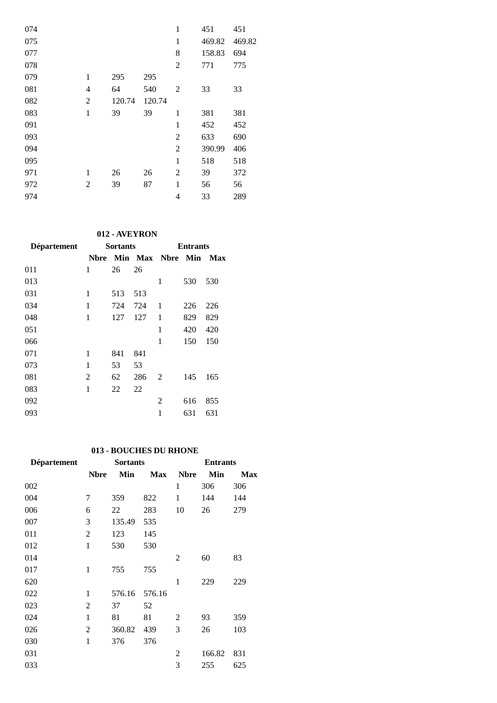| 074 |                |        |        | $\mathbf{1}$   | 451    | 451    |
|-----|----------------|--------|--------|----------------|--------|--------|
| 075 |                |        |        | $\mathbf{1}$   | 469.82 | 469.82 |
| 077 |                |        |        | 8              | 158.83 | 694    |
| 078 |                |        |        | $\overline{2}$ | 771    | 775    |
| 079 | 1              | 295    | 295    |                |        |        |
| 081 | $\overline{4}$ | 64     | 540    | 2              | 33     | 33     |
| 082 | $\overline{2}$ | 120.74 | 120.74 |                |        |        |
| 083 | $\mathbf{1}$   | 39     | 39     | 1              | 381    | 381    |
| 091 |                |        |        | 1              | 452    | 452    |
| 093 |                |        |        | 2              | 633    | 690    |
| 094 |                |        |        | $\mathbf{2}$   | 390.99 | 406    |
| 095 |                |        |        | 1              | 518    | 518    |
| 971 | 1              | 26     | 26     | 2              | 39     | 372    |
| 972 | 2              | 39     | 87     | 1              | 56     | 56     |
| 974 |                |        |        | 4              | 33     | 289    |

## **012 - AVEYRON**

| <b>Département</b> | <b>Sortants</b> |     |     | <b>Entrants</b>  |     |     |  |
|--------------------|-----------------|-----|-----|------------------|-----|-----|--|
|                    | Nbre            |     |     | Min Max Nbre Min |     | Max |  |
| 011                | 1               | 26  | 26  |                  |     |     |  |
| 013                |                 |     |     | 1                | 530 | 530 |  |
| 031                | 1               | 513 | 513 |                  |     |     |  |
| 034                | 1               | 724 | 724 | 1                | 226 | 226 |  |
| 048                | 1               | 127 | 127 | 1                | 829 | 829 |  |
| 051                |                 |     |     | 1                | 420 | 420 |  |
| 066                |                 |     |     | 1                | 150 | 150 |  |
| 071                | 1               | 841 | 841 |                  |     |     |  |
| 073                | 1               | 53  | 53  |                  |     |     |  |
| 081                | 2               | 62  | 286 | 2                | 145 | 165 |  |
| 083                | 1               | 22  | 22  |                  |     |     |  |
| 092                |                 |     |     | 2                | 616 | 855 |  |
| 093                |                 |     |     | 1                | 631 | 631 |  |

## **013 - BOUCHES DU RHONE**

| <b>Département</b> | <b>Sortants</b> |        |            | <b>Entrants</b> |        |            |  |
|--------------------|-----------------|--------|------------|-----------------|--------|------------|--|
|                    | <b>Nbre</b>     | Min    | <b>Max</b> | <b>Nbre</b>     | Min    | <b>Max</b> |  |
| 002                |                 |        |            | 1               | 306    | 306        |  |
| 004                | 7               | 359    | 822        | $\mathbf{1}$    | 144    | 144        |  |
| 006                | 6               | 22     | 283        | 10              | 26     | 279        |  |
| 007                | 3               | 135.49 | 535        |                 |        |            |  |
| 011                | $\overline{2}$  | 123    | 145        |                 |        |            |  |
| 012                | $\mathbf{1}$    | 530    | 530        |                 |        |            |  |
| 014                |                 |        |            | 2               | 60     | 83         |  |
| 017                | 1               | 755    | 755        |                 |        |            |  |
| 620                |                 |        |            | 1               | 229    | 229        |  |
| 022                | 1               | 576.16 | 576.16     |                 |        |            |  |
| 023                | $\overline{2}$  | 37     | 52         |                 |        |            |  |
| 024                | $\mathbf{1}$    | 81     | 81         | 2               | 93     | 359        |  |
| 026                | 2               | 360.82 | 439        | 3               | 26     | 103        |  |
| 030                | $\mathbf{1}$    | 376    | 376        |                 |        |            |  |
| 031                |                 |        |            | $\overline{c}$  | 166.82 | 831        |  |
| 033                |                 |        |            | 3               | 255    | 625        |  |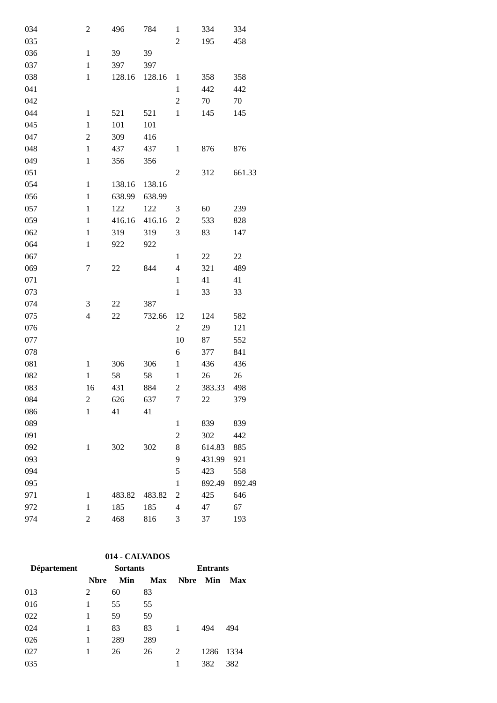| 034 | $\overline{c}$ | 496    | 784    | $\mathbf{1}$             | 334    | 334    |
|-----|----------------|--------|--------|--------------------------|--------|--------|
| 035 |                |        |        | $\overline{2}$           | 195    | 458    |
| 036 | $\mathbf{1}$   | 39     | 39     |                          |        |        |
| 037 | $\mathbf{1}$   | 397    | 397    |                          |        |        |
| 038 | $\mathbf{1}$   | 128.16 | 128.16 | $\mathbf{1}$             | 358    | 358    |
| 041 |                |        |        | $\mathbf{1}$             | 442    | 442    |
| 042 |                |        |        | $\mathfrak{2}$           | 70     | 70     |
| 044 | $\mathbf{1}$   | 521    | 521    | $\mathbf{1}$             | 145    | 145    |
| 045 | $\mathbf{1}$   | 101    | 101    |                          |        |        |
| 047 | $\overline{c}$ | 309    | 416    |                          |        |        |
| 048 | $\mathbf{1}$   | 437    | 437    | $\mathbf{1}$             | 876    | 876    |
| 049 | $\mathbf{1}$   | 356    | 356    |                          |        |        |
| 051 |                |        |        | $\overline{2}$           | 312    | 661.33 |
| 054 | $\mathbf{1}$   | 138.16 | 138.16 |                          |        |        |
| 056 | $\mathbf{1}$   | 638.99 | 638.99 |                          |        |        |
| 057 | $\,1$          | 122    | 122    | 3                        | 60     | 239    |
| 059 | $\mathbf{1}$   | 416.16 | 416.16 | $\overline{c}$           | 533    | 828    |
| 062 | $\mathbf{1}$   | 319    | 319    | 3                        | 83     | 147    |
| 064 | $\mathbf{1}$   | 922    | 922    |                          |        |        |
| 067 |                |        |        | $\mathbf{1}$             | 22     | 22     |
| 069 | 7              | 22     | 844    | $\overline{\mathcal{L}}$ | 321    | 489    |
| 071 |                |        |        | $\mathbf{1}$             | 41     | 41     |
| 073 |                |        |        | $\mathbf{1}$             | 33     | 33     |
| 074 | 3              | 22     | 387    |                          |        |        |
| 075 | $\overline{4}$ | 22     | 732.66 | 12                       | 124    | 582    |
| 076 |                |        |        | $\overline{c}$           | 29     | 121    |
| 077 |                |        |        | 10                       | 87     | 552    |
| 078 |                |        |        | 6                        | 377    | 841    |
| 081 | $\mathbf{1}$   | 306    | 306    | $\mathbf{1}$             | 436    | 436    |
| 082 | $\mathbf{1}$   | 58     | 58     | $\mathbf{1}$             | $26\,$ | 26     |
| 083 | 16             | 431    | 884    | $\overline{c}$           | 383.33 | 498    |
| 084 | $\overline{c}$ | 626    | 637    | $\overline{7}$           | 22     | 379    |
| 086 | $\mathbf{1}$   | 41     | 41     |                          |        |        |
| 089 |                |        |        | $\mathbf{1}$             | 839    | 839    |
| 091 |                |        |        | $\overline{c}$           | 302    | 442    |
| 092 | $\mathbf{1}$   | 302    | 302    | 8                        | 614.83 | 885    |
| 093 |                |        |        | 9                        | 431.99 | 921    |
| 094 |                |        |        | 5                        | 423    | 558    |
| 095 |                |        |        | $\mathbf{1}$             | 892.49 | 892.49 |
| 971 | $\mathbf{1}$   | 483.82 | 483.82 | $\overline{c}$           | 425    | 646    |
| 972 | $\mathbf{1}$   | 185    | 185    | $\overline{4}$           | 47     | 67     |
| 974 | $\overline{2}$ | 468    | 816    | 3                        | 37     | 193    |

# **014 - CALVADOS**

| <b>Département</b> | <b>Sortants</b> |     |            | <b>Entrants</b> |      |      |  |
|--------------------|-----------------|-----|------------|-----------------|------|------|--|
|                    | <b>Nbre</b>     | Min | <b>Max</b> | <b>Nbre</b>     | Min  | Max  |  |
| 013                | 2               | 60  | 83         |                 |      |      |  |
| 016                |                 | 55  | 55         |                 |      |      |  |
| 022                |                 | 59  | 59         |                 |      |      |  |
| 024                | 1               | 83  | 83         |                 | 494  | 494  |  |
| 026                |                 | 289 | 289        |                 |      |      |  |
| 027                |                 | 26  | 26         | 2               | 1286 | 1334 |  |
| 035                |                 |     |            |                 | 382  | 382  |  |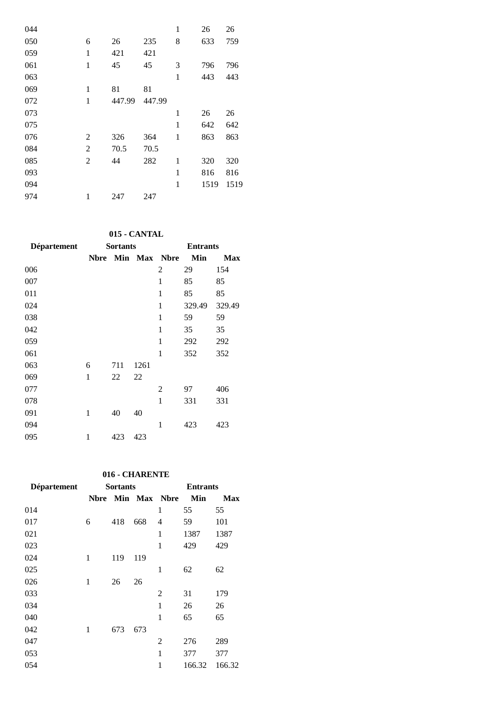| 044 |                |        |        | $\mathbf{1}$ | 26   | 26   |
|-----|----------------|--------|--------|--------------|------|------|
| 050 | 6              | 26     | 235    | 8            | 633  | 759  |
| 059 | 1              | 421    | 421    |              |      |      |
| 061 | $\mathbf{1}$   | 45     | 45     | 3            | 796  | 796  |
| 063 |                |        |        | 1            | 443  | 443  |
| 069 | 1              | 81     | 81     |              |      |      |
| 072 | 1              | 447.99 | 447.99 |              |      |      |
| 073 |                |        |        | 1            | 26   | 26   |
| 075 |                |        |        | $\mathbf{1}$ | 642  | 642  |
| 076 | 2              | 326    | 364    | $\mathbf{1}$ | 863  | 863  |
| 084 | $\overline{2}$ | 70.5   | 70.5   |              |      |      |
| 085 | 2              | 44     | 282    | 1            | 320  | 320  |
| 093 |                |        |        | 1            | 816  | 816  |
| 094 |                |        |        | $\mathbf{1}$ | 1519 | 1519 |
| 974 | 1              | 247    | 247    |              |      |      |

## **015 - CANTAL**

| <b>Département</b> | <b>Sortants</b> |     |      | <b>Entrants</b> |        |            |  |
|--------------------|-----------------|-----|------|-----------------|--------|------------|--|
|                    | <b>Nbre</b>     |     |      | Min Max Nbre    | Min    | <b>Max</b> |  |
| 006                |                 |     |      | 2               | 29     | 154        |  |
| 007                |                 |     |      | 1               | 85     | 85         |  |
| 011                |                 |     |      | 1               | 85     | 85         |  |
| 024                |                 |     |      | $\mathbf{1}$    | 329.49 | 329.49     |  |
| 038                |                 |     |      | $\mathbf{1}$    | 59     | 59         |  |
| 042                |                 |     |      | 1               | 35     | 35         |  |
| 059                |                 |     |      | 1               | 292    | 292        |  |
| 061                |                 |     |      | 1               | 352    | 352        |  |
| 063                | 6               | 711 | 1261 |                 |        |            |  |
| 069                | 1               | 22  | 22   |                 |        |            |  |
| 077                |                 |     |      | $\overline{2}$  | 97     | 406        |  |
| 078                |                 |     |      | 1               | 331    | 331        |  |
| 091                | 1               | 40  | 40   |                 |        |            |  |
| 094                |                 |     |      | 1               | 423    | 423        |  |
| 095                | 1               | 423 | 423  |                 |        |            |  |

### **016 - CHARENTE**

| Département |             | <b>Sortants</b> |     | <b>Entrants</b> |            |        |
|-------------|-------------|-----------------|-----|-----------------|------------|--------|
|             | <b>Nbre</b> |                 |     | Min Max Nbre    | <b>Min</b> | Max    |
| 014         |             |                 |     | 1               | 55         | 55     |
| 017         | 6           | 418             | 668 | 4               | 59         | 101    |
| 021         |             |                 |     | 1               | 1387       | 1387   |
| 023         |             |                 |     | $\mathbf{1}$    | 429        | 429    |
| 024         | 1           | 119             | 119 |                 |            |        |
| 025         |             |                 |     | 1               | 62         | 62     |
| 026         | 1           | 26              | 26  |                 |            |        |
| 033         |             |                 |     | 2               | 31         | 179    |
| 034         |             |                 |     | 1               | 26         | 26     |
| 040         |             |                 |     | 1               | 65         | 65     |
| 042         | 1           | 673             | 673 |                 |            |        |
| 047         |             |                 |     | 2               | 276        | 289    |
| 053         |             |                 |     | 1               | 377        | 377    |
| 054         |             |                 |     | 1               | 166.32     | 166.32 |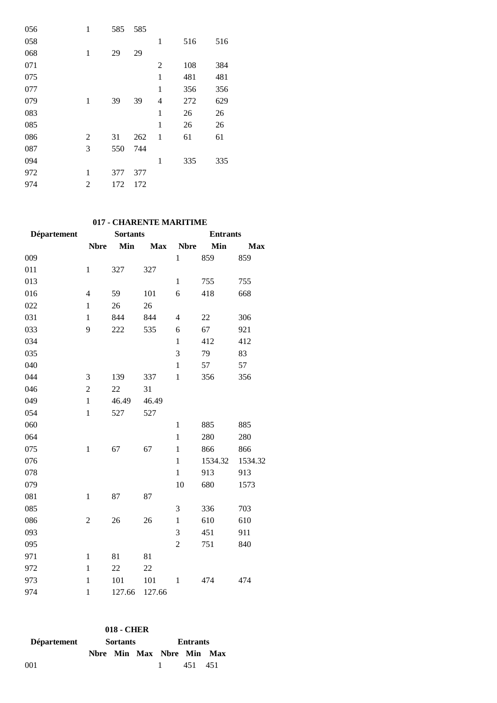| $\mathbf{1}$ | 585 | 585 |                |     |     |
|--------------|-----|-----|----------------|-----|-----|
|              |     |     | 1              | 516 | 516 |
| 1            | 29  | 29  |                |     |     |
|              |     |     | 2              | 108 | 384 |
|              |     |     | 1              | 481 | 481 |
|              |     |     | $\mathbf{1}$   | 356 | 356 |
| 1            | 39  | 39  | $\overline{4}$ | 272 | 629 |
|              |     |     | 1              | 26  | 26  |
|              |     |     | $\mathbf{1}$   | 26  | 26  |
| 2            | 31  | 262 | 1              | 61  | 61  |
| 3            | 550 | 744 |                |     |     |
|              |     |     | 1              | 335 | 335 |
| 1            | 377 | 377 |                |     |     |
| 2            | 172 | 172 |                |     |     |
|              |     |     |                |     |     |

## **017 - CHARENTE MARITIME**

| <b>Département</b> | <b>Sortants</b> |        |            | <b>Entrants</b>          |         |            |  |
|--------------------|-----------------|--------|------------|--------------------------|---------|------------|--|
|                    | <b>Nbre</b>     | Min    | <b>Max</b> | <b>Nbre</b>              | Min     | <b>Max</b> |  |
| 009                |                 |        |            | $\mathbf{1}$             | 859     | 859        |  |
| 011                | $\mathbf{1}$    | 327    | 327        |                          |         |            |  |
| 013                |                 |        |            | $\mathbf{1}$             | 755     | 755        |  |
| 016                | $\overline{4}$  | 59     | 101        | 6                        | 418     | 668        |  |
| 022                | $\mathbf{1}$    | 26     | 26         |                          |         |            |  |
| 031                | $\mathbf{1}$    | 844    | 844        | $\overline{\mathcal{L}}$ | 22      | 306        |  |
| 033                | 9               | 222    | 535        | 6                        | 67      | 921        |  |
| 034                |                 |        |            | $\mathbf{1}$             | 412     | 412        |  |
| 035                |                 |        |            | 3                        | 79      | 83         |  |
| 040                |                 |        |            | $\mathbf{1}$             | 57      | 57         |  |
| 044                | 3               | 139    | 337        | $\mathbf{1}$             | 356     | 356        |  |
| 046                | $\mathbf{2}$    | 22     | 31         |                          |         |            |  |
| 049                | $\mathbf{1}$    | 46.49  | 46.49      |                          |         |            |  |
| 054                | $\mathbf{1}$    | 527    | 527        |                          |         |            |  |
| 060                |                 |        |            | $\mathbf{1}$             | 885     | 885        |  |
| 064                |                 |        |            | $\mathbf{1}$             | 280     | 280        |  |
| 075                | $\mathbf{1}$    | 67     | 67         | $\mathbf{1}$             | 866     | 866        |  |
| 076                |                 |        |            | $\mathbf{1}$             | 1534.32 | 1534.32    |  |
| 078                |                 |        |            | $\mathbf{1}$             | 913     | 913        |  |
| 079                |                 |        |            | 10                       | 680     | 1573       |  |
| 081                | $\mathbf{1}$    | 87     | 87         |                          |         |            |  |
| 085                |                 |        |            | 3                        | 336     | 703        |  |
| 086                | $\overline{2}$  | 26     | 26         | $\mathbf{1}$             | 610     | 610        |  |
| 093                |                 |        |            | 3                        | 451     | 911        |  |
| 095                |                 |        |            | $\overline{2}$           | 751     | 840        |  |
| 971                | $\mathbf{1}$    | 81     | 81         |                          |         |            |  |
| 972                | $\mathbf{1}$    | 22     | 22         |                          |         |            |  |
| 973                | $\mathbf{1}$    | 101    | 101        | $\mathbf{1}$             | 474     | 474        |  |
| 974                | $\mathbf{1}$    | 127.66 | 127.66     |                          |         |            |  |

|                    |  | 018 - CHER      |  |                           |  |  |
|--------------------|--|-----------------|--|---------------------------|--|--|
| <b>Département</b> |  | <b>Sortants</b> |  | <b>Entrants</b>           |  |  |
|                    |  |                 |  | Nbre Min Max Nbre Min Max |  |  |
| 001                |  |                 |  | 1 451 451                 |  |  |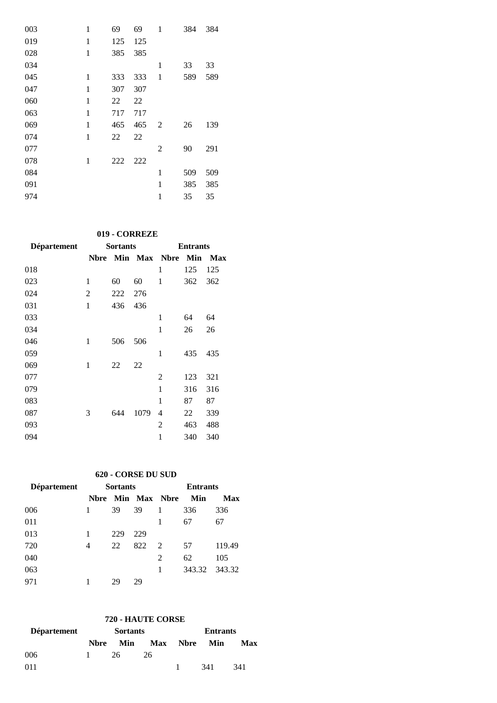| 003 | 1            | 69  | 69  | 1 | 384 | 384 |
|-----|--------------|-----|-----|---|-----|-----|
| 019 | 1            | 125 | 125 |   |     |     |
| 028 | $\mathbf{1}$ | 385 | 385 |   |     |     |
| 034 |              |     |     | 1 | 33  | 33  |
| 045 | 1            | 333 | 333 | 1 | 589 | 589 |
| 047 | 1            | 307 | 307 |   |     |     |
| 060 | 1            | 22  | 22  |   |     |     |
| 063 | 1            | 717 | 717 |   |     |     |
| 069 | 1            | 465 | 465 | 2 | 26  | 139 |
| 074 | 1            | 22  | 22  |   |     |     |
| 077 |              |     |     | 2 | 90  | 291 |
| 078 | 1            | 222 | 222 |   |     |     |
| 084 |              |     |     | 1 | 509 | 509 |
| 091 |              |     |     | 1 | 385 | 385 |
| 974 |              |     |     | 1 | 35  | 35  |

# **019 - CORREZE**

| <b>Département</b> | <b>Sortants</b> |     |      | <b>Entrants</b>  |     |     |  |
|--------------------|-----------------|-----|------|------------------|-----|-----|--|
|                    | <b>Nbre</b>     |     |      | Min Max Nbre Min |     | Max |  |
| 018                |                 |     |      | 1                | 125 | 125 |  |
| 023                | 1               | 60  | 60   | 1                | 362 | 362 |  |
| 024                | $\overline{c}$  | 222 | 276  |                  |     |     |  |
| 031                | 1               | 436 | 436  |                  |     |     |  |
| 033                |                 |     |      | 1                | 64  | 64  |  |
| 034                |                 |     |      | 1                | 26  | 26  |  |
| 046                | 1               | 506 | 506  |                  |     |     |  |
| 059                |                 |     |      | 1                | 435 | 435 |  |
| 069                | 1               | 22  | 22   |                  |     |     |  |
| 077                |                 |     |      | 2                | 123 | 321 |  |
| 079                |                 |     |      | 1                | 316 | 316 |  |
| 083                |                 |     |      | $\mathbf{1}$     | 87  | 87  |  |
| 087                | 3               | 644 | 1079 | 4                | 22  | 339 |  |
| 093                |                 |     |      | 2                | 463 | 488 |  |
| 094                |                 |     |      | 1                | 340 | 340 |  |

## **620 - CORSE DU SUD**

| <b>Département</b> |              | <b>Sortants</b> |     | <b>Entrants</b>     |               |        |
|--------------------|--------------|-----------------|-----|---------------------|---------------|--------|
|                    | <b>N</b> bre |                 |     | <b>Min Max Nbre</b> | Min           | Max    |
| 006                |              | 39              | 39  | 1                   | 336           | 336    |
| 011                |              |                 |     |                     | 67            | 67     |
| 013                |              | 229             | 229 |                     |               |        |
| 720                | 4            | 22              | 822 | $\mathcal{L}$       | 57            | 119.49 |
| 040                |              |                 |     | 2                   | 62            | 105    |
| 063                |              |                 |     | 1                   | 343.32 343.32 |        |
| 971                |              | 29              | 29  |                     |               |        |

# **720 - HAUTE CORSE**

| Département |      | <b>Sortants</b> |                     | <b>Entrants</b> |     |     |  |
|-------------|------|-----------------|---------------------|-----------------|-----|-----|--|
|             | Nbre | <b>Min</b>      | <b>Max Nbre Min</b> |                 |     | Max |  |
| 006         |      | 26              | 26                  |                 |     |     |  |
| 011         |      |                 |                     |                 | 341 | 341 |  |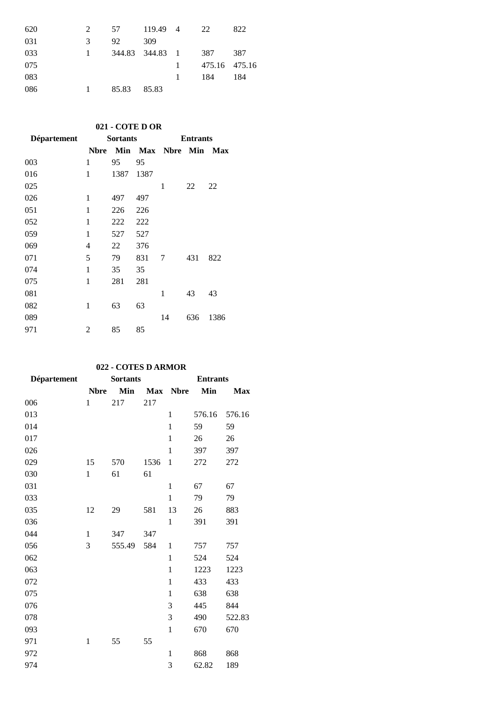| 620 | 2             | 57    | 119.49 4            |              | 22            | 822 |
|-----|---------------|-------|---------------------|--------------|---------------|-----|
| 031 | $\mathcal{R}$ | 92    | 309                 |              |               |     |
| 033 | $\mathbf{1}$  |       | 344.83 344.83 1 387 |              |               | 387 |
| 075 |               |       |                     | $\mathbf{1}$ | 475.16 475.16 |     |
| 083 |               |       |                     |              | 184           | 184 |
| 086 |               | 85.83 | 85.83               |              |               |     |

## **021 - COTE D OR**

| <b>Département</b> |      | <b>Sortants</b> |      | <b>Entrants</b>      |     |      |  |
|--------------------|------|-----------------|------|----------------------|-----|------|--|
|                    | Nbre |                 |      | Min Max Nbre Min Max |     |      |  |
| 003                | 1    | 95              | 95   |                      |     |      |  |
| 016                | 1    | 1387            | 1387 |                      |     |      |  |
| 025                |      |                 |      | 1                    | 22  | 22   |  |
| 026                | 1    | 497             | 497  |                      |     |      |  |
| 051                | 1    | 226             | 226  |                      |     |      |  |
| 052                | 1    | 222             | 222  |                      |     |      |  |
| 059                | 1    | 527             | 527  |                      |     |      |  |
| 069                | 4    | 22              | 376  |                      |     |      |  |
| 071                | 5    | 79              | 831  | 7                    | 431 | 822  |  |
| 074                | 1    | 35              | 35   |                      |     |      |  |
| 075                | 1    | 281             | 281  |                      |     |      |  |
| 081                |      |                 |      | 1                    | 43  | 43   |  |
| 082                | 1    | 63              | 63   |                      |     |      |  |
| 089                |      |                 |      | 14                   | 636 | 1386 |  |
| 971                | 2    | 85              | 85   |                      |     |      |  |

### **022 - COTES D ARMOR**

| Département |              | <b>Sortants</b> |      | <b>Entrants</b> |        |            |  |
|-------------|--------------|-----------------|------|-----------------|--------|------------|--|
|             | <b>Nbre</b>  | Min             |      | Max Nbre        | Min    | <b>Max</b> |  |
| 006         | $\mathbf{1}$ | 217             | 217  |                 |        |            |  |
| 013         |              |                 |      | $\mathbf{1}$    | 576.16 | 576.16     |  |
| 014         |              |                 |      | $\mathbf{1}$    | 59     | 59         |  |
| 017         |              |                 |      | $\mathbf{1}$    | 26     | 26         |  |
| 026         |              |                 |      | 1               | 397    | 397        |  |
| 029         | 15           | 570             | 1536 | $\mathbf{1}$    | 272    | 272        |  |
| 030         | $\mathbf{1}$ | 61              | 61   |                 |        |            |  |
| 031         |              |                 |      | 1               | 67     | 67         |  |
| 033         |              |                 |      | $\mathbf{1}$    | 79     | 79         |  |
| 035         | 12           | 29              | 581  | 13              | 26     | 883        |  |
| 036         |              |                 |      | $\mathbf{1}$    | 391    | 391        |  |
| 044         | 1            | 347             | 347  |                 |        |            |  |
| 056         | 3            | 555.49          | 584  | 1               | 757    | 757        |  |
| 062         |              |                 |      | $\mathbf{1}$    | 524    | 524        |  |
| 063         |              |                 |      | $\mathbf{1}$    | 1223   | 1223       |  |
| 072         |              |                 |      | 1               | 433    | 433        |  |
| 075         |              |                 |      | $\mathbf{1}$    | 638    | 638        |  |
| 076         |              |                 |      | 3               | 445    | 844        |  |
| 078         |              |                 |      | $\mathfrak{Z}$  | 490    | 522.83     |  |
| 093         |              |                 |      | 1               | 670    | 670        |  |
| 971         | $\mathbf{1}$ | 55              | 55   |                 |        |            |  |
| 972         |              |                 |      | $\mathbf{1}$    | 868    | 868        |  |
| 974         |              |                 |      | 3               | 62.82  | 189        |  |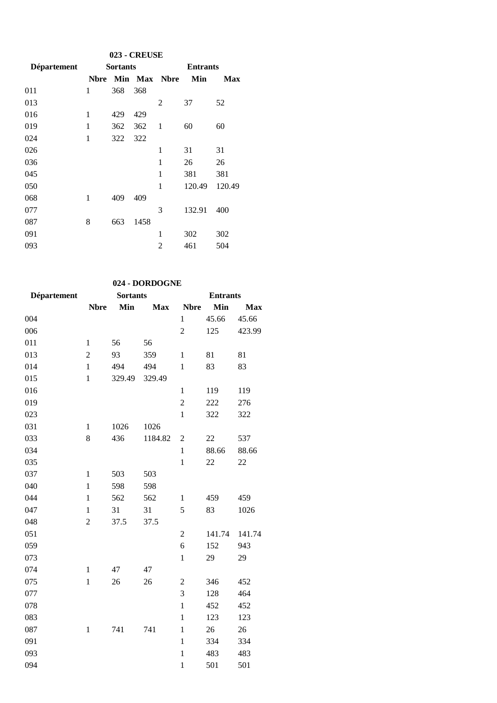| <b>023 - CREUSE</b> |             |                 |         |             |                 |        |  |  |
|---------------------|-------------|-----------------|---------|-------------|-----------------|--------|--|--|
| <b>Département</b>  |             | <b>Sortants</b> |         |             | <b>Entrants</b> |        |  |  |
|                     | <b>Nbre</b> |                 | Min Max | <b>Nbre</b> | Min             | Max    |  |  |
| 011                 | 1           | 368             | 368     |             |                 |        |  |  |
| 013                 |             |                 |         | 2           | 37              | 52     |  |  |
| 016                 | 1           | 429             | 429     |             |                 |        |  |  |
| 019                 | 1           | 362             | 362     | 1           | 60              | 60     |  |  |
| 024                 | 1           | 322             | 322     |             |                 |        |  |  |
| 026                 |             |                 |         | 1           | 31              | 31     |  |  |
| 036                 |             |                 |         | 1           | 26              | 26     |  |  |
| 045                 |             |                 |         | 1           | 381             | 381    |  |  |
| 050                 |             |                 |         | 1           | 120.49          | 120.49 |  |  |
| 068                 | 1           | 409             | 409     |             |                 |        |  |  |
| 077                 |             |                 |         | 3           | 132.91          | 400    |  |  |
| 087                 | 8           | 663             | 1458    |             |                 |        |  |  |
| 091                 |             |                 |         | 1           | 302             | 302    |  |  |
| 093                 |             |                 |         | 2           | 461             | 504    |  |  |

# **024 - DORDOGNE**

| Département |                | <b>Sortants</b> |            | <b>Entrants</b> |        |            |
|-------------|----------------|-----------------|------------|-----------------|--------|------------|
|             | <b>Nbre</b>    | Min             | <b>Max</b> | <b>Nbre</b>     | Min    | <b>Max</b> |
| 004         |                |                 |            | $\mathbf{1}$    | 45.66  | 45.66      |
| 006         |                |                 |            | $\overline{2}$  | 125    | 423.99     |
| 011         | $\mathbf{1}$   | 56              | 56         |                 |        |            |
| 013         | $\overline{c}$ | 93              | 359        | $\mathbf{1}$    | 81     | 81         |
| 014         | $\mathbf{1}$   | 494             | 494        | $\mathbf{1}$    | 83     | 83         |
| 015         | $\mathbf{1}$   | 329.49          | 329.49     |                 |        |            |
| 016         |                |                 |            | $\mathbf{1}$    | 119    | 119        |
| 019         |                |                 |            | $\overline{2}$  | 222    | 276        |
| 023         |                |                 |            | $\mathbf{1}$    | 322    | 322        |
| 031         | $\mathbf{1}$   | 1026            | 1026       |                 |        |            |
| 033         | 8              | 436             | 1184.82    | $\overline{c}$  | 22     | 537        |
| 034         |                |                 |            | $\mathbf{1}$    | 88.66  | 88.66      |
| 035         |                |                 |            | $\mathbf{1}$    | 22     | 22         |
| 037         | $\mathbf{1}$   | 503             | 503        |                 |        |            |
| 040         | $\mathbf{1}$   | 598             | 598        |                 |        |            |
| 044         | $\mathbf{1}$   | 562             | 562        | $\mathbf{1}$    | 459    | 459        |
| 047         | $\mathbf{1}$   | 31              | 31         | 5               | 83     | 1026       |
| 048         | $\overline{2}$ | 37.5            | 37.5       |                 |        |            |
| 051         |                |                 |            | $\overline{2}$  | 141.74 | 141.74     |
| 059         |                |                 |            | 6               | 152    | 943        |
| 073         |                |                 |            | $\mathbf{1}$    | 29     | 29         |
| 074         | $\,1$          | 47              | 47         |                 |        |            |
| 075         | $\mathbf{1}$   | 26              | 26         | 2               | 346    | 452        |
| 077         |                |                 |            | $\overline{3}$  | 128    | 464        |
| 078         |                |                 |            | $\mathbf{1}$    | 452    | 452        |
| 083         |                |                 |            | $\mathbf{1}$    | 123    | 123        |
| 087         | $\mathbf{1}$   | 741             | 741        | $\mathbf{1}$    | 26     | 26         |
| 091         |                |                 |            | $\mathbf{1}$    | 334    | 334        |
| 093         |                |                 |            | $\mathbf{1}$    | 483    | 483        |
| 094         |                |                 |            | $\mathbf{1}$    | 501    | 501        |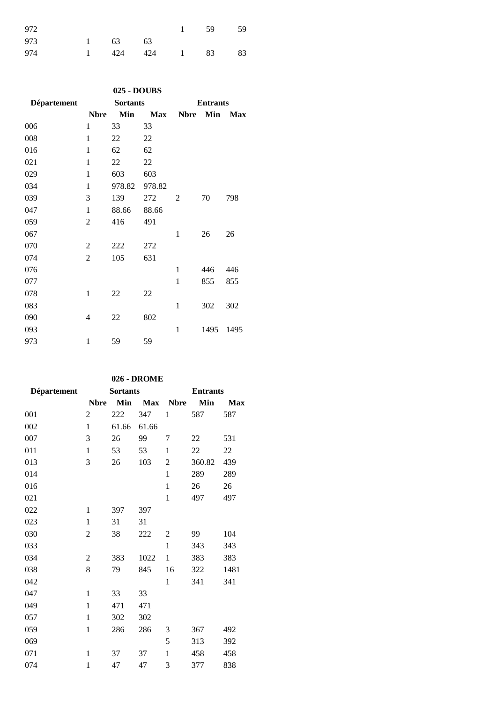| 972 |                 |                | $1 \qquad 59$ | - 59 |
|-----|-----------------|----------------|---------------|------|
| 973 | $1 \t 63 \t 63$ |                |               |      |
| 974 |                 | 1 424 424 1 83 |               | 83   |

| 025 - DOUBS        |                |                 |            |                |                 |            |  |  |  |  |
|--------------------|----------------|-----------------|------------|----------------|-----------------|------------|--|--|--|--|
| <b>Département</b> |                | <b>Sortants</b> |            |                | <b>Entrants</b> |            |  |  |  |  |
|                    | <b>Nbre</b>    | Min             | <b>Max</b> | <b>Nbre</b>    | Min             | <b>Max</b> |  |  |  |  |
| 006                | 1              | 33              | 33         |                |                 |            |  |  |  |  |
| 008                | 1              | 22              | 22         |                |                 |            |  |  |  |  |
| 016                | 1              | 62              | 62         |                |                 |            |  |  |  |  |
| 021                | 1              | 22              | 22         |                |                 |            |  |  |  |  |
| 029                | $\mathbf{1}$   | 603             | 603        |                |                 |            |  |  |  |  |
| 034                | 1              | 978.82          | 978.82     |                |                 |            |  |  |  |  |
| 039                | 3              | 139             | 272        | $\overline{2}$ | 70              | 798        |  |  |  |  |
| 047                | 1              | 88.66           | 88.66      |                |                 |            |  |  |  |  |
| 059                | 2              | 416             | 491        |                |                 |            |  |  |  |  |
| 067                |                |                 |            | 1              | 26              | 26         |  |  |  |  |
| 070                | $\overline{c}$ | 222             | 272        |                |                 |            |  |  |  |  |
| 074                | $\overline{2}$ | 105             | 631        |                |                 |            |  |  |  |  |
| 076                |                |                 |            | 1              | 446             | 446        |  |  |  |  |
| 077                |                |                 |            | $\mathbf{1}$   | 855             | 855        |  |  |  |  |
| 078                | $\mathbf{1}$   | 22              | 22         |                |                 |            |  |  |  |  |
| 083                |                |                 |            | $\mathbf{1}$   | 302             | 302        |  |  |  |  |
| 090                | 4              | 22              | 802        |                |                 |            |  |  |  |  |
| 093                |                |                 |            | 1              | 1495            | 1495       |  |  |  |  |
| 973                | 1              | 59              | 59         |                |                 |            |  |  |  |  |

### **026 - DROME**

| <b>Département</b> |                | <b>Sortants</b> |            | <b>Entrants</b> |        |            |
|--------------------|----------------|-----------------|------------|-----------------|--------|------------|
|                    | <b>Nbre</b>    | Min             | <b>Max</b> | <b>Nbre</b>     | Min    | <b>Max</b> |
| 001                | $\mathfrak{2}$ | 222             | 347        | 1               | 587    | 587        |
| 002                | $\mathbf{1}$   | 61.66           | 61.66      |                 |        |            |
| 007                | 3              | 26              | 99         | 7               | 22     | 531        |
| 011                | $\mathbf{1}$   | 53              | 53         | $\mathbf{1}$    | 22     | 22         |
| 013                | 3              | 26              | 103        | $\overline{c}$  | 360.82 | 439        |
| 014                |                |                 |            | $\mathbf{1}$    | 289    | 289        |
| 016                |                |                 |            | $\mathbf{1}$    | 26     | 26         |
| 021                |                |                 |            | 1               | 497    | 497        |
| 022                | $\mathbf{1}$   | 397             | 397        |                 |        |            |
| 023                | 1              | 31              | 31         |                 |        |            |
| 030                | 2              | 38              | 222        | 2               | 99     | 104        |
| 033                |                |                 |            | $\mathbf{1}$    | 343    | 343        |
| 034                | 2              | 383             | 1022       | $\mathbf{1}$    | 383    | 383        |
| 038                | 8              | 79              | 845        | 16              | 322    | 1481       |
| 042                |                |                 |            | 1               | 341    | 341        |
| 047                | $\mathbf{1}$   | 33              | 33         |                 |        |            |
| 049                | $\mathbf{1}$   | 471             | 471        |                 |        |            |
| 057                | $\mathbf{1}$   | 302             | 302        |                 |        |            |
| 059                | $\mathbf{1}$   | 286             | 286        | 3               | 367    | 492        |
| 069                |                |                 |            | 5               | 313    | 392        |
| 071                | $\mathbf{1}$   | 37              | 37         | $\mathbf{1}$    | 458    | 458        |
| 074                | $\mathbf{1}$   | 47              | 47         | 3               | 377    | 838        |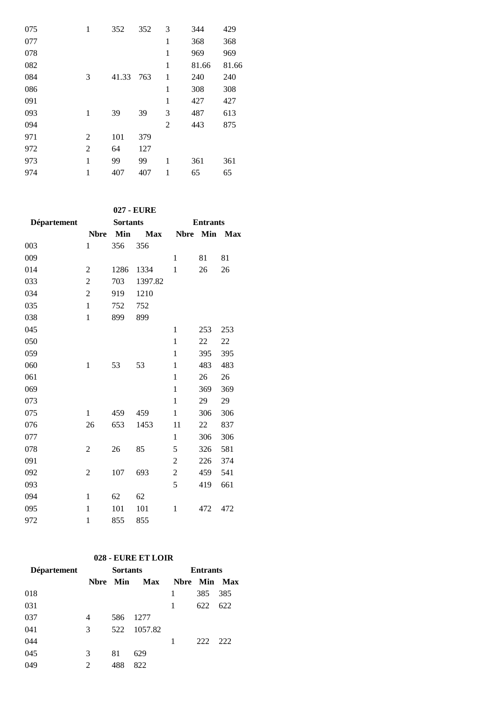| 075 | 1 | 352   | 352 | 3 | 344   | 429   |
|-----|---|-------|-----|---|-------|-------|
| 077 |   |       |     | 1 | 368   | 368   |
| 078 |   |       |     | 1 | 969   | 969   |
| 082 |   |       |     | 1 | 81.66 | 81.66 |
| 084 | 3 | 41.33 | 763 | 1 | 240   | 240   |
| 086 |   |       |     | 1 | 308   | 308   |
| 091 |   |       |     | 1 | 427   | 427   |
| 093 | 1 | 39    | 39  | 3 | 487   | 613   |
| 094 |   |       |     | 2 | 443   | 875   |
| 971 | 2 | 101   | 379 |   |       |       |
| 972 | 2 | 64    | 127 |   |       |       |
| 973 | 1 | 99    | 99  | 1 | 361   | 361   |
| 974 | 1 | 407   | 407 | 1 | 65    | 65    |

**027 - EURE**

| <b>Département</b> |                | <b>Sortants</b> |            | <b>Entrants</b> |     |            |  |
|--------------------|----------------|-----------------|------------|-----------------|-----|------------|--|
|                    | <b>Nbre</b>    | Min             | <b>Max</b> | <b>Nbre</b>     | Min | <b>Max</b> |  |
| 003                | $\mathbf{1}$   | 356             | 356        |                 |     |            |  |
| 009                |                |                 |            | $\mathbf{1}$    | 81  | 81         |  |
| 014                | $\overline{2}$ | 1286            | 1334       | $\mathbf{1}$    | 26  | 26         |  |
| 033                | $\overline{2}$ | 703             | 1397.82    |                 |     |            |  |
| 034                | $\overline{2}$ | 919             | 1210       |                 |     |            |  |
| 035                | $\mathbf{1}$   | 752             | 752        |                 |     |            |  |
| 038                | $\mathbf{1}$   | 899             | 899        |                 |     |            |  |
| 045                |                |                 |            | 1               | 253 | 253        |  |
| 050                |                |                 |            | $\mathbf{1}$    | 22  | 22         |  |
| 059                |                |                 |            | $\mathbf{1}$    | 395 | 395        |  |
| 060                | $\mathbf{1}$   | 53              | 53         | $\mathbf{1}$    | 483 | 483        |  |
| 061                |                |                 |            | $\mathbf{1}$    | 26  | 26         |  |
| 069                |                |                 |            | $\mathbf{1}$    | 369 | 369        |  |
| 073                |                |                 |            | $\mathbf{1}$    | 29  | 29         |  |
| 075                | $\mathbf{1}$   | 459             | 459        | $\mathbf{1}$    | 306 | 306        |  |
| 076                | 26             | 653             | 1453       | 11              | 22  | 837        |  |
| 077                |                |                 |            | 1               | 306 | 306        |  |
| 078                | $\overline{2}$ | 26              | 85         | 5               | 326 | 581        |  |
| 091                |                |                 |            | $\overline{c}$  | 226 | 374        |  |
| 092                | 2              | 107             | 693        | 2               | 459 | 541        |  |
| 093                |                |                 |            | 5               | 419 | 661        |  |
| 094                | 1              | 62              | 62         |                 |     |            |  |
| 095                | 1              | 101             | 101        | $\mathbf{1}$    | 472 | 472        |  |
| 972                | $\mathbf{1}$   | 855             | 855        |                 |     |            |  |
|                    |                |                 |            |                 |     |            |  |

#### **028 - EURE ET LOIR**

| <b>Département</b> |   | <b>Sortants</b> |            | <b>Entrants</b> |     |                |  |
|--------------------|---|-----------------|------------|-----------------|-----|----------------|--|
|                    |   | Nbre Min        | <b>Max</b> | <b>Nbre</b>     |     | <b>Min Max</b> |  |
| 018                |   |                 |            |                 | 385 | 385            |  |
| 031                |   |                 |            | 1               | 622 | 622            |  |
| 037                | 4 | 586             | 1277       |                 |     |                |  |
| 041                | 3 | 522             | 1057.82    |                 |     |                |  |
| 044                |   |                 |            | 1               | 222 | 222            |  |
| 045                | 3 | 81              | 629        |                 |     |                |  |
| 049                | 2 | 488             | 822        |                 |     |                |  |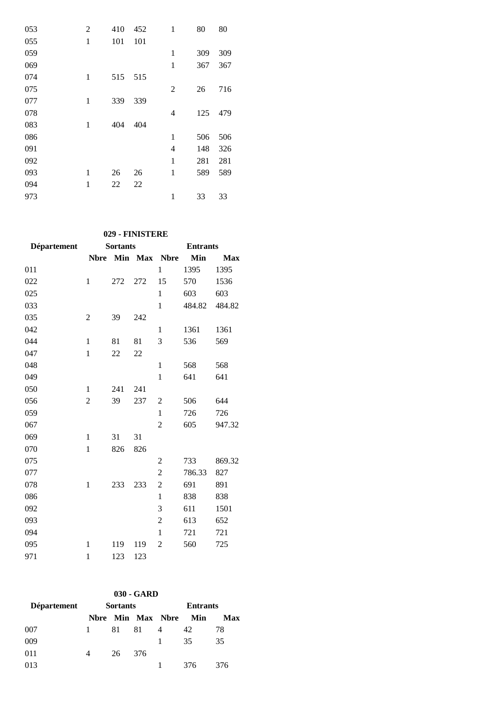| 053 | 2            | 410 | 452 | 1            | 80  | 80  |
|-----|--------------|-----|-----|--------------|-----|-----|
| 055 | $\mathbf{1}$ | 101 | 101 |              |     |     |
| 059 |              |     |     | 1            | 309 | 309 |
| 069 |              |     |     | $\mathbf{1}$ | 367 | 367 |
| 074 | 1            | 515 | 515 |              |     |     |
| 075 |              |     |     | 2            | 26  | 716 |
| 077 | 1            | 339 | 339 |              |     |     |
| 078 |              |     |     | 4            | 125 | 479 |
| 083 | 1            | 404 | 404 |              |     |     |
| 086 |              |     |     | 1            | 506 | 506 |
| 091 |              |     |     | 4            | 148 | 326 |
| 092 |              |     |     | $\mathbf{1}$ | 281 | 281 |
| 093 | 1            | 26  | 26  | $\mathbf{1}$ | 589 | 589 |
| 094 | 1            | 22  | 22  |              |     |     |
| 973 |              |     |     | 1            | 33  | 33  |

# **029 - FINISTERE**

| Département |                | <b>Sortants</b> |     | <b>Entrants</b> |        |            |
|-------------|----------------|-----------------|-----|-----------------|--------|------------|
|             | <b>Nbre</b>    |                 |     | Min Max Nbre    | Min    | <b>Max</b> |
| 011         |                |                 |     | $\mathbf{1}$    | 1395   | 1395       |
| 022         | $\mathbf{1}$   | 272             | 272 | 15              | 570    | 1536       |
| 025         |                |                 |     | $\mathbf{1}$    | 603    | 603        |
| 033         |                |                 |     | $\mathbf{1}$    | 484.82 | 484.82     |
| 035         | 2              | 39              | 242 |                 |        |            |
| 042         |                |                 |     | $\mathbf{1}$    | 1361   | 1361       |
| 044         | $\mathbf{1}$   | 81              | 81  | 3               | 536    | 569        |
| 047         | $\mathbf{1}$   | 22              | 22  |                 |        |            |
| 048         |                |                 |     | $\mathbf{1}$    | 568    | 568        |
| 049         |                |                 |     | $\mathbf{1}$    | 641    | 641        |
| 050         | $\mathbf{1}$   | 241             | 241 |                 |        |            |
| 056         | $\overline{c}$ | 39              | 237 | $\overline{2}$  | 506    | 644        |
| 059         |                |                 |     | $\mathbf{1}$    | 726    | 726        |
| 067         |                |                 |     | $\overline{c}$  | 605    | 947.32     |
| 069         | $\mathbf{1}$   | 31              | 31  |                 |        |            |
| 070         | $\mathbf{1}$   | 826             | 826 |                 |        |            |
| 075         |                |                 |     | $\overline{2}$  | 733    | 869.32     |
| 077         |                |                 |     | $\overline{2}$  | 786.33 | 827        |
| 078         | $\mathbf{1}$   | 233             | 233 | $\overline{2}$  | 691    | 891        |
| 086         |                |                 |     | $\mathbf{1}$    | 838    | 838        |
| 092         |                |                 |     | 3               | 611    | 1501       |
| 093         |                |                 |     | $\overline{c}$  | 613    | 652        |
| 094         |                |                 |     | 1               | 721    | 721        |
| 095         | 1              | 119             | 119 | 2               | 560    | 725        |
| 971         | $\mathbf{1}$   | 123             | 123 |                 |        |            |
|             |                |                 |     |                 |        |            |

| $030 - GARD$       |   |                 |     |                   |     |     |  |  |  |
|--------------------|---|-----------------|-----|-------------------|-----|-----|--|--|--|
| <b>Département</b> |   | <b>Sortants</b> |     | <b>Entrants</b>   |     |     |  |  |  |
|                    |   |                 |     | Nbre Min Max Nbre | Min | Max |  |  |  |
| 007                | 1 | 81              | 81  | 4                 | 42  | 78  |  |  |  |
| 009                |   |                 |     |                   | 35  | 35  |  |  |  |
| 011                | 4 | 26              | 376 |                   |     |     |  |  |  |
| 013                |   |                 |     |                   | 376 | 376 |  |  |  |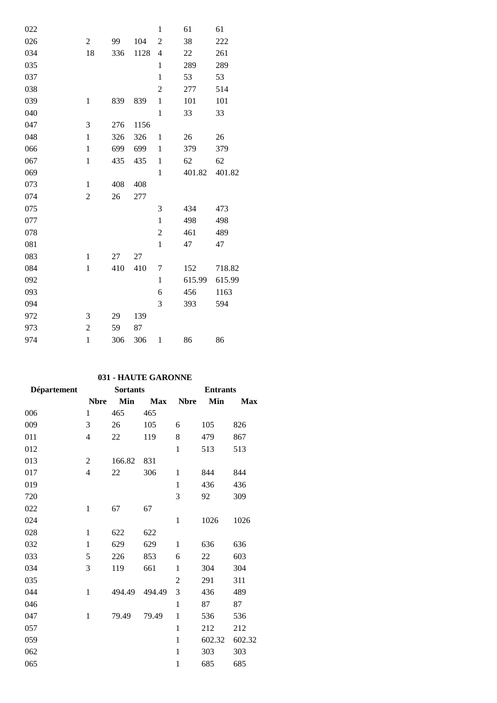| 022 |                  |     |      | $\mathbf{1}$     | 61     | 61     |
|-----|------------------|-----|------|------------------|--------|--------|
| 026 | $\boldsymbol{2}$ | 99  | 104  | $\overline{2}$   | 38     | 222    |
| 034 | 18               | 336 | 1128 | $\overline{4}$   | 22     | 261    |
| 035 |                  |     |      | $\mathbf{1}$     | 289    | 289    |
| 037 |                  |     |      | $\mathbf{1}$     | 53     | 53     |
| 038 |                  |     |      | 2                | 277    | 514    |
| 039 | $\mathbf{1}$     | 839 | 839  | $\mathbf{1}$     | 101    | 101    |
| 040 |                  |     |      | $\mathbf{1}$     | 33     | 33     |
| 047 | 3                | 276 | 1156 |                  |        |        |
| 048 | $\mathbf{1}$     | 326 | 326  | $\mathbf{1}$     | 26     | 26     |
| 066 | $\mathbf{1}$     | 699 | 699  | $\mathbf{1}$     | 379    | 379    |
| 067 | $\mathbf{1}$     | 435 | 435  | $\mathbf{1}$     | 62     | 62     |
| 069 |                  |     |      | $\mathbf{1}$     | 401.82 | 401.82 |
| 073 | $\mathbf{1}$     | 408 | 408  |                  |        |        |
| 074 | $\overline{2}$   | 26  | 277  |                  |        |        |
| 075 |                  |     |      | 3                | 434    | 473    |
| 077 |                  |     |      | $\mathbf{1}$     | 498    | 498    |
| 078 |                  |     |      | $\boldsymbol{2}$ | 461    | 489    |
| 081 |                  |     |      | $\mathbf 1$      | 47     | 47     |
| 083 | $\mathbf{1}$     | 27  | 27   |                  |        |        |
| 084 | $\mathbf{1}$     | 410 | 410  | 7                | 152    | 718.82 |
| 092 |                  |     |      | $\mathbf{1}$     | 615.99 | 615.99 |
| 093 |                  |     |      | 6                | 456    | 1163   |
| 094 |                  |     |      | 3                | 393    | 594    |
| 972 | 3                | 29  | 139  |                  |        |        |
| 973 | $\overline{c}$   | 59  | 87   |                  |        |        |
| 974 | $\mathbf{1}$     | 306 | 306  | $\mathbf{1}$     | 86     | 86     |

## **031 - HAUTE GARONNE**

| Département |                | <b>Sortants</b><br><b>Entrants</b> |            |                |        |            |
|-------------|----------------|------------------------------------|------------|----------------|--------|------------|
|             | <b>Nbre</b>    | Min                                | <b>Max</b> | <b>Nbre</b>    | Min    | <b>Max</b> |
| 006         | $\mathbf{1}$   | 465                                | 465        |                |        |            |
| 009         | 3              | 26                                 | 105        | 6              | 105    | 826        |
| 011         | 4              | 22                                 | 119        | 8              | 479    | 867        |
| 012         |                |                                    |            | $\mathbf{1}$   | 513    | 513        |
| 013         | $\overline{2}$ | 166.82                             | 831        |                |        |            |
| 017         | $\overline{4}$ | 22                                 | 306        | 1              | 844    | 844        |
| 019         |                |                                    |            | 1              | 436    | 436        |
| 720         |                |                                    |            | 3              | 92     | 309        |
| 022         | $\mathbf{1}$   | 67                                 | 67         |                |        |            |
| 024         |                |                                    |            | $\mathbf{1}$   | 1026   | 1026       |
| 028         | $\mathbf{1}$   | 622                                | 622        |                |        |            |
| 032         | $\mathbf{1}$   | 629                                | 629        | $\mathbf{1}$   | 636    | 636        |
| 033         | 5              | 226                                | 853        | 6              | 22     | 603        |
| 034         | 3              | 119                                | 661        | 1              | 304    | 304        |
| 035         |                |                                    |            | $\overline{2}$ | 291    | 311        |
| 044         | $\mathbf{1}$   | 494.49                             | 494.49     | 3              | 436    | 489        |
| 046         |                |                                    |            | $\mathbf{1}$   | 87     | 87         |
| 047         | 1              | 79.49                              | 79.49      | $\mathbf{1}$   | 536    | 536        |
| 057         |                |                                    |            | $\mathbf{1}$   | 212    | 212        |
| 059         |                |                                    |            | $\mathbf{1}$   | 602.32 | 602.32     |
| 062         |                |                                    |            | $\mathbf{1}$   | 303    | 303        |
| 065         |                |                                    |            | $\mathbf{1}$   | 685    | 685        |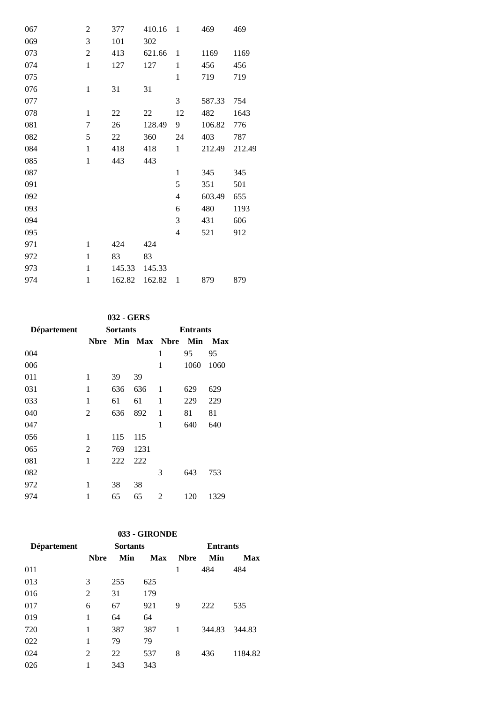| $\overline{c}$   | 377    | 410.16 | -1                       | 469    | 469    |
|------------------|--------|--------|--------------------------|--------|--------|
| 3                | 101    | 302    |                          |        |        |
| $\overline{c}$   | 413    | 621.66 | $\mathbf{1}$             | 1169   | 1169   |
| $\mathbf{1}$     | 127    | 127    | $\mathbf{1}$             | 456    | 456    |
|                  |        |        | $\mathbf{1}$             | 719    | 719    |
| $\mathbf{1}$     | 31     | 31     |                          |        |        |
|                  |        |        | 3                        | 587.33 | 754    |
| $\mathbf{1}$     | 22     | 22     | 12                       | 482    | 1643   |
| $\boldsymbol{7}$ | 26     | 128.49 | 9                        | 106.82 | 776    |
| 5                | 22     | 360    | 24                       | 403    | 787    |
| $\mathbf{1}$     | 418    | 418    | $\mathbf{1}$             | 212.49 | 212.49 |
| $\mathbf{1}$     | 443    | 443    |                          |        |        |
|                  |        |        | $\mathbf{1}$             | 345    | 345    |
|                  |        |        | 5                        | 351    | 501    |
|                  |        |        | $\overline{\mathcal{L}}$ | 603.49 | 655    |
|                  |        |        | 6                        | 480    | 1193   |
|                  |        |        | 3                        | 431    | 606    |
|                  |        |        | $\overline{\mathcal{L}}$ | 521    | 912    |
| 1                | 424    | 424    |                          |        |        |
| $\mathbf{1}$     | 83     | 83     |                          |        |        |
| $\mathbf{1}$     | 145.33 | 145.33 |                          |        |        |
| $\mathbf{1}$     | 162.82 | 162.82 | $\mathbf{1}$             | 879    | 879    |
|                  |        |        |                          |        |        |

## **032 - GERS**

| Département |   | <b>Sortants</b> |      | <b>Entrants</b>   |      |      |
|-------------|---|-----------------|------|-------------------|------|------|
|             |   |                 |      | Nbre Min Max Nbre | Min  | Max  |
| 004         |   |                 |      | 1                 | 95   | 95   |
| 006         |   |                 |      | 1                 | 1060 | 1060 |
| 011         | 1 | 39              | 39   |                   |      |      |
| 031         | 1 | 636             | 636  | 1                 | 629  | 629  |
| 033         | 1 | 61              | 61   | 1                 | 229  | 229  |
| 040         | 2 | 636             | 892  | 1                 | 81   | 81   |
| 047         |   |                 |      | 1                 | 640  | 640  |
| 056         | 1 | 115             | 115  |                   |      |      |
| 065         | 2 | 769             | 1231 |                   |      |      |
| 081         | 1 | 222             | 222  |                   |      |      |
| 082         |   |                 |      | 3                 | 643  | 753  |
| 972         | 1 | 38              | 38   |                   |      |      |
| 974         | 1 | 65              | 65   | 2                 | 120  | 1329 |

| 033 - GIRONDE |              |                 |            |             |                 |        |  |  |
|---------------|--------------|-----------------|------------|-------------|-----------------|--------|--|--|
| Département   |              | <b>Sortants</b> |            |             | <b>Entrants</b> |        |  |  |
|               | <b>N</b> bre | Min             | <b>Max</b> | <b>Nbre</b> | Min             | Max    |  |  |
| 011           |              |                 |            |             | 484             | 484    |  |  |
| 013           | 3            | 255             | 625        |             |                 |        |  |  |
| 016           | 2            | 31              | 179        |             |                 |        |  |  |
| 017           | 6            | 67              | 921        | 9           | 222             | 535    |  |  |
| 019           | 1            | 64              | 64         |             |                 |        |  |  |
| 720           | 1            | 387             | 387        | 1           | 344.83          | 344.83 |  |  |
| 022           |              | 79              | 79         |             |                 |        |  |  |

| .   | $\sim$ $\sim$ $\prime$ | --- |                        |  |
|-----|------------------------|-----|------------------------|--|
| 022 | 1 79 79                |     |                        |  |
| 024 |                        |     | 2 22 537 8 436 1184.82 |  |
| 026 | 1 343 343              |     |                        |  |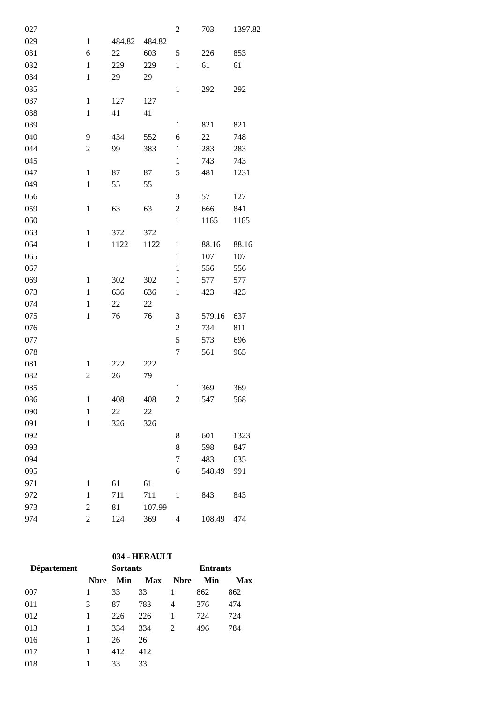| 027 |                |        |        | 2                | 703    | 1397.82 |
|-----|----------------|--------|--------|------------------|--------|---------|
| 029 | $\mathbf{1}$   | 484.82 | 484.82 |                  |        |         |
| 031 | 6              | 22     | 603    | 5                | 226    | 853     |
| 032 | $\,1$          | 229    | 229    | $\mathbf{1}$     | 61     | 61      |
| 034 | $\,1$          | 29     | 29     |                  |        |         |
| 035 |                |        |        | $\,1$            | 292    | 292     |
| 037 | $\,1$          | 127    | 127    |                  |        |         |
| 038 | $\,1$          | 41     | 41     |                  |        |         |
| 039 |                |        |        | $\,1$            | 821    | 821     |
| 040 | 9              | 434    | 552    | 6                | 22     | 748     |
| 044 | $\overline{c}$ | 99     | 383    | $\mathbf{1}$     | 283    | 283     |
| 045 |                |        |        | $\,1$            | 743    | 743     |
| 047 | $\,1$          | 87     | 87     | 5                | 481    | 1231    |
| 049 | $\mathbf{1}$   | 55     | 55     |                  |        |         |
| 056 |                |        |        | 3                | 57     | 127     |
| 059 | $\,1$          | 63     | 63     | $\sqrt{2}$       | 666    | 841     |
| 060 |                |        |        | $\mathbf{1}$     | 1165   | 1165    |
| 063 | $\mathbf{1}$   | 372    | 372    |                  |        |         |
| 064 | $\,1$          | 1122   | 1122   | $\mathbf{1}$     | 88.16  | 88.16   |
| 065 |                |        |        | $\mathbf{1}$     | 107    | 107     |
| 067 |                |        |        | $\mathbf{1}$     | 556    | 556     |
| 069 | $\mathbf{1}$   | 302    | 302    | $\,1$            | 577    | 577     |
| 073 | $\mathbf{1}$   | 636    | 636    | $\mathbf{1}$     | 423    | 423     |
| 074 | $\mathbf{1}$   | $22\,$ | 22     |                  |        |         |
| 075 | $\mathbf{1}$   | 76     | 76     | 3                | 579.16 | 637     |
| 076 |                |        |        | $\mathfrak{2}$   | 734    | 811     |
| 077 |                |        |        | 5                | 573    | 696     |
| 078 |                |        |        | 7                | 561    | 965     |
| 081 | $\mathbf{1}$   | 222    | 222    |                  |        |         |
| 082 | 2              | 26     | 79     |                  |        |         |
| 085 |                |        |        | $\mathbf{1}$     | 369    | 369     |
| 086 | $\mathbf{1}$   | 408    | 408    | $\boldsymbol{2}$ | 547    | 568     |
| 090 | $\mathbf{1}$   | 22     | 22     |                  |        |         |
| 091 | $\,1$          | 326    | 326    |                  |        |         |
| 092 |                |        |        | 8                | 601    | 1323    |
| 093 |                |        |        | 8                | 598    | 847     |
| 094 |                |        |        | 7                | 483    | 635     |
| 095 |                |        |        | 6                | 548.49 | 991     |
| 971 | $\mathbf{1}$   | 61     | 61     |                  |        |         |
| 972 | $\mathbf{1}$   | 711    | 711    | $\mathbf{1}$     | 843    | 843     |
| 973 | $\overline{c}$ | 81     | 107.99 |                  |        |         |
| 974 | $\overline{2}$ | 124    | 369    | 4                | 108.49 | 474     |
|     |                |        |        |                  |        |         |

# **034 - HERAULT**

| <b>Département</b> | <b>Sortants</b> |     |            | <b>Entrants</b> |     |            |  |
|--------------------|-----------------|-----|------------|-----------------|-----|------------|--|
|                    | <b>N</b> bre    | Min | <b>Max</b> | <b>Nbre</b>     | Min | <b>Max</b> |  |
| 007                |                 | 33  | 33         | 1               | 862 | 862        |  |
| 011                | 3               | 87  | 783        | 4               | 376 | 474        |  |
| 012                |                 | 226 | 226        | 1               | 724 | 724        |  |
| 013                |                 | 334 | 334        | 2               | 496 | 784        |  |
| 016                | 1               | 26  | 26         |                 |     |            |  |
| 017                |                 | 412 | 412        |                 |     |            |  |
| 018                |                 | 33  | 33         |                 |     |            |  |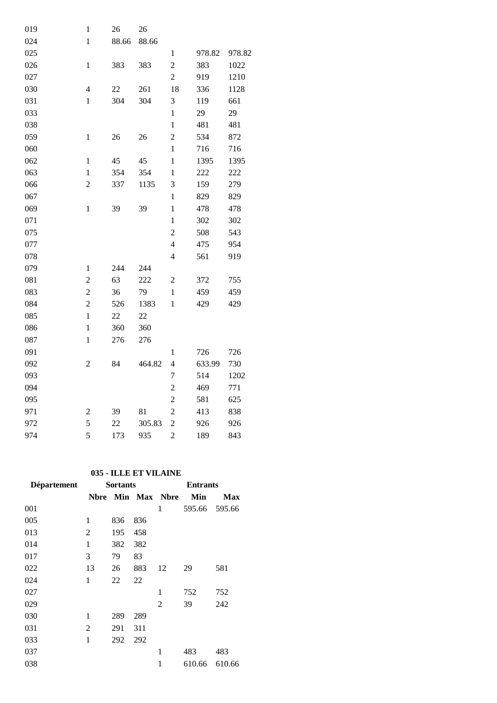| 019 | $\mathbf{1}$     | 26     | 26     |                |        |        |
|-----|------------------|--------|--------|----------------|--------|--------|
| 024 | $\,1$            | 88.66  | 88.66  |                |        |        |
| 025 |                  |        |        | $\mathbf{1}$   | 978.82 | 978.82 |
| 026 | $\mathbf{1}$     | 383    | 383    | $\overline{c}$ | 383    | 1022   |
| 027 |                  |        |        | $\overline{c}$ | 919    | 1210   |
| 030 | $\overline{4}$   | $22\,$ | 261    | 18             | 336    | 1128   |
| 031 | $\mathbf{1}$     | 304    | 304    | 3              | 119    | 661    |
| 033 |                  |        |        | $\mathbf{1}$   | 29     | 29     |
| 038 |                  |        |        | $\mathbf{1}$   | 481    | 481    |
| 059 | $\mathbf{1}$     | 26     | 26     | $\overline{c}$ | 534    | 872    |
| 060 |                  |        |        | $\mathbf{1}$   | 716    | 716    |
| 062 | $\,1$            | 45     | 45     | $\,1$          | 1395   | 1395   |
| 063 | $\mathbf{1}$     | 354    | 354    | $\mathbf{1}$   | 222    | 222    |
| 066 | $\overline{c}$   | 337    | 1135   | 3              | 159    | 279    |
| 067 |                  |        |        | $\mathbf{1}$   | 829    | 829    |
| 069 | $\mathbf{1}$     | 39     | 39     | $\mathbf{1}$   | 478    | 478    |
| 071 |                  |        |        | $\mathbf{1}$   | 302    | 302    |
| 075 |                  |        |        | $\overline{c}$ | 508    | 543    |
| 077 |                  |        |        | $\overline{4}$ | 475    | 954    |
| 078 |                  |        |        | $\overline{4}$ | 561    | 919    |
| 079 | $\mathbf{1}$     | 244    | 244    |                |        |        |
| 081 | $\overline{c}$   | 63     | 222    | $\overline{c}$ | 372    | 755    |
| 083 | $\overline{c}$   | 36     | 79     | $\mathbf{1}$   | 459    | 459    |
| 084 | $\overline{c}$   | 526    | 1383   | $\mathbf{1}$   | 429    | 429    |
| 085 | $\mathbf{1}$     | 22     | 22     |                |        |        |
| 086 | $\mathbf{1}$     | 360    | 360    |                |        |        |
| 087 | $\mathbf{1}$     | 276    | 276    |                |        |        |
| 091 |                  |        |        | $\mathbf{1}$   | 726    | 726    |
| 092 | $\overline{2}$   | 84     | 464.82 | $\overline{4}$ | 633.99 | 730    |
| 093 |                  |        |        | 7              | 514    | 1202   |
| 094 |                  |        |        | $\overline{c}$ | 469    | 771    |
| 095 |                  |        |        | $\overline{c}$ | 581    | 625    |
| 971 | $\boldsymbol{2}$ | 39     | 81     | $\overline{c}$ | 413    | 838    |
| 972 | 5                | 22     | 305.83 | $\overline{c}$ | 926    | 926    |
| 974 | 5                | 173    | 935    | $\overline{c}$ | 189    | 843    |

# **035 - ILLE ET VILAINE**

| <b>Département</b> |             | <b>Sortants</b> |              | <b>Entrants</b> |        |            |  |
|--------------------|-------------|-----------------|--------------|-----------------|--------|------------|--|
|                    | <b>Nbre</b> |                 | Min Max Nbre |                 | Min    | <b>Max</b> |  |
| 001                |             |                 |              | 1               | 595.66 | 595.66     |  |
| 005                | 1           | 836             | 836          |                 |        |            |  |
| 013                | 2           | 195             | 458          |                 |        |            |  |
| 014                | 1           | 382             | 382          |                 |        |            |  |
| 017                | 3           | 79              | 83           |                 |        |            |  |
| 022                | 13          | 26              | 883          | 12              | 29     | 581        |  |
| 024                | 1           | 22              | 22           |                 |        |            |  |
| 027                |             |                 |              | 1               | 752    | 752        |  |
| 029                |             |                 |              | 2               | 39     | 242        |  |
| 030                | 1           | 289             | 289          |                 |        |            |  |
| 031                | 2           | 291             | 311          |                 |        |            |  |
| 033                | 1           | 292             | 292          |                 |        |            |  |
| 037                |             |                 |              | 1               | 483    | 483        |  |
| 038                |             |                 |              | 1               | 610.66 | 610.66     |  |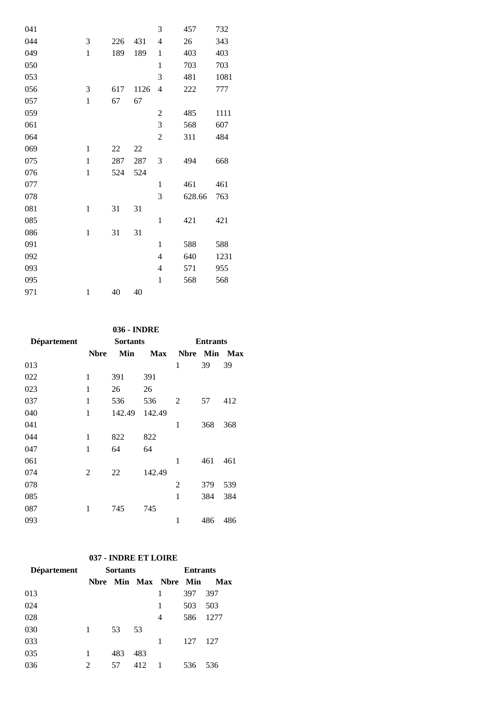| 041 |              |     |      | 3                        | 457    | 732  |
|-----|--------------|-----|------|--------------------------|--------|------|
| 044 | 3            | 226 | 431  | $\overline{4}$           | 26     | 343  |
| 049 | $\mathbf{1}$ | 189 | 189  | $\mathbf{1}$             | 403    | 403  |
| 050 |              |     |      | 1                        | 703    | 703  |
| 053 |              |     |      | 3                        | 481    | 1081 |
| 056 | 3            | 617 | 1126 | 4                        | 222    | 777  |
| 057 | $\mathbf 1$  | 67  | 67   |                          |        |      |
| 059 |              |     |      | $\boldsymbol{2}$         | 485    | 1111 |
| 061 |              |     |      | 3                        | 568    | 607  |
| 064 |              |     |      | $\overline{c}$           | 311    | 484  |
| 069 | $\mathbf{1}$ | 22  | 22   |                          |        |      |
| 075 | $\mathbf{1}$ | 287 | 287  | $\mathfrak{Z}$           | 494    | 668  |
| 076 | $\mathbf{1}$ | 524 | 524  |                          |        |      |
| 077 |              |     |      | $\mathbf{1}$             | 461    | 461  |
| 078 |              |     |      | 3                        | 628.66 | 763  |
| 081 | $\mathbf{1}$ | 31  | 31   |                          |        |      |
| 085 |              |     |      | $\mathbf{1}$             | 421    | 421  |
| 086 | $\mathbf{1}$ | 31  | 31   |                          |        |      |
| 091 |              |     |      | $\mathbf{1}$             | 588    | 588  |
| 092 |              |     |      | $\overline{\mathcal{L}}$ | 640    | 1231 |
| 093 |              |     |      | $\overline{4}$           | 571    | 955  |
| 095 |              |     |      | $\mathbf{1}$             | 568    | 568  |
| 971 | $\mathbf{1}$ | 40  | 40   |                          |        |      |

### **036 - INDRE**

| Département |              | <b>Sortants</b> |            | <b>Entrants</b> |     |     |  |
|-------------|--------------|-----------------|------------|-----------------|-----|-----|--|
|             | <b>Nbre</b>  | Min             | <b>Max</b> | <b>Nbre</b>     | Min | Max |  |
| 013         |              |                 |            | 1               | 39  | 39  |  |
| 022         | 1            | 391             | 391        |                 |     |     |  |
| 023         | 1            | 26              | 26         |                 |     |     |  |
| 037         | 1            | 536             | 536        | 2               | 57  | 412 |  |
| 040         | $\mathbf{1}$ | 142.49          | 142.49     |                 |     |     |  |
| 041         |              |                 |            | 1               | 368 | 368 |  |
| 044         | 1            | 822             | 822        |                 |     |     |  |
| 047         | $\mathbf{1}$ | 64              | 64         |                 |     |     |  |
| 061         |              |                 |            | 1               | 461 | 461 |  |
| 074         | 2            | 22              | 142.49     |                 |     |     |  |
| 078         |              |                 |            | $\overline{2}$  | 379 | 539 |  |
| 085         |              |                 |            | $\mathbf{1}$    | 384 | 384 |  |
| 087         | 1            | 745             | 745        |                 |     |     |  |
| 093         |              |                 |            | 1               | 486 | 486 |  |

# **037 - INDRE ET LOIRE**

| <b>Département</b> |                | <b>Sortants</b> |     | <b>Entrants</b>       |     |      |
|--------------------|----------------|-----------------|-----|-----------------------|-----|------|
|                    |                |                 |     | Nbre Min Max Nbre Min |     | Max  |
| 013                |                |                 |     |                       | 397 | 397  |
| 024                |                |                 |     | 1                     | 503 | 503  |
| 028                |                |                 |     | 4                     | 586 | 1277 |
| 030                |                | 53              | 53  |                       |     |      |
| 033                |                |                 |     | 1                     | 127 | 127  |
| 035                |                | 483             | 483 |                       |     |      |
| 036                | $\mathfrak{D}$ | 57              | 412 | -1                    | 536 | 536  |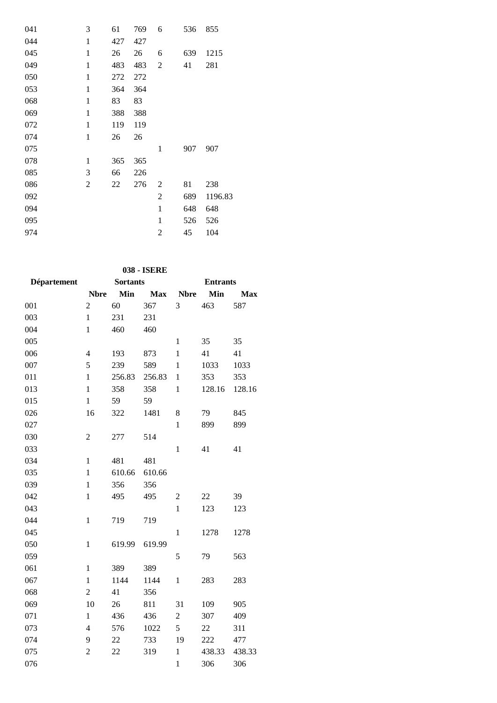| 041 | 3              | 61  | 769 | 6              | 536 | 855     |
|-----|----------------|-----|-----|----------------|-----|---------|
| 044 | 1              | 427 | 427 |                |     |         |
| 045 | 1              | 26  | 26  | 6              | 639 | 1215    |
| 049 | 1              | 483 | 483 | 2              | 41  | 281     |
| 050 | 1              | 272 | 272 |                |     |         |
| 053 | $\mathbf{1}$   | 364 | 364 |                |     |         |
| 068 | $\mathbf{1}$   | 83  | 83  |                |     |         |
| 069 | $\mathbf{1}$   | 388 | 388 |                |     |         |
| 072 | $\mathbf{1}$   | 119 | 119 |                |     |         |
| 074 | $\mathbf{1}$   | 26  | 26  |                |     |         |
| 075 |                |     |     | 1              | 907 | 907     |
| 078 | 1              | 365 | 365 |                |     |         |
| 085 | 3              | 66  | 226 |                |     |         |
| 086 | $\overline{2}$ | 22  | 276 | $\overline{2}$ | 81  | 238     |
| 092 |                |     |     | 2              | 689 | 1196.83 |
| 094 |                |     |     | $\mathbf{1}$   | 648 | 648     |
| 095 |                |     |     | $\mathbf{1}$   | 526 | 526     |
| 974 |                |     |     | $\overline{2}$ | 45  | 104     |
|     |                |     |     |                |     |         |

**038 - ISERE**

| <b>Département</b> |                | <b>Sortants</b> |            | <b>Entrants</b> |        |            |  |
|--------------------|----------------|-----------------|------------|-----------------|--------|------------|--|
|                    | <b>Nbre</b>    | Min             | <b>Max</b> | <b>Nbre</b>     | Min    | <b>Max</b> |  |
| 001                | $\overline{c}$ | 60              | 367        | 3               | 463    | 587        |  |
| 003                | $\mathbf{1}$   | 231             | 231        |                 |        |            |  |
| 004                | $\mathbf{1}$   | 460             | 460        |                 |        |            |  |
| 005                |                |                 |            | $\mathbf{1}$    | 35     | 35         |  |
| 006                | $\overline{4}$ | 193             | 873        | $\mathbf{1}$    | 41     | 41         |  |
| 007                | 5              | 239             | 589        | $\mathbf{1}$    | 1033   | 1033       |  |
| 011                | $\mathbf{1}$   | 256.83          | 256.83     | $\mathbf{1}$    | 353    | 353        |  |
| 013                | $\mathbf{1}$   | 358             | 358        | $\mathbf{1}$    | 128.16 | 128.16     |  |
| 015                | $\mathbf{1}$   | 59              | 59         |                 |        |            |  |
| 026                | 16             | 322             | 1481       | 8               | 79     | 845        |  |
| 027                |                |                 |            | $\mathbf{1}$    | 899    | 899        |  |
| 030                | $\overline{2}$ | 277             | 514        |                 |        |            |  |
| 033                |                |                 |            | $\mathbf{1}$    | 41     | 41         |  |
| 034                | $\mathbf{1}$   | 481             | 481        |                 |        |            |  |
| 035                | $\mathbf{1}$   | 610.66          | 610.66     |                 |        |            |  |
| 039                | $\mathbf{1}$   | 356             | 356        |                 |        |            |  |
| 042                | $\mathbf{1}$   | 495             | 495        | $\overline{2}$  | 22     | 39         |  |
| 043                |                |                 |            | $\mathbf{1}$    | 123    | 123        |  |
| 044                | $\mathbf{1}$   | 719             | 719        |                 |        |            |  |
| 045                |                |                 |            | $\mathbf{1}$    | 1278   | 1278       |  |
| 050                | $\mathbf{1}$   | 619.99          | 619.99     |                 |        |            |  |
| 059                |                |                 |            | 5               | 79     | 563        |  |
| 061                | $\mathbf{1}$   | 389             | 389        |                 |        |            |  |
| 067                | $\mathbf{1}$   | 1144            | 1144       | $\,1$           | 283    | 283        |  |
| 068                | $\overline{c}$ | 41              | 356        |                 |        |            |  |
| 069                | 10             | 26              | 811        | 31              | 109    | 905        |  |
| 071                | $\mathbf{1}$   | 436             | 436        | $\overline{c}$  | 307    | 409        |  |
| 073                | $\overline{4}$ | 576             | 1022       | 5               | 22     | 311        |  |
| 074                | 9              | 22              | 733        | 19              | 222    | 477        |  |
| 075                | $\overline{2}$ | 22              | 319        | $\,1$           | 438.33 | 438.33     |  |
| 076                |                |                 |            | $\mathbf{1}$    | 306    | 306        |  |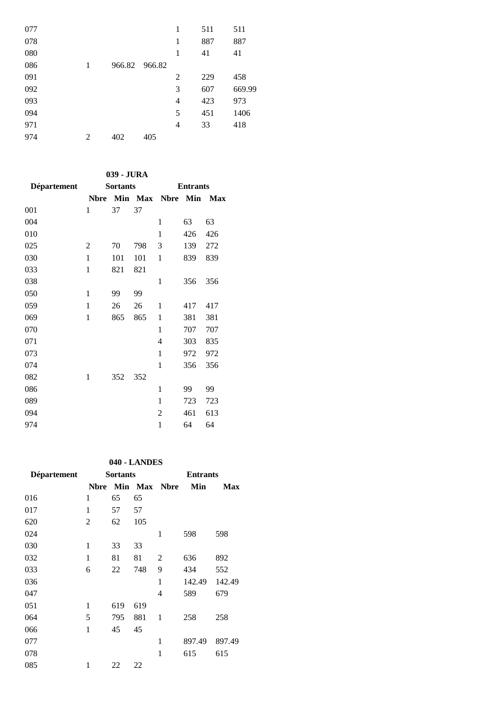| 077 |   |               |     | 1              | 511 | 511    |
|-----|---|---------------|-----|----------------|-----|--------|
| 078 |   |               |     | 1              | 887 | 887    |
| 080 |   |               |     | 1              | 41  | 41     |
| 086 | 1 | 966.82 966.82 |     |                |     |        |
| 091 |   |               |     | $\overline{2}$ | 229 | 458    |
| 092 |   |               |     | 3              | 607 | 669.99 |
| 093 |   |               |     | $\overline{4}$ | 423 | 973    |
| 094 |   |               |     | 5              | 451 | 1406   |
| 971 |   |               |     | $\overline{4}$ | 33  | 418    |
| 974 | 2 | 402           | 405 |                |     |        |

## **039 - JURA**

| Département |                | <b>Sortants</b> |         | <b>Entrants</b> |     |            |  |
|-------------|----------------|-----------------|---------|-----------------|-----|------------|--|
|             | <b>Nbre</b>    |                 | Min Max | <b>Nbre</b>     | Min | <b>Max</b> |  |
| 001         | 1              | 37              | 37      |                 |     |            |  |
| 004         |                |                 |         | 1               | 63  | 63         |  |
| 010         |                |                 |         | 1               | 426 | 426        |  |
| 025         | $\overline{c}$ | 70              | 798     | 3               | 139 | 272        |  |
| 030         | $\mathbf{1}$   | 101             | 101     | 1               | 839 | 839        |  |
| 033         | 1              | 821             | 821     |                 |     |            |  |
| 038         |                |                 |         | $\mathbf{1}$    | 356 | 356        |  |
| 050         | 1              | 99              | 99      |                 |     |            |  |
| 059         | 1              | 26              | 26      | 1               | 417 | 417        |  |
| 069         | 1              | 865             | 865     | 1               | 381 | 381        |  |
| 070         |                |                 |         | 1               | 707 | 707        |  |
| 071         |                |                 |         | 4               | 303 | 835        |  |
| 073         |                |                 |         | $\mathbf{1}$    | 972 | 972        |  |
| 074         |                |                 |         | $\mathbf{1}$    | 356 | 356        |  |
| 082         | $\mathbf{1}$   | 352             | 352     |                 |     |            |  |
| 086         |                |                 |         | $\mathbf{1}$    | 99  | 99         |  |
| 089         |                |                 |         | 1               | 723 | 723        |  |
| 094         |                |                 |         | $\overline{2}$  | 461 | 613        |  |
| 974         |                |                 |         | $\mathbf{1}$    | 64  | 64         |  |
|             |                |                 |         |                 |     |            |  |

### **040 - LANDES**

| Département |      | <b>Sortants</b> |         | <b>Entrants</b> |        |        |  |
|-------------|------|-----------------|---------|-----------------|--------|--------|--|
|             | Nbre |                 | Min Max | <b>Nbre</b>     | Min    | Max    |  |
| 016         | 1    | 65              | 65      |                 |        |        |  |
| 017         | 1    | 57              | 57      |                 |        |        |  |
| 620         | 2    | 62              | 105     |                 |        |        |  |
| 024         |      |                 |         | 1               | 598    | 598    |  |
| 030         | 1    | 33              | 33      |                 |        |        |  |
| 032         | 1    | 81              | 81      | 2               | 636    | 892    |  |
| 033         | 6    | 22              | 748     | 9               | 434    | 552    |  |
| 036         |      |                 |         | 1               | 142.49 | 142.49 |  |
| 047         |      |                 |         | 4               | 589    | 679    |  |
| 051         | 1    | 619             | 619     |                 |        |        |  |
| 064         | 5    | 795             | 881     | 1               | 258    | 258    |  |
| 066         | 1    | 45              | 45      |                 |        |        |  |
| 077         |      |                 |         | 1               | 897.49 | 897.49 |  |
| 078         |      |                 |         | 1               | 615    | 615    |  |
| 085         | 1    | 22              | 22      |                 |        |        |  |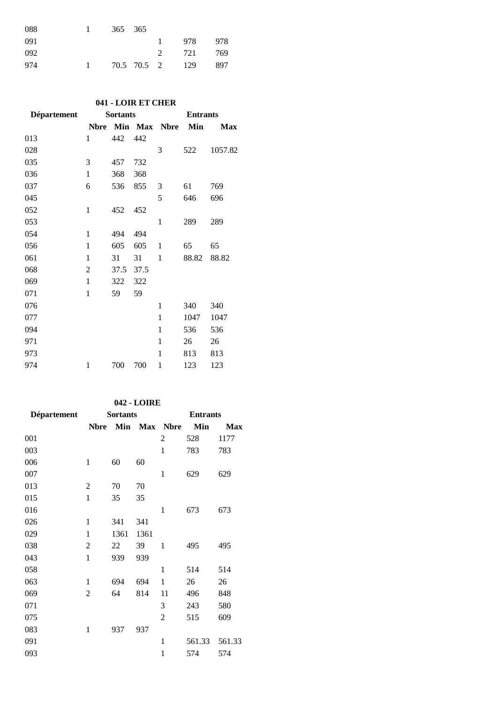| 088 | 365 365 |  |                 |       |
|-----|---------|--|-----------------|-------|
| 091 |         |  | 978             | 978   |
| 092 |         |  | 2 721           | - 769 |
| 974 |         |  | 70.5 70.5 2 129 | 897   |

### **041 - LOIR ET CHER**

| <b>Département</b> |                | <b>Sortants</b> |      | <b>Entrants</b> |       |            |  |
|--------------------|----------------|-----------------|------|-----------------|-------|------------|--|
|                    | <b>Nbre</b>    |                 |      | Min Max Nbre    | Min   | <b>Max</b> |  |
| 013                | 1              | 442             | 442  |                 |       |            |  |
| 028                |                |                 |      | 3               | 522   | 1057.82    |  |
| 035                | 3              | 457             | 732  |                 |       |            |  |
| 036                | $\mathbf{1}$   | 368             | 368  |                 |       |            |  |
| 037                | 6              | 536             | 855  | 3               | 61    | 769        |  |
| 045                |                |                 |      | 5               | 646   | 696        |  |
| 052                | $\mathbf{1}$   | 452             | 452  |                 |       |            |  |
| 053                |                |                 |      | $\mathbf{1}$    | 289   | 289        |  |
| 054                | $\mathbf{1}$   | 494             | 494  |                 |       |            |  |
| 056                | 1              | 605             | 605  | 1               | 65    | 65         |  |
| 061                | $\mathbf{1}$   | 31              | 31   | $\mathbf{1}$    | 88.82 | 88.82      |  |
| 068                | $\overline{2}$ | 37.5            | 37.5 |                 |       |            |  |
| 069                | $\mathbf{1}$   | 322             | 322  |                 |       |            |  |
| 071                | $\mathbf{1}$   | 59              | 59   |                 |       |            |  |
| 076                |                |                 |      | 1               | 340   | 340        |  |
| 077                |                |                 |      | $\mathbf{1}$    | 1047  | 1047       |  |
| 094                |                |                 |      | 1               | 536   | 536        |  |
| 971                |                |                 |      | $\mathbf{1}$    | 26    | 26         |  |
| 973                |                |                 |      | 1               | 813   | 813        |  |
| 974                | $\mathbf{1}$   | 700             | 700  | $\mathbf{1}$    | 123   | 123        |  |

### **042 - LOIRE**

| Département |                | <b>Sortants</b> |            | <b>Entrants</b> |        |        |
|-------------|----------------|-----------------|------------|-----------------|--------|--------|
|             | <b>Nbre</b>    | Min             | <b>Max</b> | <b>Nbre</b>     | Min    | Max    |
| 001         |                |                 |            | 2               | 528    | 1177   |
| 003         |                |                 |            | $\mathbf{1}$    | 783    | 783    |
| 006         | $\mathbf{1}$   | 60              | 60         |                 |        |        |
| 007         |                |                 |            | $\mathbf{1}$    | 629    | 629    |
| 013         | $\overline{2}$ | 70              | 70         |                 |        |        |
| 015         | $\mathbf{1}$   | 35              | 35         |                 |        |        |
| 016         |                |                 |            | $\mathbf{1}$    | 673    | 673    |
| 026         | 1              | 341             | 341        |                 |        |        |
| 029         | $\mathbf{1}$   | 1361            | 1361       |                 |        |        |
| 038         | $\overline{2}$ | 22              | 39         | $\mathbf{1}$    | 495    | 495    |
| 043         | $\mathbf{1}$   | 939             | 939        |                 |        |        |
| 058         |                |                 |            | $\mathbf{1}$    | 514    | 514    |
| 063         | 1              | 694             | 694        | 1               | 26     | 26     |
| 069         | $\overline{2}$ | 64              | 814        | 11              | 496    | 848    |
| 071         |                |                 |            | 3               | 243    | 580    |
| 075         |                |                 |            | 2               | 515    | 609    |
| 083         | $\mathbf{1}$   | 937             | 937        |                 |        |        |
| 091         |                |                 |            | $\mathbf{1}$    | 561.33 | 561.33 |
| 093         |                |                 |            | $\mathbf{1}$    | 574    | 574    |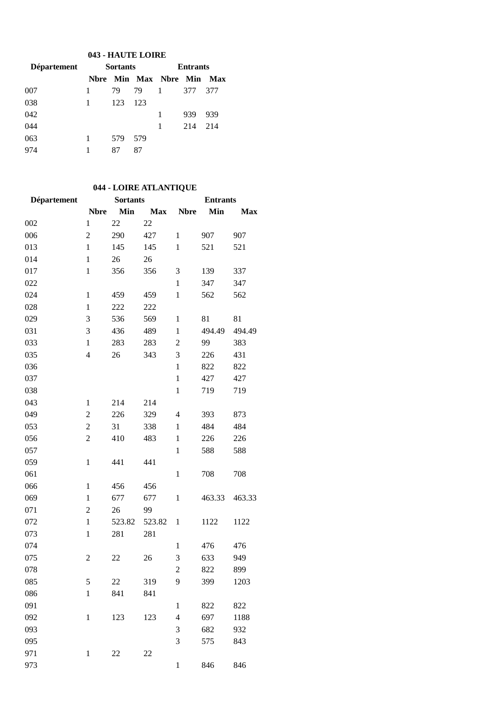## **043 - HAUTE LOIRE**

| Département |              | <b>Sortants</b> |     | <b>Entrants</b>           |     |     |  |
|-------------|--------------|-----------------|-----|---------------------------|-----|-----|--|
|             |              |                 |     | Nbre Min Max Nbre Min Max |     |     |  |
| 007         |              | 79              | 79  | $\overline{1}$            | 377 | 377 |  |
| 038         | $\mathbf{1}$ | 123             | 123 |                           |     |     |  |
| 042         |              |                 |     | 1                         | 939 | 939 |  |
| 044         |              |                 |     |                           | 214 | 214 |  |
| 063         |              | 579             | 579 |                           |     |     |  |
| 974         |              | 87              | 87  |                           |     |     |  |

# **044 - LOIRE ATLANTIQUE**

| Département |                | <b>Sortants</b> |            | <b>Entrants</b> |        |            |  |
|-------------|----------------|-----------------|------------|-----------------|--------|------------|--|
|             | <b>Nbre</b>    | Min             | <b>Max</b> | <b>Nbre</b>     | Min    | <b>Max</b> |  |
| 002         | $\mathbf{1}$   | 22              | 22         |                 |        |            |  |
| 006         | $\overline{c}$ | 290             | 427        | $\mathbf{1}$    | 907    | 907        |  |
| 013         | $\mathbf{1}$   | 145             | 145        | $\mathbf{1}$    | 521    | 521        |  |
| 014         | $\mathbf{1}$   | 26              | 26         |                 |        |            |  |
| 017         | $\mathbf{1}$   | 356             | 356        | 3               | 139    | 337        |  |
| 022         |                |                 |            | $\mathbf{1}$    | 347    | 347        |  |
| 024         | $\mathbf{1}$   | 459             | 459        | $\mathbf{1}$    | 562    | 562        |  |
| 028         | $\mathbf{1}$   | 222             | 222        |                 |        |            |  |
| 029         | 3              | 536             | 569        | $\mathbf{1}$    | 81     | 81         |  |
| 031         | 3              | 436             | 489        | $\mathbf{1}$    | 494.49 | 494.49     |  |
| 033         | $\mathbf{1}$   | 283             | 283        | $\overline{2}$  | 99     | 383        |  |
| 035         | $\overline{4}$ | 26              | 343        | 3               | 226    | 431        |  |
| 036         |                |                 |            | $\mathbf{1}$    | 822    | 822        |  |
| 037         |                |                 |            | $\mathbf{1}$    | 427    | 427        |  |
| 038         |                |                 |            | $\mathbf{1}$    | 719    | 719        |  |
| 043         | 1              | 214             | 214        |                 |        |            |  |
| 049         | $\mathfrak{2}$ | 226             | 329        | $\overline{4}$  | 393    | 873        |  |
| 053         | $\overline{c}$ | 31              | 338        | 1               | 484    | 484        |  |
| 056         | $\overline{c}$ | 410             | 483        | $\mathbf{1}$    | 226    | 226        |  |
| 057         |                |                 |            | $\mathbf{1}$    | 588    | 588        |  |
| 059         | $\mathbf{1}$   | 441             | 441        |                 |        |            |  |
| 061         |                |                 |            | $\mathbf{1}$    | 708    | 708        |  |
| 066         | $\mathbf{1}$   | 456             | 456        |                 |        |            |  |
| 069         | $\mathbf{1}$   | 677             | 677        | $\mathbf{1}$    | 463.33 | 463.33     |  |
| 071         | $\overline{c}$ | 26              | 99         |                 |        |            |  |
| 072         | $\mathbf{1}$   | 523.82          | 523.82     | $\mathbf{1}$    | 1122   | 1122       |  |
| 073         | $\mathbf{1}$   | 281             | 281        |                 |        |            |  |
| 074         |                |                 |            | $\mathbf{1}$    | 476    | 476        |  |
| 075         | 2              | 22              | 26         | 3               | 633    | 949        |  |
| 078         |                |                 |            | $\overline{2}$  | 822    | 899        |  |
| 085         | 5              | 22              | 319        | 9               | 399    | 1203       |  |
| 086         | $\mathbf{1}$   | 841             | 841        |                 |        |            |  |
| 091         |                |                 |            | $\mathbf{1}$    | 822    | 822        |  |
| 092         | $\mathbf{1}$   | 123             | 123        | $\overline{4}$  | 697    | 1188       |  |
| 093         |                |                 |            | 3               | 682    | 932        |  |
| 095         |                |                 |            | 3               | 575    | 843        |  |
| 971         | $\mathbf{1}$   | 22              | 22         |                 |        |            |  |
| 973         |                |                 |            | $\,1$           | 846    | 846        |  |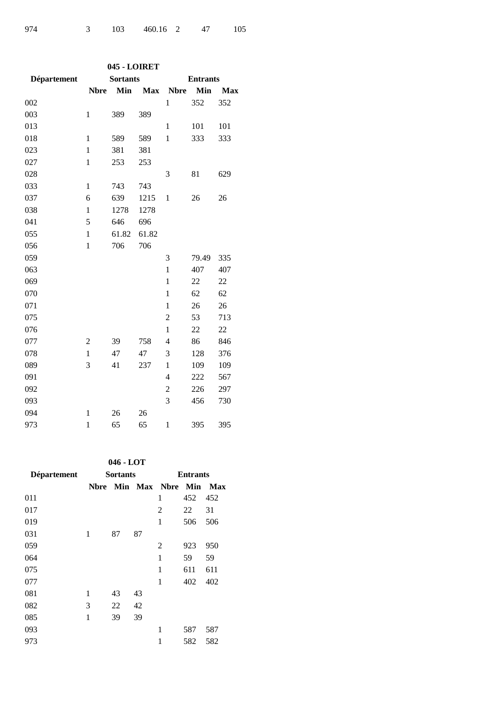| 045 - LOIRET |                |                 |            |                 |       |            |  |  |
|--------------|----------------|-----------------|------------|-----------------|-------|------------|--|--|
| Département  |                | <b>Sortants</b> |            | <b>Entrants</b> |       |            |  |  |
|              | <b>Nbre</b>    | Min             | <b>Max</b> | <b>Nbre</b>     | Min   | <b>Max</b> |  |  |
| 002          |                |                 |            | $\mathbf{1}$    | 352   | 352        |  |  |
| 003          | $\mathbf{1}$   | 389             | 389        |                 |       |            |  |  |
| 013          |                |                 |            | $\mathbf{1}$    | 101   | 101        |  |  |
| 018          | $\mathbf{1}$   | 589             | 589        | $\mathbf{1}$    | 333   | 333        |  |  |
| 023          | $\mathbf{1}$   | 381             | 381        |                 |       |            |  |  |
| 027          | $\mathbf{1}$   | 253             | 253        |                 |       |            |  |  |
| 028          |                |                 |            | 3               | 81    | 629        |  |  |
| 033          | $\mathbf{1}$   | 743             | 743        |                 |       |            |  |  |
| 037          | 6              | 639             | 1215       | 1               | 26    | 26         |  |  |
| 038          | $\mathbf{1}$   | 1278            | 1278       |                 |       |            |  |  |
| 041          | 5              | 646             | 696        |                 |       |            |  |  |
| 055          | $\mathbf{1}$   | 61.82           | 61.82      |                 |       |            |  |  |
| 056          | $\mathbf{1}$   | 706             | 706        |                 |       |            |  |  |
| 059          |                |                 |            | 3               | 79.49 | 335        |  |  |
| 063          |                |                 |            | $\mathbf{1}$    | 407   | 407        |  |  |
| 069          |                |                 |            | $\mathbf{1}$    | 22    | 22         |  |  |
| 070          |                |                 |            | $\mathbf{1}$    | 62    | 62         |  |  |
| 071          |                |                 |            | $\mathbf{1}$    | 26    | 26         |  |  |
| 075          |                |                 |            | $\overline{c}$  | 53    | 713        |  |  |
| 076          |                |                 |            | $\mathbf{1}$    | 22    | 22         |  |  |
| 077          | $\overline{2}$ | 39              | 758        | $\overline{4}$  | 86    | 846        |  |  |
| 078          | $\mathbf{1}$   | 47              | 47         | 3               | 128   | 376        |  |  |
| 089          | 3              | 41              | 237        | $\mathbf{1}$    | 109   | 109        |  |  |
| 091          |                |                 |            | $\overline{4}$  | 222   | 567        |  |  |
| 092          |                |                 |            | $\overline{c}$  | 226   | 297        |  |  |
| 093          |                |                 |            | 3               | 456   | 730        |  |  |
| 094          | $\mathbf{1}$   | 26              | 26         |                 |       |            |  |  |
| 973          | $\mathbf{1}$   | 65              | 65         | $\mathbf{1}$    | 395   | 395        |  |  |

## **046 - LOT**

| Département | <b>Sortants</b> |    |    | <b>Entrants</b>  |     |            |  |
|-------------|-----------------|----|----|------------------|-----|------------|--|
|             | Nbre            |    |    | Min Max Nbre Min |     | <b>Max</b> |  |
| 011         |                 |    |    | 1                | 452 | 452        |  |
| 017         |                 |    |    | 2                | 22  | 31         |  |
| 019         |                 |    |    | 1                | 506 | 506        |  |
| 031         | 1               | 87 | 87 |                  |     |            |  |
| 059         |                 |    |    | 2                | 923 | 950        |  |
| 064         |                 |    |    | 1                | 59  | 59         |  |
| 075         |                 |    |    | 1                | 611 | 611        |  |
| 077         |                 |    |    | 1                | 402 | 402        |  |
| 081         | 1               | 43 | 43 |                  |     |            |  |
| 082         | 3               | 22 | 42 |                  |     |            |  |
| 085         | 1               | 39 | 39 |                  |     |            |  |
| 093         |                 |    |    | 1                | 587 | 587        |  |
| 973         |                 |    |    | 1                | 582 | 582        |  |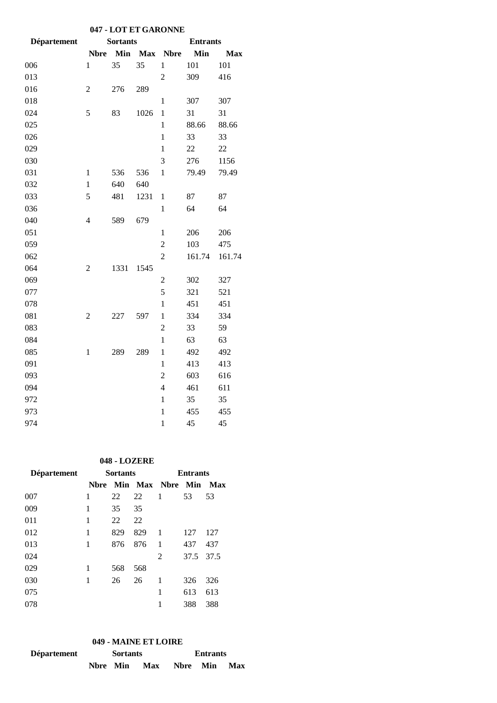| 047 - LOT ET GARONNE |                |                 |            |                 |        |            |  |  |  |
|----------------------|----------------|-----------------|------------|-----------------|--------|------------|--|--|--|
| <b>Département</b>   |                | <b>Sortants</b> |            | <b>Entrants</b> |        |            |  |  |  |
|                      | <b>Nbre</b>    | Min             | <b>Max</b> | <b>Nbre</b>     | Min    | <b>Max</b> |  |  |  |
| 006                  | $\mathbf{1}$   | 35              | 35         | $\mathbf{1}$    | 101    | 101        |  |  |  |
| 013                  |                |                 |            | $\overline{c}$  | 309    | 416        |  |  |  |
| 016                  | $\overline{c}$ | 276             | 289        |                 |        |            |  |  |  |
| 018                  |                |                 |            | $\mathbf{1}$    | 307    | 307        |  |  |  |
| 024                  | 5              | 83              | 1026       | $\mathbf{1}$    | 31     | 31         |  |  |  |
| 025                  |                |                 |            | $\mathbf{1}$    | 88.66  | 88.66      |  |  |  |
| 026                  |                |                 |            | $\mathbf{1}$    | 33     | 33         |  |  |  |
| 029                  |                |                 |            | $\mathbf{1}$    | 22     | 22         |  |  |  |
| 030                  |                |                 |            | 3               | 276    | 1156       |  |  |  |
| 031                  | $\mathbf{1}$   | 536             | 536        | $\mathbf{1}$    | 79.49  | 79.49      |  |  |  |
| 032                  | $\mathbf{1}$   | 640             | 640        |                 |        |            |  |  |  |
| 033                  | 5              | 481             | 1231       | $\mathbf{1}$    | 87     | 87         |  |  |  |
| 036                  |                |                 |            | $\mathbf{1}$    | 64     | 64         |  |  |  |
| 040                  | $\overline{4}$ | 589             | 679        |                 |        |            |  |  |  |
| 051                  |                |                 |            | $\mathbf{1}$    | 206    | 206        |  |  |  |
| 059                  |                |                 |            | $\overline{c}$  | 103    | 475        |  |  |  |
| 062                  |                |                 |            | $\overline{2}$  | 161.74 | 161.74     |  |  |  |
| 064                  | $\overline{2}$ | 1331            | 1545       |                 |        |            |  |  |  |
| 069                  |                |                 |            | $\overline{2}$  | 302    | 327        |  |  |  |
| 077                  |                |                 |            | 5               | 321    | 521        |  |  |  |
| 078                  |                |                 |            | $\mathbf{1}$    | 451    | 451        |  |  |  |
| 081                  | $\overline{2}$ | 227             | 597        | $\mathbf{1}$    | 334    | 334        |  |  |  |
| 083                  |                |                 |            | $\overline{c}$  | 33     | 59         |  |  |  |
| 084                  |                |                 |            | $\mathbf{1}$    | 63     | 63         |  |  |  |
| 085                  | $\mathbf{1}$   | 289             | 289        | $\mathbf{1}$    | 492    | 492        |  |  |  |
| 091                  |                |                 |            | $\mathbf{1}$    | 413    | 413        |  |  |  |
| 093                  |                |                 |            | $\overline{2}$  | 603    | 616        |  |  |  |
| 094                  |                |                 |            | $\overline{4}$  | 461    | 611        |  |  |  |
| 972                  |                |                 |            | $\mathbf{1}$    | 35     | 35         |  |  |  |
| 973                  |                |                 |            | $\mathbf{1}$    | 455    | 455        |  |  |  |
| 974                  |                |                 |            | $\mathbf{1}$    | 45     | 45         |  |  |  |

#### **048 - LOZERE**

| <b>Département</b> | <b>Sortants</b> |     |     | <b>Entrants</b>  |      |      |  |
|--------------------|-----------------|-----|-----|------------------|------|------|--|
|                    | Nbre            |     |     | Min Max Nbre Min |      | Max  |  |
| 007                | 1               | 22  | 22  | 1                | 53   | 53   |  |
| 009                | 1               | 35  | 35  |                  |      |      |  |
| 011                | 1               | 22  | 22  |                  |      |      |  |
| 012                | 1               | 829 | 829 | 1                | 127  | 127  |  |
| 013                | 1               | 876 | 876 | 1                | 437  | 437  |  |
| 024                |                 |     |     | 2                | 37.5 | 37.5 |  |
| 029                | 1               | 568 | 568 |                  |      |      |  |
| 030                | 1               | 26  | 26  | 1                | 326  | 326  |  |
| 075                |                 |     |     | 1                | 613  | 613  |  |
| 078                |                 |     |     | 1                | 388  | 388  |  |

## **049 - MAINE ET LOIRE**

| <b>Département</b> | <b>Sortants</b> |  |     | <b>Entrants</b> |  |     |  |
|--------------------|-----------------|--|-----|-----------------|--|-----|--|
|                    | Nbre Min        |  | Max | Nbre Min        |  | Max |  |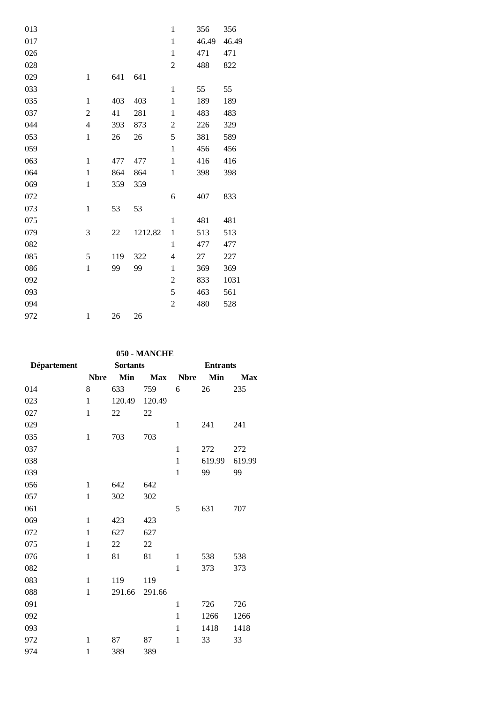| 013 |                |     |         | $\mathbf{1}$   | 356   | 356   |
|-----|----------------|-----|---------|----------------|-------|-------|
| 017 |                |     |         | $\mathbf{1}$   | 46.49 | 46.49 |
| 026 |                |     |         | $\mathbf{1}$   | 471   | 471   |
| 028 |                |     |         | $\overline{2}$ | 488   | 822   |
| 029 | $\mathbf{1}$   | 641 | 641     |                |       |       |
| 033 |                |     |         | $\mathbf{1}$   | 55    | 55    |
| 035 | $\mathbf{1}$   | 403 | 403     | $\mathbf{1}$   | 189   | 189   |
| 037 | $\overline{2}$ | 41  | 281     | $\mathbf{1}$   | 483   | 483   |
| 044 | $\overline{4}$ | 393 | 873     | $\overline{2}$ | 226   | 329   |
| 053 | $\mathbf{1}$   | 26  | 26      | 5              | 381   | 589   |
| 059 |                |     |         | $\mathbf{1}$   | 456   | 456   |
| 063 | $\mathbf{1}$   | 477 | 477     | $\mathbf{1}$   | 416   | 416   |
| 064 | $\mathbf{1}$   | 864 | 864     | $\mathbf{1}$   | 398   | 398   |
| 069 | $\mathbf{1}$   | 359 | 359     |                |       |       |
| 072 |                |     |         | 6              | 407   | 833   |
| 073 | $\mathbf{1}$   | 53  | 53      |                |       |       |
| 075 |                |     |         | $\mathbf{1}$   | 481   | 481   |
| 079 | 3              | 22  | 1212.82 | $\mathbf{1}$   | 513   | 513   |
| 082 |                |     |         | $\mathbf{1}$   | 477   | 477   |
| 085 | 5              | 119 | 322     | 4              | 27    | 227   |
| 086 | $\mathbf{1}$   | 99  | 99      | $\mathbf{1}$   | 369   | 369   |
| 092 |                |     |         | $\overline{2}$ | 833   | 1031  |
| 093 |                |     |         | 5              | 463   | 561   |
| 094 |                |     |         | 2              | 480   | 528   |
| 972 | $\,1$          | 26  | 26      |                |       |       |
|     |                |     |         |                |       |       |

# **050 - MANCHE**

| <b>Département</b> | <b>Sortants</b> |        |            | <b>Entrants</b> |        |            |  |
|--------------------|-----------------|--------|------------|-----------------|--------|------------|--|
|                    | <b>Nbre</b>     | Min    | <b>Max</b> | <b>Nbre</b>     | Min    | <b>Max</b> |  |
| 014                | 8               | 633    | 759        | 6               | 26     | 235        |  |
| 023                | $\mathbf{1}$    | 120.49 | 120.49     |                 |        |            |  |
| 027                | 1               | 22     | 22         |                 |        |            |  |
| 029                |                 |        |            | $\mathbf{1}$    | 241    | 241        |  |
| 035                | $\mathbf{1}$    | 703    | 703        |                 |        |            |  |
| 037                |                 |        |            | $\mathbf{1}$    | 272    | 272        |  |
| 038                |                 |        |            | $\mathbf{1}$    | 619.99 | 619.99     |  |
| 039                |                 |        |            | $\mathbf{1}$    | 99     | 99         |  |
| 056                | 1               | 642    | 642        |                 |        |            |  |
| 057                | $\mathbf{1}$    | 302    | 302        |                 |        |            |  |
| 061                |                 |        |            | 5               | 631    | 707        |  |
| 069                | $\mathbf{1}$    | 423    | 423        |                 |        |            |  |
| 072                | $\mathbf{1}$    | 627    | 627        |                 |        |            |  |
| 075                | $\mathbf{1}$    | 22     | 22         |                 |        |            |  |
| 076                | $\mathbf{1}$    | 81     | 81         | 1               | 538    | 538        |  |
| 082                |                 |        |            | $\mathbf{1}$    | 373    | 373        |  |
| 083                | $\mathbf{1}$    | 119    | 119        |                 |        |            |  |
| 088                | 1               | 291.66 | 291.66     |                 |        |            |  |
| 091                |                 |        |            | 1               | 726    | 726        |  |
| 092                |                 |        |            | $\mathbf{1}$    | 1266   | 1266       |  |
| 093                |                 |        |            | 1               | 1418   | 1418       |  |
| 972                | 1               | 87     | 87         | 1               | 33     | 33         |  |
| 974                | $\mathbf{1}$    | 389    | 389        |                 |        |            |  |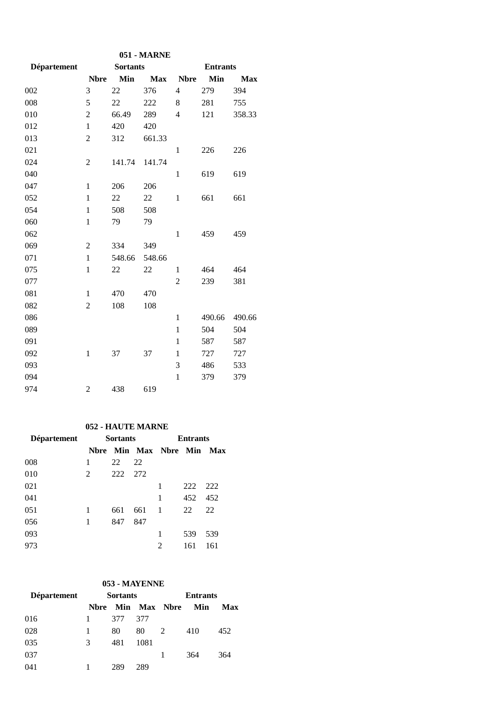| 051 - MARNE        |                |                 |            |                |                 |            |
|--------------------|----------------|-----------------|------------|----------------|-----------------|------------|
| <b>Département</b> |                | <b>Sortants</b> |            |                | <b>Entrants</b> |            |
|                    | <b>Nbre</b>    | Min             | <b>Max</b> | <b>Nbre</b>    | Min             | <b>Max</b> |
| 002                | 3              | 22              | 376        | $\overline{4}$ | 279             | 394        |
| 008                | 5              | 22              | 222        | 8              | 281             | 755        |
| 010                | $\overline{2}$ | 66.49           | 289        | $\overline{4}$ | 121             | 358.33     |
| 012                | $\mathbf{1}$   | 420             | 420        |                |                 |            |
| 013                | $\overline{c}$ | 312             | 661.33     |                |                 |            |
| 021                |                |                 |            | $\mathbf{1}$   | 226             | 226        |
| 024                | $\overline{c}$ | 141.74          | 141.74     |                |                 |            |
| 040                |                |                 |            | $\mathbf{1}$   | 619             | 619        |
| 047                | $\mathbf{1}$   | 206             | 206        |                |                 |            |
| 052                | $\mathbf{1}$   | 22              | 22         | $\mathbf{1}$   | 661             | 661        |
| 054                | $\mathbf{1}$   | 508             | 508        |                |                 |            |
| 060                | $\mathbf{1}$   | 79              | 79         |                |                 |            |
| 062                |                |                 |            | $\mathbf{1}$   | 459             | 459        |
| 069                | $\overline{2}$ | 334             | 349        |                |                 |            |
| 071                | $\mathbf{1}$   | 548.66          | 548.66     |                |                 |            |
| 075                | $\mathbf{1}$   | 22              | 22         | $\mathbf{1}$   | 464             | 464        |
| 077                |                |                 |            | 2              | 239             | 381        |
| 081                | 1              | 470             | 470        |                |                 |            |
| 082                | $\overline{c}$ | 108             | 108        |                |                 |            |
| 086                |                |                 |            | $\mathbf{1}$   | 490.66          | 490.66     |
| 089                |                |                 |            | $\mathbf{1}$   | 504             | 504        |
| 091                |                |                 |            | 1              | 587             | 587        |
| 092                | $\mathbf{1}$   | 37              | 37         | 1              | 727             | 727        |
| 093                |                |                 |            | 3              | 486             | 533        |
| 094                |                |                 |            | $\mathbf{1}$   | 379             | 379        |
| 974                | $\overline{2}$ | 438             | 619        |                |                 |            |

### **052 - HAUTE MARNE**

| <b>Département</b> | <b>Sortants</b> |     |     | <b>Entrants</b>             |     |     |  |
|--------------------|-----------------|-----|-----|-----------------------------|-----|-----|--|
|                    | <b>N</b> hre    |     |     | <b>Min Max Nbre Min Max</b> |     |     |  |
| 008                | 1               | 22  | 22  |                             |     |     |  |
| 010                | 2               | 222 | 272 |                             |     |     |  |
| 021                |                 |     |     | 1                           | 222 | 222 |  |
| 041                |                 |     |     | 1                           | 452 | 452 |  |
| 051                | 1               | 661 | 661 | -1                          | 22  | 22  |  |
| 056                | 1               | 847 | 847 |                             |     |     |  |
| 093                |                 |     |     | 1                           | 539 | 539 |  |
| 973                |                 |     |     | 2                           | 161 | 161 |  |

## **053 - MAYENNE**

| <b>Département</b> |              | <b>Sortants</b> |      |                     | <b>Entrants</b> |     |  |
|--------------------|--------------|-----------------|------|---------------------|-----------------|-----|--|
|                    | <b>N</b> bre |                 |      | <b>Min Max Nbre</b> | Min             | Max |  |
| 016                |              | 377             | 377  |                     |                 |     |  |
| 028                |              | 80              | 80   | 2                   | 410             | 452 |  |
| 035                | 3            | 481             | 1081 |                     |                 |     |  |
| 037                |              |                 |      |                     | 364             | 364 |  |
| 041                |              | 289             | 289  |                     |                 |     |  |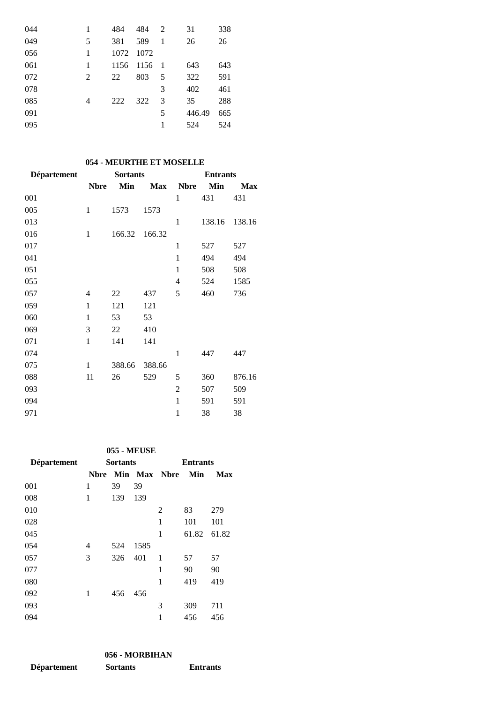| 044 | 1 | 484  | 484  | 2              | 31     | 338 |
|-----|---|------|------|----------------|--------|-----|
| 049 | 5 | 381  | 589  | 1              | 26     | 26  |
| 056 | 1 | 1072 | 1072 |                |        |     |
| 061 | 1 | 1156 | 1156 | $\blacksquare$ | 643    | 643 |
| 072 | 2 | 22   | 803  | 5              | 322    | 591 |
| 078 |   |      |      | 3              | 402    | 461 |
| 085 | 4 | 222  | 322  | 3              | 35     | 288 |
| 091 |   |      |      | 5              | 446.49 | 665 |
| 095 |   |      |      |                | 524    | 524 |

# **054 - MEURTHE ET MOSELLE**

| Département | <b>Sortants</b> |        |            | <b>Entrants</b> |        |            |  |
|-------------|-----------------|--------|------------|-----------------|--------|------------|--|
|             | <b>Nbre</b>     | Min    | <b>Max</b> | <b>Nbre</b>     | Min    | <b>Max</b> |  |
| 001         |                 |        |            | $\mathbf{1}$    | 431    | 431        |  |
| 005         | $\mathbf{1}$    | 1573   | 1573       |                 |        |            |  |
| 013         |                 |        |            | 1               | 138.16 | 138.16     |  |
| 016         | 1               | 166.32 | 166.32     |                 |        |            |  |
| 017         |                 |        |            | $\mathbf{1}$    | 527    | 527        |  |
| 041         |                 |        |            | $\mathbf{1}$    | 494    | 494        |  |
| 051         |                 |        |            | $\mathbf{1}$    | 508    | 508        |  |
| 055         |                 |        |            | $\overline{4}$  | 524    | 1585       |  |
| 057         | 4               | 22     | 437        | 5               | 460    | 736        |  |
| 059         | 1               | 121    | 121        |                 |        |            |  |
| 060         | 1               | 53     | 53         |                 |        |            |  |
| 069         | 3               | 22     | 410        |                 |        |            |  |
| 071         | $\mathbf{1}$    | 141    | 141        |                 |        |            |  |
| 074         |                 |        |            | $\mathbf{1}$    | 447    | 447        |  |
| 075         | $\mathbf{1}$    | 388.66 | 388.66     |                 |        |            |  |
| 088         | 11              | 26     | 529        | 5               | 360    | 876.16     |  |
| 093         |                 |        |            | $\overline{2}$  | 507    | 509        |  |
| 094         |                 |        |            | $\mathbf{1}$    | 591    | 591        |  |
| 971         |                 |        |            | $\mathbf{1}$    | 38     | 38         |  |

#### **055 - MEUSE**

| <b>Département</b> | <b>Sortants</b> |     |              | <b>Entrants</b> |       |       |  |
|--------------------|-----------------|-----|--------------|-----------------|-------|-------|--|
|                    | Nbre            |     | Min Max Nbre |                 | Min   | Max   |  |
| 001                | 1               | 39  | 39           |                 |       |       |  |
| 008                | 1               | 139 | 139          |                 |       |       |  |
| 010                |                 |     |              | 2               | 83    | 279   |  |
| 028                |                 |     |              | 1               | 101   | 101   |  |
| 045                |                 |     |              | 1               | 61.82 | 61.82 |  |
| 054                | 4               | 524 | 1585         |                 |       |       |  |
| 057                | 3               | 326 | 401          | 1               | 57    | 57    |  |
| 077                |                 |     |              | 1               | 90    | 90    |  |
| 080                |                 |     |              | 1               | 419   | 419   |  |
| 092                | 1               | 456 | 456          |                 |       |       |  |
| 093                |                 |     |              | 3               | 309   | 711   |  |
| 094                |                 |     |              | 1               | 456   | 456   |  |

|                    | 056 - MORBIHAN  |                 |
|--------------------|-----------------|-----------------|
| <b>Département</b> | <b>Sortants</b> | <b>Entrants</b> |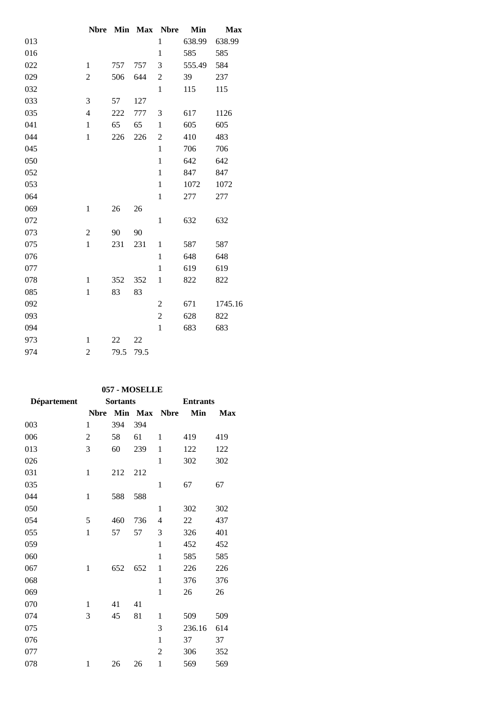|     | <b>Nbre</b>    | Min  | <b>Max</b> | <b>Nbre</b>    | Min    | <b>Max</b> |
|-----|----------------|------|------------|----------------|--------|------------|
| 013 |                |      |            | $\mathbf{1}$   | 638.99 | 638.99     |
| 016 |                |      |            | $\mathbf{1}$   | 585    | 585        |
| 022 | $\mathbf{1}$   | 757  | 757        | 3              | 555.49 | 584        |
| 029 | 2              | 506  | 644        | 2              | 39     | 237        |
| 032 |                |      |            | $\mathbf{1}$   | 115    | 115        |
| 033 | 3              | 57   | 127        |                |        |            |
| 035 | $\overline{4}$ | 222  | 777        | 3              | 617    | 1126       |
| 041 | $\mathbf{1}$   | 65   | 65         | $\mathbf{1}$   | 605    | 605        |
| 044 | $\mathbf{1}$   | 226  | 226        | 2              | 410    | 483        |
| 045 |                |      |            | $\mathbf{1}$   | 706    | 706        |
| 050 |                |      |            | $\mathbf{1}$   | 642    | 642        |
| 052 |                |      |            | $\mathbf{1}$   | 847    | 847        |
| 053 |                |      |            | $\mathbf{1}$   | 1072   | 1072       |
| 064 |                |      |            | $\mathbf{1}$   | 277    | 277        |
| 069 | $\mathbf{1}$   | 26   | 26         |                |        |            |
| 072 |                |      |            | $\mathbf{1}$   | 632    | 632        |
| 073 | $\overline{2}$ | 90   | 90         |                |        |            |
| 075 | $\,1$          | 231  | 231        | $\mathbf{1}$   | 587    | 587        |
| 076 |                |      |            | $\mathbf{1}$   | 648    | 648        |
| 077 |                |      |            | $\mathbf{1}$   | 619    | 619        |
| 078 | $\mathbf{1}$   | 352  | 352        | $\mathbf{1}$   | 822    | 822        |
| 085 | $\mathbf{1}$   | 83   | 83         |                |        |            |
| 092 |                |      |            | $\overline{2}$ | 671    | 1745.16    |
| 093 |                |      |            | $\overline{2}$ | 628    | 822        |
| 094 |                |      |            | $\mathbf{1}$   | 683    | 683        |
| 973 | 1              | 22   | 22         |                |        |            |
| 974 | $\overline{c}$ | 79.5 | 79.5       |                |        |            |

### **057 - MOSELLE**

| <b>Département</b> | <b>Sortants</b> |     |         | <b>Entrants</b> |        |            |
|--------------------|-----------------|-----|---------|-----------------|--------|------------|
|                    | <b>Nbre</b>     |     | Min Max | <b>Nbre</b>     | Min    | <b>Max</b> |
| 003                | 1               | 394 | 394     |                 |        |            |
| 006                | $\mathfrak{2}$  | 58  | 61      | 1               | 419    | 419        |
| 013                | 3               | 60  | 239     | 1               | 122    | 122        |
| 026                |                 |     |         | 1               | 302    | 302        |
| 031                | $\mathbf{1}$    | 212 | 212     |                 |        |            |
| 035                |                 |     |         | $\mathbf{1}$    | 67     | 67         |
| 044                | 1               | 588 | 588     |                 |        |            |
| 050                |                 |     |         | 1               | 302    | 302        |
| 054                | 5               | 460 | 736     | $\overline{4}$  | 22     | 437        |
| 055                | $\mathbf{1}$    | 57  | 57      | 3               | 326    | 401        |
| 059                |                 |     |         | 1               | 452    | 452        |
| 060                |                 |     |         | 1               | 585    | 585        |
| 067                | $\mathbf{1}$    | 652 | 652     | 1               | 226    | 226        |
| 068                |                 |     |         | 1               | 376    | 376        |
| 069                |                 |     |         | $\mathbf{1}$    | 26     | 26         |
| 070                | 1               | 41  | 41      |                 |        |            |
| 074                | 3               | 45  | 81      | $\mathbf{1}$    | 509    | 509        |
| 075                |                 |     |         | 3               | 236.16 | 614        |
| 076                |                 |     |         | $\mathbf{1}$    | 37     | 37         |
| 077                |                 |     |         | $\overline{2}$  | 306    | 352        |
| 078                | $\mathbf{1}$    | 26  | 26      | $\mathbf{1}$    | 569    | 569        |
|                    |                 |     |         |                 |        |            |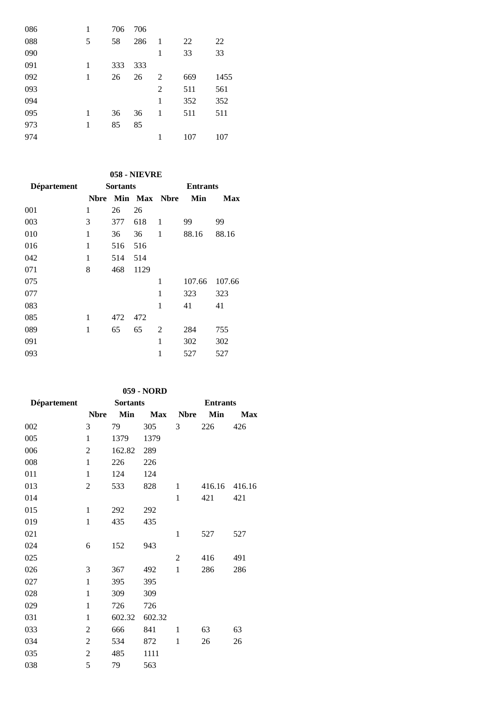| 086 | 1 | 706 | 706 |                |     |      |
|-----|---|-----|-----|----------------|-----|------|
| 088 | 5 | 58  | 286 | $\mathbf{1}$   | 22  | 22   |
| 090 |   |     |     | 1              | 33  | 33   |
| 091 | 1 | 333 | 333 |                |     |      |
| 092 | 1 | 26  | 26  | 2              | 669 | 1455 |
| 093 |   |     |     | $\overline{2}$ | 511 | 561  |
| 094 |   |     |     | 1              | 352 | 352  |
| 095 | 1 | 36  | 36  | 1              | 511 | 511  |
| 973 | 1 | 85  | 85  |                |     |      |
| 974 |   |     |     | 1              | 107 | 107  |

# **058 - NIEVRE**

| Département | <b>Sortants</b> |     |      |              | <b>Entrants</b> |            |  |
|-------------|-----------------|-----|------|--------------|-----------------|------------|--|
|             | <b>N</b> bre    |     |      | Min Max Nbre | Min             | <b>Max</b> |  |
| 001         | 1               | 26  | 26   |              |                 |            |  |
| 003         | 3               | 377 | 618  | 1            | 99              | 99         |  |
| 010         | 1               | 36  | 36   | 1            | 88.16           | 88.16      |  |
| 016         | 1               | 516 | 516  |              |                 |            |  |
| 042         | 1               | 514 | 514  |              |                 |            |  |
| 071         | 8               | 468 | 1129 |              |                 |            |  |
| 075         |                 |     |      | 1            | 107.66          | 107.66     |  |
| 077         |                 |     |      | 1            | 323             | 323        |  |
| 083         |                 |     |      | 1            | 41              | 41         |  |
| 085         | 1               | 472 | 472  |              |                 |            |  |
| 089         | 1               | 65  | 65   | 2            | 284             | 755        |  |
| 091         |                 |     |      | 1            | 302             | 302        |  |
| 093         |                 |     |      | 1            | 527             | 527        |  |
|             |                 |     |      |              |                 |            |  |

## **059 - NORD**

| <b>Département</b> | <b>Sortants</b> |        |            | <b>Entrants</b> |        |            |  |
|--------------------|-----------------|--------|------------|-----------------|--------|------------|--|
|                    | <b>Nbre</b>     | Min    | <b>Max</b> | <b>Nbre</b>     | Min    | <b>Max</b> |  |
| 002                | 3               | 79     | 305        | 3               | 226    | 426        |  |
| 005                | $\mathbf{1}$    | 1379   | 1379       |                 |        |            |  |
| 006                | $\overline{2}$  | 162.82 | 289        |                 |        |            |  |
| 008                | $\mathbf{1}$    | 226    | 226        |                 |        |            |  |
| 011                | $\mathbf{1}$    | 124    | 124        |                 |        |            |  |
| 013                | 2               | 533    | 828        | 1               | 416.16 | 416.16     |  |
| 014                |                 |        |            | $\mathbf{1}$    | 421    | 421        |  |
| 015                | $\mathbf{1}$    | 292    | 292        |                 |        |            |  |
| 019                | $\mathbf{1}$    | 435    | 435        |                 |        |            |  |
| 021                |                 |        |            | $\mathbf{1}$    | 527    | 527        |  |
| 024                | 6               | 152    | 943        |                 |        |            |  |
| 025                |                 |        |            | 2               | 416    | 491        |  |
| 026                | 3               | 367    | 492        | $\mathbf{1}$    | 286    | 286        |  |
| 027                | $\mathbf{1}$    | 395    | 395        |                 |        |            |  |
| 028                | $\mathbf{1}$    | 309    | 309        |                 |        |            |  |
| 029                | $\mathbf{1}$    | 726    | 726        |                 |        |            |  |
| 031                | $\mathbf{1}$    | 602.32 | 602.32     |                 |        |            |  |
| 033                | $\overline{c}$  | 666    | 841        | 1               | 63     | 63         |  |
| 034                | $\mathfrak{2}$  | 534    | 872        | 1               | 26     | 26         |  |
| 035                | $\overline{c}$  | 485    | 1111       |                 |        |            |  |
| 038                | 5               | 79     | 563        |                 |        |            |  |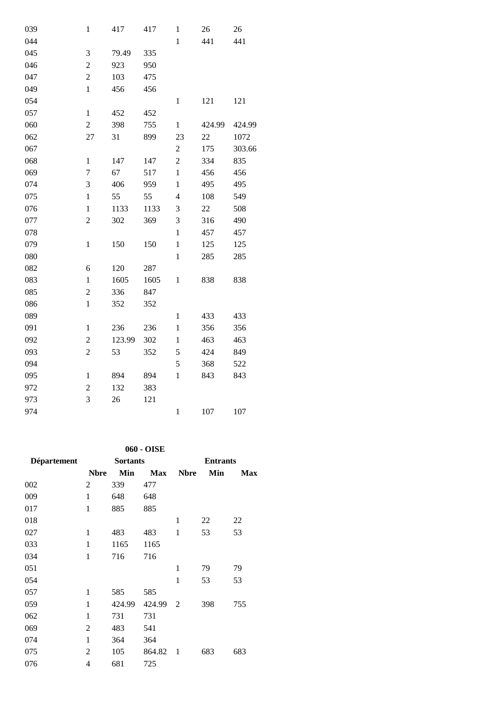| 039 | $\mathbf{1}$     | 417    | 417  | $\mathbf 1$             | $26\,$ | 26     |
|-----|------------------|--------|------|-------------------------|--------|--------|
| 044 |                  |        |      | $\,1$                   | 441    | 441    |
| 045 | 3                | 79.49  | 335  |                         |        |        |
| 046 | $\overline{2}$   | 923    | 950  |                         |        |        |
| 047 | $\sqrt{2}$       | 103    | 475  |                         |        |        |
| 049 | $\mathbf{1}$     | 456    | 456  |                         |        |        |
| 054 |                  |        |      | $\,1$                   | 121    | 121    |
| 057 | $\,1$            | 452    | 452  |                         |        |        |
| 060 | $\overline{c}$   | 398    | 755  | $\,1$                   | 424.99 | 424.99 |
| 062 | 27               | 31     | 899  | 23                      | 22     | 1072   |
| 067 |                  |        |      | $\overline{c}$          | 175    | 303.66 |
| 068 | $\mathbf{1}$     | 147    | 147  | $\overline{c}$          | 334    | 835    |
| 069 | $\boldsymbol{7}$ | 67     | 517  | $\,1$                   | 456    | 456    |
| 074 | 3                | 406    | 959  | $\mathbf{1}$            | 495    | 495    |
| 075 | $\mathbf{1}$     | 55     | 55   | $\overline{\mathbf{4}}$ | 108    | 549    |
| 076 | $\mathbf{1}$     | 1133   | 1133 | 3                       | 22     | 508    |
| 077 | $\overline{2}$   | 302    | 369  | 3                       | 316    | 490    |
| 078 |                  |        |      | $\mathbf{1}$            | 457    | 457    |
| 079 | $\mathbf{1}$     | 150    | 150  | $\,1$                   | 125    | 125    |
| 080 |                  |        |      | $\,1$                   | 285    | 285    |
| 082 | 6                | 120    | 287  |                         |        |        |
| 083 | $\mathbf{1}$     | 1605   | 1605 | $\mathbf{1}$            | 838    | 838    |
| 085 | $\overline{c}$   | 336    | 847  |                         |        |        |
| 086 | $\mathbf{1}$     | 352    | 352  |                         |        |        |
| 089 |                  |        |      | $\mathbf{1}$            | 433    | 433    |
| 091 | $\mathbf{1}$     | 236    | 236  | $\mathbf{1}$            | 356    | 356    |
| 092 | $\boldsymbol{2}$ | 123.99 | 302  | $\,1$                   | 463    | 463    |
| 093 | $\boldsymbol{2}$ | 53     | 352  | 5                       | 424    | 849    |
| 094 |                  |        |      | 5                       | 368    | 522    |
| 095 | $\mathbf{1}$     | 894    | 894  | $\mathbf 1$             | 843    | 843    |
| 972 | $\overline{2}$   | 132    | 383  |                         |        |        |
| 973 | 3                | 26     | 121  |                         |        |        |
| 974 |                  |        |      | $\mathbf{1}$            | 107    | 107    |

**060 - OISE**

| Département | <b>Sortants</b> |        |            | <b>Entrants</b> |     |            |  |
|-------------|-----------------|--------|------------|-----------------|-----|------------|--|
|             | <b>Nbre</b>     | Min    | <b>Max</b> | <b>Nbre</b>     | Min | <b>Max</b> |  |
| 002         | 2               | 339    | 477        |                 |     |            |  |
| 009         | $\mathbf{1}$    | 648    | 648        |                 |     |            |  |
| 017         | $\mathbf{1}$    | 885    | 885        |                 |     |            |  |
| 018         |                 |        |            | 1               | 22  | 22         |  |
| 027         | 1               | 483    | 483        | 1               | 53  | 53         |  |
| 033         | $\mathbf{1}$    | 1165   | 1165       |                 |     |            |  |
| 034         | $\mathbf{1}$    | 716    | 716        |                 |     |            |  |
| 051         |                 |        |            | 1               | 79  | 79         |  |
| 054         |                 |        |            | $\mathbf{1}$    | 53  | 53         |  |
| 057         | 1               | 585    | 585        |                 |     |            |  |
| 059         | $\mathbf{1}$    | 424.99 | 424.99     | -2              | 398 | 755        |  |
| 062         | $\mathbf{1}$    | 731    | 731        |                 |     |            |  |
| 069         | $\overline{2}$  | 483    | 541        |                 |     |            |  |
| 074         | 1               | 364    | 364        |                 |     |            |  |
| 075         | $\overline{2}$  | 105    | 864.82     | -1              | 683 | 683        |  |
| 076         | 4               | 681    | 725        |                 |     |            |  |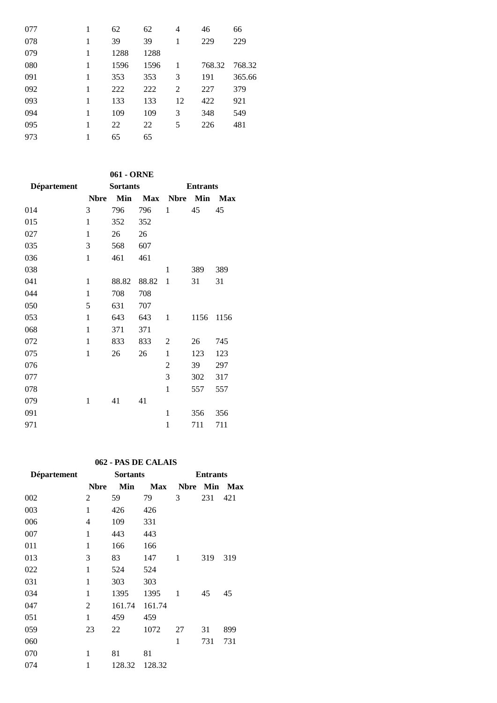| 077 |   | 62   | 62   | 4  | 46     | 66     |
|-----|---|------|------|----|--------|--------|
| 078 |   | 39   | 39   | 1  | 229    | 229    |
| 079 | 1 | 1288 | 1288 |    |        |        |
| 080 |   | 1596 | 1596 | 1  | 768.32 | 768.32 |
| 091 | 1 | 353  | 353  | 3  | 191    | 365.66 |
| 092 |   | 222  | 222  | 2  | 227    | 379    |
| 093 | 1 | 133  | 133  | 12 | 422    | 921    |
| 094 |   | 109  | 109  | 3  | 348    | 549    |
| 095 | 1 | 22   | 22   | 5  | 226    | 481    |
| 973 |   | 65   | 65   |    |        |        |

|             |             | 061 - ORNE      |            |                 |      |      |  |
|-------------|-------------|-----------------|------------|-----------------|------|------|--|
| Département |             | <b>Sortants</b> |            | <b>Entrants</b> |      |      |  |
|             | <b>Nbre</b> | Min             | <b>Max</b> | <b>Nbre</b>     | Min  | Max  |  |
| 014         | 3           | 796             | 796        | 1               | 45   | 45   |  |
| 015         | 1           | 352             | 352        |                 |      |      |  |
| 027         | 1           | 26              | 26         |                 |      |      |  |
| 035         | 3           | 568             | 607        |                 |      |      |  |
| 036         | 1           | 461             | 461        |                 |      |      |  |
| 038         |             |                 |            | 1               | 389  | 389  |  |
| 041         | 1           | 88.82           | 88.82      | 1               | 31   | 31   |  |
| 044         | 1           | 708             | 708        |                 |      |      |  |
| 050         | 5           | 631             | 707        |                 |      |      |  |
| 053         | 1           | 643             | 643        | 1               | 1156 | 1156 |  |
| 068         | 1           | 371             | 371        |                 |      |      |  |
| 072         | 1           | 833             | 833        | 2               | 26   | 745  |  |
| 075         | 1           | 26              | 26         | 1               | 123  | 123  |  |
| 076         |             |                 |            | $\overline{2}$  | 39   | 297  |  |
| 077         |             |                 |            | 3               | 302  | 317  |  |
| 078         |             |                 |            | 1               | 557  | 557  |  |
| 079         | 1           | 41              | 41         |                 |      |      |  |
| 091         |             |                 |            | $\mathbf{1}$    | 356  | 356  |  |
| 971         |             |                 |            | 1               | 711  | 711  |  |

### **062 - PAS DE CALAIS**

| <b>Département</b> | <b>Sortants</b> |        |            | <b>Entrants</b> |     |                |  |
|--------------------|-----------------|--------|------------|-----------------|-----|----------------|--|
|                    | <b>Nbre</b>     | Min    | <b>Max</b> | <b>Nbre</b>     |     | <b>Min Max</b> |  |
| 002                | 2               | 59     | 79         | 3               | 231 | 421            |  |
| 003                | 1               | 426    | 426        |                 |     |                |  |
| 006                | 4               | 109    | 331        |                 |     |                |  |
| 007                | 1               | 443    | 443        |                 |     |                |  |
| 011                | 1               | 166    | 166        |                 |     |                |  |
| 013                | 3               | 83     | 147        | 1               | 319 | 319            |  |
| 022                | 1               | 524    | 524        |                 |     |                |  |
| 031                | 1               | 303    | 303        |                 |     |                |  |
| 034                | $\mathbf{1}$    | 1395   | 1395       | 1               | 45  | 45             |  |
| 047                | 2               | 161.74 | 161.74     |                 |     |                |  |
| 051                | 1               | 459    | 459        |                 |     |                |  |
| 059                | 23              | 22     | 1072       | 27              | 31  | 899            |  |
| 060                |                 |        |            | 1               | 731 | 731            |  |
| 070                | 1               | 81     | 81         |                 |     |                |  |
| 074                | 1               | 128.32 | 128.32     |                 |     |                |  |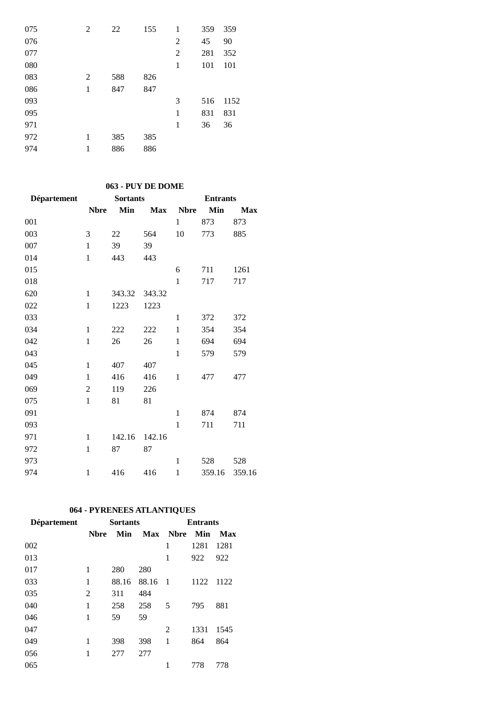| 075 | 2 | 22  | 155 | 1              | 359 | 359  |
|-----|---|-----|-----|----------------|-----|------|
| 076 |   |     |     | 2              | 45  | 90   |
| 077 |   |     |     | $\overline{2}$ | 281 | 352  |
| 080 |   |     |     | 1              | 101 | 101  |
| 083 | 2 | 588 | 826 |                |     |      |
| 086 | 1 | 847 | 847 |                |     |      |
| 093 |   |     |     | 3              | 516 | 1152 |
| 095 |   |     |     | 1              | 831 | 831  |
| 971 |   |     |     | 1              | 36  | 36   |
| 972 | 1 | 385 | 385 |                |     |      |
| 974 | 1 | 886 | 886 |                |     |      |

## **063 - PUY DE DOME**

| Département | <b>Sortants</b> |        |            | <b>Entrants</b> |        |            |  |
|-------------|-----------------|--------|------------|-----------------|--------|------------|--|
|             | <b>Nbre</b>     | Min    | <b>Max</b> | <b>Nbre</b>     | Min    | <b>Max</b> |  |
| 001         |                 |        |            | $\mathbf{1}$    | 873    | 873        |  |
| 003         | 3               | 22     | 564        | 10              | 773    | 885        |  |
| 007         | $\mathbf{1}$    | 39     | 39         |                 |        |            |  |
| 014         | $\mathbf{1}$    | 443    | 443        |                 |        |            |  |
| 015         |                 |        |            | 6               | 711    | 1261       |  |
| 018         |                 |        |            | $\mathbf{1}$    | 717    | 717        |  |
| 620         | $\mathbf{1}$    | 343.32 | 343.32     |                 |        |            |  |
| 022         | $\mathbf{1}$    | 1223   | 1223       |                 |        |            |  |
| 033         |                 |        |            | $\mathbf{1}$    | 372    | 372        |  |
| 034         | $\mathbf{1}$    | 222    | 222        | $\mathbf{1}$    | 354    | 354        |  |
| 042         | $\mathbf{1}$    | 26     | 26         | $\mathbf{1}$    | 694    | 694        |  |
| 043         |                 |        |            | $\mathbf{1}$    | 579    | 579        |  |
| 045         | $\mathbf{1}$    | 407    | 407        |                 |        |            |  |
| 049         | $\mathbf{1}$    | 416    | 416        | 1               | 477    | 477        |  |
| 069         | $\overline{2}$  | 119    | 226        |                 |        |            |  |
| 075         | $\mathbf{1}$    | 81     | 81         |                 |        |            |  |
| 091         |                 |        |            | $\mathbf{1}$    | 874    | 874        |  |
| 093         |                 |        |            | $\mathbf{1}$    | 711    | 711        |  |
| 971         | $\mathbf{1}$    | 142.16 | 142.16     |                 |        |            |  |
| 972         | $\mathbf{1}$    | 87     | 87         |                 |        |            |  |
| 973         |                 |        |            | $\mathbf{1}$    | 528    | 528        |  |
| 974         | $\mathbf{1}$    | 416    | 416        | $\mathbf{1}$    | 359.16 | 359.16     |  |

# **064 - PYRENEES ATLANTIQUES**

| <b>Département</b> |              | <b>Sortants</b> |       | <b>Entrants</b> |      |      |  |
|--------------------|--------------|-----------------|-------|-----------------|------|------|--|
|                    | <b>N</b> bre | Min             | Max   | <b>Nbre</b>     | Min  | Max  |  |
| 002                |              |                 |       | 1               | 1281 | 1281 |  |
| 013                |              |                 |       | 1               | 922  | 922  |  |
| 017                | 1            | 280             | 280   |                 |      |      |  |
| 033                | 1            | 88.16           | 88.16 | $\overline{1}$  | 1122 | 1122 |  |
| 035                | 2            | 311             | 484   |                 |      |      |  |
| 040                | 1            | 258             | 258   | 5               | 795  | 881  |  |
| 046                | 1            | 59              | 59    |                 |      |      |  |
| 047                |              |                 |       | 2               | 1331 | 1545 |  |
| 049                | 1            | 398             | 398   | 1               | 864  | 864  |  |
| 056                | 1            | 277             | 277   |                 |      |      |  |
| 065                |              |                 |       | 1               | 778  | 778  |  |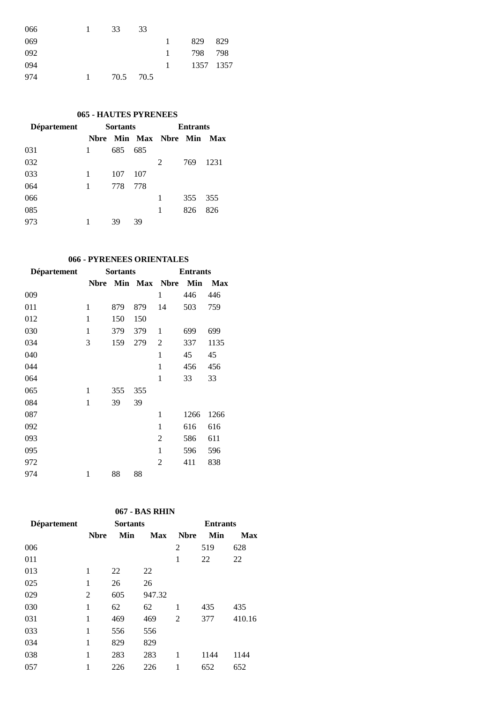| 066 | 33   | 33   |          |           |      |
|-----|------|------|----------|-----------|------|
| 069 |      |      | 1.       | 829       | 829  |
| 092 |      |      | $\sim$ 1 | 798       | -798 |
| 094 |      |      | 1        | 1357 1357 |      |
| 974 | 70.5 | 70.5 |          |           |      |

### **- HAUTES PYRENEES**

| <b>Département</b> | <b>Sortants</b> |     |     | <b>Entrants</b>       |     |      |  |
|--------------------|-----------------|-----|-----|-----------------------|-----|------|--|
|                    |                 |     |     | Nbre Min Max Nbre Min |     | Max  |  |
| 031                | 1               | 685 | 685 |                       |     |      |  |
| 032                |                 |     |     | 2                     | 769 | 1231 |  |
| 033                | 1               | 107 | 107 |                       |     |      |  |
| 064                | 1               | 778 | 778 |                       |     |      |  |
| 066                |                 |     |     | 1                     | 355 | 355  |  |
| 085                |                 |     |     | 1                     | 826 | 826  |  |
| 973                |                 | 39  | 39  |                       |     |      |  |

## **066 - PYRENEES ORIENTALES**

| <b>Département</b> |             | <b>Sortants</b> |     | <b>Entrants</b> |      |            |  |
|--------------------|-------------|-----------------|-----|-----------------|------|------------|--|
|                    | <b>Nbre</b> |                 |     | Min Max Nbre    | Min  | <b>Max</b> |  |
| 009                |             |                 |     | 1               | 446  | 446        |  |
| 011                | 1           | 879             | 879 | 14              | 503  | 759        |  |
| 012                | 1           | 150             | 150 |                 |      |            |  |
| 030                | 1           | 379             | 379 | 1               | 699  | 699        |  |
| 034                | 3           | 159             | 279 | 2               | 337  | 1135       |  |
| 040                |             |                 |     | 1               | 45   | 45         |  |
| 044                |             |                 |     | 1               | 456  | 456        |  |
| 064                |             |                 |     | $\mathbf{1}$    | 33   | 33         |  |
| 065                | 1           | 355             | 355 |                 |      |            |  |
| 084                | 1           | 39              | 39  |                 |      |            |  |
| 087                |             |                 |     | 1               | 1266 | 1266       |  |
| 092                |             |                 |     | $\mathbf{1}$    | 616  | 616        |  |
| 093                |             |                 |     | $\overline{2}$  | 586  | 611        |  |
| 095                |             |                 |     | 1               | 596  | 596        |  |
| 972                |             |                 |     | 2               | 411  | 838        |  |
| 974                | 1           | 88              | 88  |                 |      |            |  |

## **067 - BAS RHIN**

| Département | <b>Sortants</b> |     |            | <b>Entrants</b> |      |        |  |
|-------------|-----------------|-----|------------|-----------------|------|--------|--|
|             | <b>N</b> bre    | Min | <b>Max</b> | <b>Nbre</b>     | Min  | Max    |  |
| 006         |                 |     |            | 2               | 519  | 628    |  |
| 011         |                 |     |            | 1               | 22   | 22     |  |
| 013         | 1               | 22  | 22         |                 |      |        |  |
| 025         | 1               | 26  | 26         |                 |      |        |  |
| 029         | 2               | 605 | 947.32     |                 |      |        |  |
| 030         | 1               | 62  | 62         | 1               | 435  | 435    |  |
| 031         | 1               | 469 | 469        | 2               | 377  | 410.16 |  |
| 033         | 1               | 556 | 556        |                 |      |        |  |
| 034         | 1               | 829 | 829        |                 |      |        |  |
| 038         | 1               | 283 | 283        | 1               | 1144 | 1144   |  |
| 057         |                 | 226 | 226        |                 | 652  | 652    |  |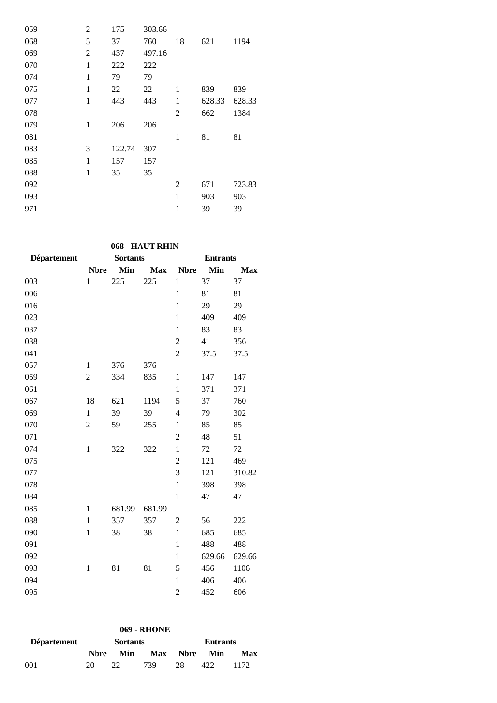| 059 | 2            | 175    | 303.66 |                |        |        |
|-----|--------------|--------|--------|----------------|--------|--------|
| 068 | 5            | 37     | 760    | 18             | 621    | 1194   |
| 069 | 2            | 437    | 497.16 |                |        |        |
| 070 | $\mathbf{1}$ | 222    | 222    |                |        |        |
| 074 | $\mathbf{1}$ | 79     | 79     |                |        |        |
| 075 | 1            | 22     | 22     | 1              | 839    | 839    |
| 077 | $\mathbf{1}$ | 443    | 443    | 1              | 628.33 | 628.33 |
| 078 |              |        |        | $\overline{2}$ | 662    | 1384   |
| 079 | 1            | 206    | 206    |                |        |        |
| 081 |              |        |        | 1              | 81     | 81     |
| 083 | 3            | 122.74 | 307    |                |        |        |
| 085 | $\mathbf{1}$ | 157    | 157    |                |        |        |
| 088 | $\mathbf{1}$ | 35     | 35     |                |        |        |
| 092 |              |        |        | $\overline{2}$ | 671    | 723.83 |
| 093 |              |        |        | 1              | 903    | 903    |
| 971 |              |        |        | $\mathbf{1}$   | 39     | 39     |

# **068 - HAUT RHIN**

| Département | <b>Sortants</b> |        |            | <b>Entrants</b>  |        |            |  |
|-------------|-----------------|--------|------------|------------------|--------|------------|--|
|             | <b>Nbre</b>     | Min    | <b>Max</b> | <b>Nbre</b>      | Min    | <b>Max</b> |  |
| 003         | $\mathbf{1}$    | 225    | 225        | 1                | 37     | 37         |  |
| 006         |                 |        |            | $\mathbf{1}$     | 81     | 81         |  |
| 016         |                 |        |            | $\mathbf{1}$     | 29     | 29         |  |
| 023         |                 |        |            | $\mathbf{1}$     | 409    | 409        |  |
| 037         |                 |        |            | $\mathbf{1}$     | 83     | 83         |  |
| 038         |                 |        |            | $\overline{c}$   | 41     | 356        |  |
| 041         |                 |        |            | $\overline{2}$   | 37.5   | 37.5       |  |
| 057         | $\mathbf{1}$    | 376    | 376        |                  |        |            |  |
| 059         | $\overline{c}$  | 334    | 835        | $\mathbf{1}$     | 147    | 147        |  |
| 061         |                 |        |            | $\mathbf{1}$     | 371    | 371        |  |
| 067         | 18              | 621    | 1194       | 5                | 37     | 760        |  |
| 069         | $\mathbf{1}$    | 39     | 39         | $\overline{4}$   | 79     | 302        |  |
| 070         | $\overline{c}$  | 59     | 255        | $\mathbf{1}$     | 85     | 85         |  |
| 071         |                 |        |            | $\boldsymbol{2}$ | 48     | 51         |  |
| 074         | $\mathbf{1}$    | 322    | 322        | $\mathbf{1}$     | 72     | 72         |  |
| 075         |                 |        |            | $\overline{2}$   | 121    | 469        |  |
| 077         |                 |        |            | 3                | 121    | 310.82     |  |
| 078         |                 |        |            | $\mathbf{1}$     | 398    | 398        |  |
| 084         |                 |        |            | $\mathbf{1}$     | 47     | 47         |  |
| 085         | $\mathbf{1}$    | 681.99 | 681.99     |                  |        |            |  |
| 088         | $\mathbf{1}$    | 357    | 357        | $\overline{2}$   | 56     | 222        |  |
| 090         | $\mathbf{1}$    | 38     | 38         | $\mathbf{1}$     | 685    | 685        |  |
| 091         |                 |        |            | $\mathbf{1}$     | 488    | 488        |  |
| 092         |                 |        |            | $\mathbf{1}$     | 629.66 | 629.66     |  |
| 093         | $\mathbf{1}$    | 81     | 81         | 5                | 456    | 1106       |  |
| 094         |                 |        |            | $\mathbf{1}$     | 406    | 406        |  |
| 095         |                 |        |            | $\overline{c}$   | 452    | 606        |  |

|                    |             |                 | <b>069 - RHONE</b> |                 |     |       |  |
|--------------------|-------------|-----------------|--------------------|-----------------|-----|-------|--|
| <b>Département</b> |             | <b>Sortants</b> |                    | <b>Entrants</b> |     |       |  |
|                    | <b>Nbre</b> | Min             | Max                | <b>Nbre</b>     | Min | Max   |  |
| 001                | 20          | フフ              | 739                | 28              | 422 | 1172. |  |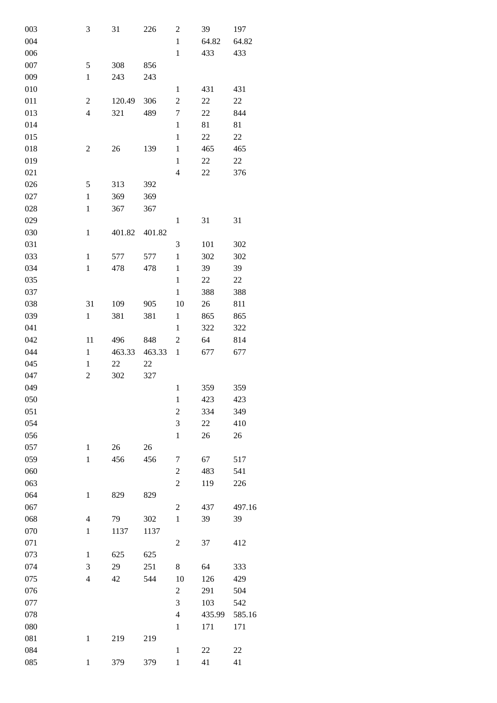| 003 | 3                        | 31     | 226    | $\overline{c}$   | 39     | 197    |
|-----|--------------------------|--------|--------|------------------|--------|--------|
| 004 |                          |        |        | $\mathbf{1}$     | 64.82  | 64.82  |
| 006 |                          |        |        | $\mathbf{1}$     | 433    | 433    |
| 007 | 5                        | 308    | 856    |                  |        |        |
| 009 | $\mathbf{1}$             | 243    | 243    |                  |        |        |
|     |                          |        |        |                  |        |        |
| 010 |                          |        |        | $\mathbf{1}$     | 431    | 431    |
| 011 | $\overline{c}$           | 120.49 | 306    | $\overline{2}$   | $22\,$ | 22     |
| 013 | $\overline{\mathbf{4}}$  | 321    | 489    | 7                | 22     | 844    |
| 014 |                          |        |        | $\mathbf{1}$     | 81     | 81     |
| 015 |                          |        |        | $\mathbf{1}$     | 22     | 22     |
| 018 | $\overline{c}$           | 26     | 139    | $\mathbf{1}$     | 465    | 465    |
| 019 |                          |        |        | $\mathbf{1}$     | 22     | 22     |
| 021 |                          |        |        | $\overline{4}$   | 22     | 376    |
| 026 | 5                        | 313    | 392    |                  |        |        |
| 027 | $\mathbf{1}$             | 369    | 369    |                  |        |        |
| 028 | $\mathbf{1}$             | 367    | 367    |                  |        |        |
| 029 |                          |        |        | $\mathbf{1}$     | 31     | 31     |
| 030 | $\mathbf{1}$             | 401.82 | 401.82 |                  |        |        |
| 031 |                          |        |        | 3                | 101    | 302    |
| 033 | $\mathbf{1}$             | 577    | 577    | $\mathbf{1}$     | 302    | 302    |
| 034 | $\,1$                    | 478    | 478    | $\mathbf{1}$     | 39     | 39     |
| 035 |                          |        |        | $\mathbf{1}$     | 22     | 22     |
| 037 |                          |        |        | $\mathbf{1}$     | 388    | 388    |
| 038 | 31                       | 109    | 905    | 10               | 26     | 811    |
| 039 | $\mathbf{1}$             | 381    | 381    | $\mathbf{1}$     | 865    | 865    |
| 041 |                          |        |        | $\mathbf{1}$     | 322    | 322    |
| 042 | 11                       | 496    | 848    | 2                | 64     | 814    |
| 044 | $\mathbf{1}$             | 463.33 | 463.33 | $\mathbf{1}$     | 677    | 677    |
| 045 | $\mathbf{1}$             | 22     | 22     |                  |        |        |
| 047 | $\overline{c}$           | 302    | 327    |                  |        |        |
| 049 |                          |        |        | $\,1$            | 359    | 359    |
|     |                          |        |        |                  |        |        |
| 050 |                          |        |        | 1                | 423    | 423    |
| 051 |                          |        |        | $\overline{c}$   | 334    | 349    |
| 054 |                          |        |        | 3                | 22     | 410    |
| 056 |                          |        |        | $\mathbf{1}$     | 26     | 26     |
| 057 | $\mathbf{1}$             | 26     | 26     |                  |        |        |
| 059 | $\,1$                    | 456    | 456    | 7                | 67     | 517    |
| 060 |                          |        |        | $\overline{c}$   | 483    | 541    |
| 063 |                          |        |        | $\overline{2}$   | 119    | 226    |
| 064 | $\,1$                    | 829    | 829    |                  |        |        |
| 067 |                          |        |        | $\overline{2}$   | 437    | 497.16 |
| 068 | $\overline{4}$           | 79     | 302    | $\mathbf{1}$     | 39     | 39     |
| 070 | $\,1$                    | 1137   | 1137   |                  |        |        |
| 071 |                          |        |        | $\overline{c}$   | 37     | 412    |
| 073 | $\mathbf{1}$             | 625    | 625    |                  |        |        |
| 074 | 3                        | 29     | 251    | $8\,$            | 64     | 333    |
| 075 | $\overline{\mathcal{L}}$ | 42     | 544    | $10\,$           | 126    | 429    |
| 076 |                          |        |        | $\boldsymbol{2}$ | 291    | 504    |
| 077 |                          |        |        | 3                | 103    | 542    |
| 078 |                          |        |        | $\overline{4}$   | 435.99 | 585.16 |
| 080 |                          |        |        | $\mathbf{1}$     | 171    | 171    |
| 081 | $\,1$                    | 219    | 219    |                  |        |        |
| 084 |                          |        |        | $\mathbf{1}$     | 22     | 22     |
| 085 | $\mathbf{1}$             | 379    | 379    | $\mathbf{1}$     | 41     | 41     |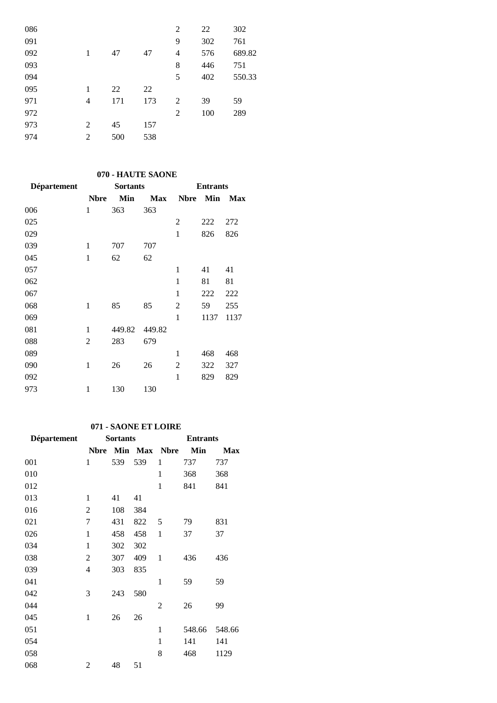| 086 |   |     |     | 2 | 22  | 302    |
|-----|---|-----|-----|---|-----|--------|
| 091 |   |     |     | 9 | 302 | 761    |
| 092 | 1 | 47  | 47  | 4 | 576 | 689.82 |
| 093 |   |     |     | 8 | 446 | 751    |
| 094 |   |     |     | 5 | 402 | 550.33 |
| 095 | 1 | 22  | 22  |   |     |        |
| 971 | 4 | 171 | 173 | 2 | 39  | 59     |
| 972 |   |     |     | 2 | 100 | 289    |
| 973 | 2 | 45  | 157 |   |     |        |
| 974 | 2 | 500 | 538 |   |     |        |
|     |   |     |     |   |     |        |

## **070 - HAUTE SAONE**

| Département | <b>Sortants</b> |        |            | <b>Entrants</b> |      |            |  |
|-------------|-----------------|--------|------------|-----------------|------|------------|--|
|             | <b>Nbre</b>     | Min    | <b>Max</b> | <b>Nbre</b>     | Min  | <b>Max</b> |  |
| 006         | 1               | 363    | 363        |                 |      |            |  |
| 025         |                 |        |            | $\overline{2}$  | 222  | 272        |  |
| 029         |                 |        |            | $\mathbf{1}$    | 826  | 826        |  |
| 039         | 1               | 707    | 707        |                 |      |            |  |
| 045         | 1               | 62     | 62         |                 |      |            |  |
| 057         |                 |        |            | 1               | 41   | 41         |  |
| 062         |                 |        |            | 1               | 81   | 81         |  |
| 067         |                 |        |            | $\mathbf{1}$    | 222  | 222        |  |
| 068         | 1               | 85     | 85         | 2               | 59   | 255        |  |
| 069         |                 |        |            | $\mathbf{1}$    | 1137 | 1137       |  |
| 081         | 1               | 449.82 | 449.82     |                 |      |            |  |
| 088         | 2               | 283    | 679        |                 |      |            |  |
| 089         |                 |        |            | $\mathbf{1}$    | 468  | 468        |  |
| 090         | $\mathbf{1}$    | 26     | 26         | 2               | 322  | 327        |  |
| 092         |                 |        |            | 1               | 829  | 829        |  |
| 973         | 1               | 130    | 130        |                 |      |            |  |

## **071 - SAONE ET LOIRE**

| <b>Département</b> | <b>Sortants</b> |     |         | <b>Entrants</b> |        |            |  |
|--------------------|-----------------|-----|---------|-----------------|--------|------------|--|
|                    | <b>Nbre</b>     |     | Min Max | <b>Nbre</b>     | Min    | <b>Max</b> |  |
| 001                | 1               | 539 | 539     | 1               | 737    | 737        |  |
| 010                |                 |     |         | 1               | 368    | 368        |  |
| 012                |                 |     |         | $\mathbf{1}$    | 841    | 841        |  |
| 013                | 1               | 41  | 41      |                 |        |            |  |
| 016                | 2               | 108 | 384     |                 |        |            |  |
| 021                | 7               | 431 | 822     | 5               | 79     | 831        |  |
| 026                | 1               | 458 | 458     | 1               | 37     | 37         |  |
| 034                | $\mathbf{1}$    | 302 | 302     |                 |        |            |  |
| 038                | 2               | 307 | 409     | $\mathbf{1}$    | 436    | 436        |  |
| 039                | 4               | 303 | 835     |                 |        |            |  |
| 041                |                 |     |         | 1               | 59     | 59         |  |
| 042                | 3               | 243 | 580     |                 |        |            |  |
| 044                |                 |     |         | 2               | 26     | 99         |  |
| 045                | $\mathbf{1}$    | 26  | 26      |                 |        |            |  |
| 051                |                 |     |         | $\mathbf{1}$    | 548.66 | 548.66     |  |
| 054                |                 |     |         | 1               | 141    | 141        |  |
| 058                |                 |     |         | 8               | 468    | 1129       |  |
| 068                | 2               | 48  | 51      |                 |        |            |  |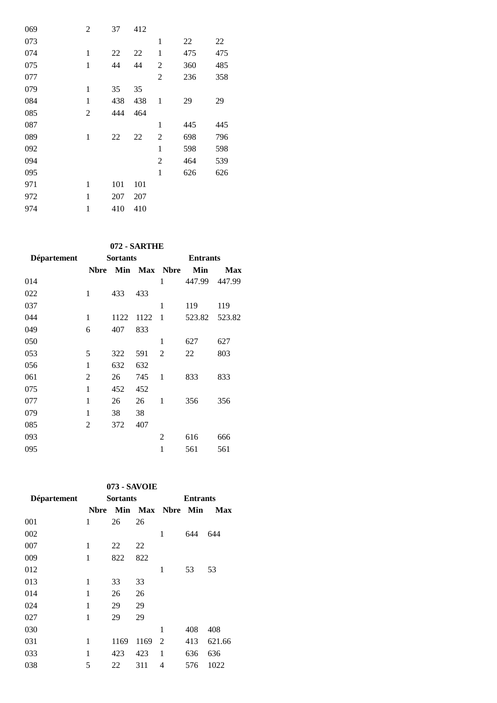| 069 | 2            | 37  | 412 |                |     |     |
|-----|--------------|-----|-----|----------------|-----|-----|
| 073 |              |     |     | 1              | 22  | 22  |
| 074 | 1            | 22  | 22  | $\mathbf{1}$   | 475 | 475 |
| 075 | 1            | 44  | 44  | 2              | 360 | 485 |
| 077 |              |     |     | 2              | 236 | 358 |
| 079 | 1            | 35  | 35  |                |     |     |
| 084 | 1            | 438 | 438 | 1              | 29  | 29  |
| 085 | 2            | 444 | 464 |                |     |     |
| 087 |              |     |     | 1              | 445 | 445 |
| 089 | $\mathbf{1}$ | 22  | 22  | 2              | 698 | 796 |
| 092 |              |     |     | 1              | 598 | 598 |
| 094 |              |     |     | $\overline{2}$ | 464 | 539 |
| 095 |              |     |     | $\mathbf{1}$   | 626 | 626 |
| 971 | 1            | 101 | 101 |                |     |     |
| 972 | 1            | 207 | 207 |                |     |     |
| 974 | $\mathbf{1}$ | 410 | 410 |                |     |     |

### **072 - SARTHE**

| <b>Département</b> |             | <b>Sortants</b> |      | <b>Entrants</b> |        |        |  |
|--------------------|-------------|-----------------|------|-----------------|--------|--------|--|
|                    | <b>Nbre</b> |                 |      | Min Max Nbre    | Min    | Max    |  |
| 014                |             |                 |      | 1               | 447.99 | 447.99 |  |
| 022                | 1           | 433             | 433  |                 |        |        |  |
| 037                |             |                 |      | 1               | 119    | 119    |  |
| 044                | 1           | 1122            | 1122 | 1               | 523.82 | 523.82 |  |
| 049                | 6           | 407             | 833  |                 |        |        |  |
| 050                |             |                 |      | 1               | 627    | 627    |  |
| 053                | 5           | 322             | 591  | $\overline{2}$  | 22     | 803    |  |
| 056                | 1           | 632             | 632  |                 |        |        |  |
| 061                | 2           | 26              | 745  | 1               | 833    | 833    |  |
| 075                | 1           | 452             | 452  |                 |        |        |  |
| 077                | 1           | 26              | 26   | 1               | 356    | 356    |  |
| 079                | 1           | 38              | 38   |                 |        |        |  |
| 085                | 2           | 372             | 407  |                 |        |        |  |
| 093                |             |                 |      | $\overline{c}$  | 616    | 666    |  |
| 095                |             |                 |      | 1               | 561    | 561    |  |

### **073 - SAVOIE**

| Département | <b>Sortants</b> |      |      | <b>Entrants</b>  |     |            |  |
|-------------|-----------------|------|------|------------------|-----|------------|--|
|             | Nbre            |      |      | Min Max Nbre Min |     | <b>Max</b> |  |
| 001         | 1               | 26   | 26   |                  |     |            |  |
| 002         |                 |      |      | 1                | 644 | 644        |  |
| 007         | 1               | 22   | 22   |                  |     |            |  |
| 009         | 1               | 822  | 822  |                  |     |            |  |
| 012         |                 |      |      | 1                | 53  | 53         |  |
| 013         | 1               | 33   | 33   |                  |     |            |  |
| 014         | 1               | 26   | 26   |                  |     |            |  |
| 024         | 1               | 29   | 29   |                  |     |            |  |
| 027         | 1               | 29   | 29   |                  |     |            |  |
| 030         |                 |      |      | 1                | 408 | 408        |  |
| 031         | 1               | 1169 | 1169 | 2                | 413 | 621.66     |  |
| 033         | 1               | 423  | 423  | 1                | 636 | 636        |  |
| 038         | 5               | 22   | 311  | 4                | 576 | 1022       |  |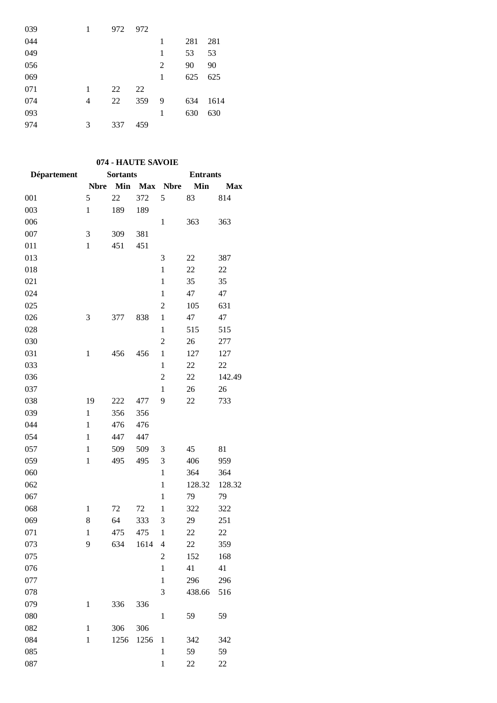| 039 |   | 972 | 972 |   |     |      |
|-----|---|-----|-----|---|-----|------|
| 044 |   |     |     | 1 | 281 | 281  |
| 049 |   |     |     | 1 | 53  | 53   |
| 056 |   |     |     | 2 | 90  | 90   |
| 069 |   |     |     | 1 | 625 | 625  |
| 071 | 1 | 22  | 22  |   |     |      |
| 074 | 4 | 22  | 359 | 9 | 634 | 1614 |
| 093 |   |     |     | 1 | 630 | 630  |
| 974 | 3 | 337 | 459 |   |     |      |
|     |   |     |     |   |     |      |

## **074 - HAUTE SAVOIE**

| Département |              | <b>Sortants</b> |            | <b>Entrants</b> |        |            |  |
|-------------|--------------|-----------------|------------|-----------------|--------|------------|--|
|             | <b>Nbre</b>  | Min             | <b>Max</b> | <b>Nbre</b>     | Min    | <b>Max</b> |  |
| 001         | 5            | 22              | 372        | 5               | 83     | 814        |  |
| 003         | $\mathbf{1}$ | 189             | 189        |                 |        |            |  |
| 006         |              |                 |            | $\mathbf{1}$    | 363    | 363        |  |
| 007         | 3            | 309             | 381        |                 |        |            |  |
| 011         | $\mathbf{1}$ | 451             | 451        |                 |        |            |  |
| 013         |              |                 |            | 3               | 22     | 387        |  |
| 018         |              |                 |            | $\mathbf{1}$    | 22     | 22         |  |
| 021         |              |                 |            | $\mathbf{1}$    | 35     | 35         |  |
| 024         |              |                 |            | $\mathbf{1}$    | 47     | 47         |  |
| 025         |              |                 |            | $\overline{c}$  | 105    | 631        |  |
| 026         | 3            | 377             | 838        | $\mathbf{1}$    | 47     | 47         |  |
| 028         |              |                 |            | $\mathbf{1}$    | 515    | 515        |  |
| 030         |              |                 |            | $\overline{c}$  | 26     | 277        |  |
| 031         | $\,1$        | 456             | 456        | $\mathbf{1}$    | 127    | 127        |  |
| 033         |              |                 |            | $\mathbf{1}$    | 22     | 22         |  |
| 036         |              |                 |            | $\overline{2}$  | 22     | 142.49     |  |
| 037         |              |                 |            | $\mathbf{1}$    | 26     | 26         |  |
| 038         | 19           | 222             | 477        | 9               | 22     | 733        |  |
| 039         | $\mathbf{1}$ | 356             | 356        |                 |        |            |  |
| 044         | $\mathbf{1}$ | 476             | 476        |                 |        |            |  |
| 054         | $\mathbf{1}$ | 447             | 447        |                 |        |            |  |
| 057         | $\mathbf{1}$ | 509             | 509        | 3               | 45     | 81         |  |
| 059         | $\mathbf{1}$ | 495             | 495        | 3               | 406    | 959        |  |
| 060         |              |                 |            | $\mathbf{1}$    | 364    | 364        |  |
| 062         |              |                 |            | $\mathbf{1}$    | 128.32 | 128.32     |  |
| 067         |              |                 |            | $\mathbf{1}$    | 79     | 79         |  |
| 068         | $\mathbf{1}$ | 72              | 72         | 1               | 322    | 322        |  |
| 069         | 8            | 64              | 333        | 3               | 29     | 251        |  |
| 071         | $\mathbf{1}$ | 475             | 475        | $\mathbf{1}$    | 22     | 22         |  |
| 073         | 9            | 634             | 1614       | $\overline{4}$  | 22     | 359        |  |
| 075         |              |                 |            | $\overline{2}$  | 152    | 168        |  |
| 076         |              |                 |            | $\mathbf{1}$    | 41     | 41         |  |
| 077         |              |                 |            | $\mathbf{1}$    | 296    | 296        |  |
| 078         |              |                 |            | 3               | 438.66 | 516        |  |
| 079         | $\mathbf{1}$ | 336             | 336        |                 |        |            |  |
| 080         |              |                 |            | $\mathbf{1}$    | 59     | 59         |  |
| 082         | $\mathbf{1}$ | 306             | 306        |                 |        |            |  |
| 084         | $\mathbf{1}$ | 1256            | 1256       | $\mathbf{1}$    | 342    | 342        |  |
| 085         |              |                 |            | $\mathbf{1}$    | 59     | 59         |  |
| 087         |              |                 |            | $\,1$           | 22     | 22         |  |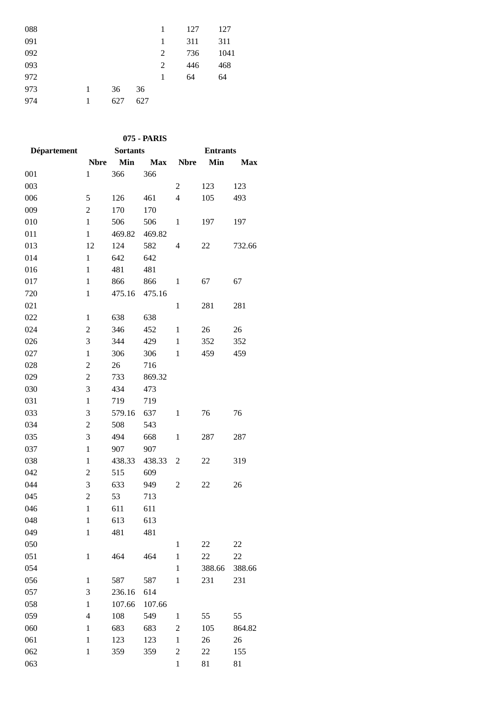| 088 |   |     |     | 1 | 127 | 127  |
|-----|---|-----|-----|---|-----|------|
| 091 |   |     |     | 1 | 311 | 311  |
| 092 |   |     |     | 2 | 736 | 1041 |
| 093 |   |     |     | 2 | 446 | 468  |
| 972 |   |     |     | 1 | 64  | 64   |
| 973 | 1 | 36  | 36  |   |     |      |
| 974 | 1 | 627 | 627 |   |     |      |

| 075 - PARIS        |                |                 |            |                 |        |            |  |  |
|--------------------|----------------|-----------------|------------|-----------------|--------|------------|--|--|
| <b>Département</b> |                | <b>Sortants</b> |            | <b>Entrants</b> |        |            |  |  |
|                    | <b>Nbre</b>    | Min             | <b>Max</b> | <b>Nbre</b>     | Min    | <b>Max</b> |  |  |
| 001                | $\mathbf{1}$   | 366             | 366        |                 |        |            |  |  |
| 003                |                |                 |            | $\overline{2}$  | 123    | 123        |  |  |
| 006                | 5              | 126             | 461        | $\overline{4}$  | 105    | 493        |  |  |
| 009                | $\overline{2}$ | 170             | 170        |                 |        |            |  |  |
| 010                | $\mathbf{1}$   | 506             | 506        | $\mathbf{1}$    | 197    | 197        |  |  |
| 011                | $\mathbf{1}$   | 469.82          | 469.82     |                 |        |            |  |  |
| 013                | 12             | 124             | 582        | 4               | 22     | 732.66     |  |  |
| 014                | $\mathbf{1}$   | 642             | 642        |                 |        |            |  |  |
| 016                | $\mathbf{1}$   | 481             | 481        |                 |        |            |  |  |
| 017                | 1              | 866             | 866        | $\mathbf{1}$    | 67     | 67         |  |  |
| 720                | $\mathbf{1}$   | 475.16          | 475.16     |                 |        |            |  |  |
| 021                |                |                 |            | $\mathbf{1}$    | 281    | 281        |  |  |
| 022                | 1              | 638             | 638        |                 |        |            |  |  |
| 024                | $\overline{c}$ | 346             | 452        | 1               | 26     | 26         |  |  |
| 026                | 3              | 344             | 429        | $\mathbf{1}$    | 352    | 352        |  |  |
| 027                | 1              | 306             | 306        | $\mathbf{1}$    | 459    | 459        |  |  |
| 028                | $\overline{2}$ | 26              | 716        |                 |        |            |  |  |
| 029                | $\overline{c}$ | 733             | 869.32     |                 |        |            |  |  |
| 030                | 3              | 434             | 473        |                 |        |            |  |  |
| 031                | $\mathbf{1}$   | 719             | 719        |                 |        |            |  |  |
| 033                | 3              | 579.16          | 637        | $\mathbf{1}$    | 76     | 76         |  |  |
| 034                | $\overline{2}$ | 508             | 543        |                 |        |            |  |  |
| 035                | 3              | 494             | 668        | $\mathbf{1}$    | 287    | 287        |  |  |
| 037                | $\mathbf{1}$   | 907             | 907        |                 |        |            |  |  |
| 038                | $\mathbf{1}$   | 438.33          | 438.33     | $\overline{2}$  | 22     | 319        |  |  |
| 042                | $\overline{2}$ | 515             | 609        |                 |        |            |  |  |
| 044                | 3              | 633             | 949        | $\overline{2}$  | 22     | 26         |  |  |
| 045                | $\overline{c}$ | 53              | 713        |                 |        |            |  |  |
| 046                | 1              | 611             | 611        |                 |        |            |  |  |
| 048                | $\mathbf{1}$   | 613             | 613        |                 |        |            |  |  |
| 049                | $\mathbf{1}$   | 481             | 481        |                 |        |            |  |  |
| 050                |                |                 |            | $\mathbf{1}$    | 22     | 22         |  |  |
| 051                | 1              | 464             | 464        | $\mathbf{1}$    | 22     | 22         |  |  |
| 054                |                |                 |            | $\mathbf{1}$    | 388.66 | 388.66     |  |  |
| 056                | $\mathbf{1}$   | 587             | 587        | $\mathbf 1$     | 231    | 231        |  |  |
| 057                | 3              | 236.16          | 614        |                 |        |            |  |  |
| 058                | $\mathbf{1}$   | 107.66          | 107.66     |                 |        |            |  |  |
| 059                | $\overline{4}$ | 108             | 549        | $\mathbf{1}$    | 55     | 55         |  |  |
| 060                | $\mathbf{1}$   | 683             | 683        | $\overline{2}$  | 105    | 864.82     |  |  |
| 061                | $\mathbf{1}$   | 123             | 123        | $\mathbf 1$     | 26     | 26         |  |  |
| 062                | $\mathbf{1}$   | 359             | 359        | $\overline{c}$  | 22     | 155        |  |  |
| 063                |                |                 |            | $\mathbf{1}$    | 81     | 81         |  |  |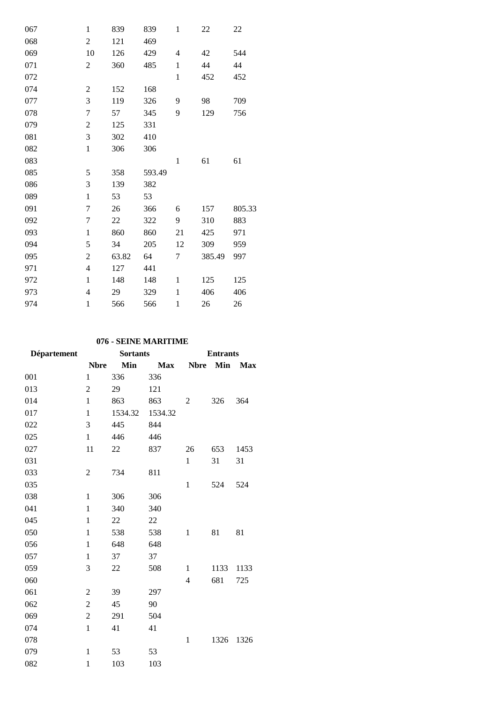| 067 | $\mathbf{1}$     | 839   | 839    | 1            | 22     | 22     |
|-----|------------------|-------|--------|--------------|--------|--------|
| 068 | $\mathbf{2}$     | 121   | 469    |              |        |        |
| 069 | 10               | 126   | 429    | 4            | 42     | 544    |
| 071 | $\overline{2}$   | 360   | 485    | $\mathbf{1}$ | 44     | 44     |
| 072 |                  |       |        | $\mathbf{1}$ | 452    | 452    |
| 074 | $\boldsymbol{2}$ | 152   | 168    |              |        |        |
| 077 | 3                | 119   | 326    | 9            | 98     | 709    |
| 078 | $\boldsymbol{7}$ | 57    | 345    | 9            | 129    | 756    |
| 079 | $\boldsymbol{2}$ | 125   | 331    |              |        |        |
| 081 | 3                | 302   | 410    |              |        |        |
| 082 | $\mathbf{1}$     | 306   | 306    |              |        |        |
| 083 |                  |       |        | $\mathbf{1}$ | 61     | 61     |
| 085 | 5                | 358   | 593.49 |              |        |        |
| 086 | 3                | 139   | 382    |              |        |        |
| 089 | $\mathbf{1}$     | 53    | 53     |              |        |        |
| 091 | $\boldsymbol{7}$ | 26    | 366    | 6            | 157    | 805.33 |
| 092 | $\tau$           | 22    | 322    | 9            | 310    | 883    |
| 093 | $\mathbf{1}$     | 860   | 860    | 21           | 425    | 971    |
| 094 | 5                | 34    | 205    | 12           | 309    | 959    |
| 095 | $\mathbf{2}$     | 63.82 | 64     | 7            | 385.49 | 997    |
| 971 | $\overline{4}$   | 127   | 441    |              |        |        |
| 972 | $\mathbf{1}$     | 148   | 148    | $\mathbf{1}$ | 125    | 125    |
| 973 | $\overline{4}$   | 29    | 329    | $\mathbf{1}$ | 406    | 406    |
| 974 | $\mathbf{1}$     | 566   | 566    | $\mathbf{1}$ | 26     | 26     |

### **076 - SEINE MARITIME**

| <b>Département</b> | <b>Sortants</b> |         |            | <b>Entrants</b> |            |            |  |
|--------------------|-----------------|---------|------------|-----------------|------------|------------|--|
|                    | <b>Nbre</b>     | Min     | <b>Max</b> | <b>Nbre</b>     | <b>Min</b> | <b>Max</b> |  |
| 001                | $\mathbf{1}$    | 336     | 336        |                 |            |            |  |
| 013                | $\overline{2}$  | 29      | 121        |                 |            |            |  |
| 014                | $\mathbf{1}$    | 863     | 863        | 2               | 326        | 364        |  |
| 017                | $\mathbf{1}$    | 1534.32 | 1534.32    |                 |            |            |  |
| 022                | 3               | 445     | 844        |                 |            |            |  |
| 025                | $\mathbf{1}$    | 446     | 446        |                 |            |            |  |
| 027                | 11              | 22      | 837        | 26              | 653        | 1453       |  |
| 031                |                 |         |            | $\mathbf{1}$    | 31         | 31         |  |
| 033                | 2               | 734     | 811        |                 |            |            |  |
| 035                |                 |         |            | $\mathbf{1}$    | 524        | 524        |  |
| 038                | 1               | 306     | 306        |                 |            |            |  |
| 041                | $\mathbf{1}$    | 340     | 340        |                 |            |            |  |
| 045                | $\mathbf{1}$    | 22      | 22         |                 |            |            |  |
| 050                | $\mathbf{1}$    | 538     | 538        | $\mathbf{1}$    | 81         | 81         |  |
| 056                | $\mathbf{1}$    | 648     | 648        |                 |            |            |  |
| 057                | $\mathbf{1}$    | 37      | 37         |                 |            |            |  |
| 059                | 3               | 22      | 508        | 1               | 1133       | 1133       |  |
| 060                |                 |         |            | 4               | 681        | 725        |  |
| 061                | $\overline{2}$  | 39      | 297        |                 |            |            |  |
| 062                | $\overline{c}$  | 45      | 90         |                 |            |            |  |
| 069                | $\overline{2}$  | 291     | 504        |                 |            |            |  |
| 074                | $\mathbf{1}$    | 41      | 41         |                 |            |            |  |
| 078                |                 |         |            | $\mathbf{1}$    | 1326       | 1326       |  |
| 079                | 1               | 53      | 53         |                 |            |            |  |
| 082                | $\mathbf{1}$    | 103     | 103        |                 |            |            |  |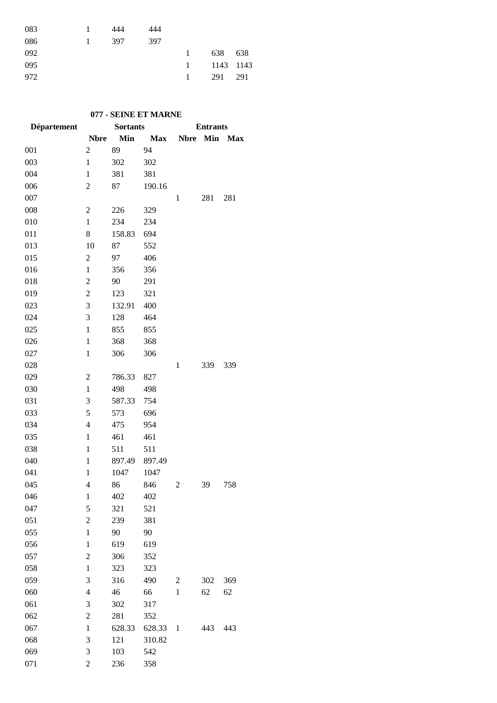| 083 |    | 444 | 444 |              |           |     |
|-----|----|-----|-----|--------------|-----------|-----|
| 086 | 1. | 397 | 397 |              |           |     |
| 092 |    |     |     | $\mathbf{1}$ | 638       | 638 |
| 095 |    |     |     | 1            | 1143 1143 |     |
| 972 |    |     |     | $\mathbf{1}$ | 291       | 291 |
|     |    |     |     |              |           |     |

## **077 - SEINE ET MARNE**

| Département |                | <b>Sortants</b> |            | <b>Entrants</b> |     |         |
|-------------|----------------|-----------------|------------|-----------------|-----|---------|
|             | <b>Nbre</b>    | Min             | <b>Max</b> | <b>Nbre</b>     |     | Min Max |
| 001         | $\overline{c}$ | 89              | 94         |                 |     |         |
| 003         | $\mathbf{1}$   | 302             | 302        |                 |     |         |
| 004         | $\mathbf{1}$   | 381             | 381        |                 |     |         |
| 006         | 2              | 87              | 190.16     |                 |     |         |
| 007         |                |                 |            | 1               | 281 | 281     |
| 008         | $\overline{2}$ | 226             | 329        |                 |     |         |
| 010         | $\mathbf{1}$   | 234             | 234        |                 |     |         |
| 011         | 8              | 158.83          | 694        |                 |     |         |
| 013         | 10             | 87              | 552        |                 |     |         |
| 015         | $\mathfrak{2}$ | 97              | 406        |                 |     |         |
| 016         | $\mathbf{1}$   | 356             | 356        |                 |     |         |
| 018         | $\overline{c}$ | 90              | 291        |                 |     |         |
| 019         | $\overline{c}$ | 123             | 321        |                 |     |         |
| 023         | 3              | 132.91          | 400        |                 |     |         |
| 024         | 3              | 128             | 464        |                 |     |         |
| 025         | $\mathbf{1}$   | 855             | 855        |                 |     |         |
| 026         | $\mathbf{1}$   | 368             | 368        |                 |     |         |
| 027         | $\mathbf{1}$   | 306             | 306        |                 |     |         |
| 028         |                |                 |            | $\mathbf{1}$    | 339 | 339     |
| 029         | 2              | 786.33          | 827        |                 |     |         |
| 030         | $\mathbf{1}$   | 498             | 498        |                 |     |         |
| 031         | 3              | 587.33          | 754        |                 |     |         |
| 033         | 5              | 573             | 696        |                 |     |         |
| 034         | $\overline{4}$ | 475             | 954        |                 |     |         |
| 035         | $\mathbf{1}$   | 461             | 461        |                 |     |         |
| 038         | $\mathbf{1}$   | 511             | 511        |                 |     |         |
| 040         | $\mathbf{1}$   | 897.49          | 897.49     |                 |     |         |
| 041         | $\mathbf{1}$   | 1047            | 1047       |                 |     |         |
| 045         | $\overline{4}$ | 86              | 846        | 2               | 39  | 758     |
| 046         | 1              | 402             | 402        |                 |     |         |
| 047         | 5              | 321             | 521        |                 |     |         |
| 051         | $\overline{2}$ | 239             | 381        |                 |     |         |
| 055         | $\mathbf{1}$   | 90              | 90         |                 |     |         |
| 056         | $\mathbf{1}$   | 619             | 619        |                 |     |         |
| 057         | $\overline{c}$ | 306             | 352        |                 |     |         |
| 058         | $\mathbf{1}$   | 323             | 323        |                 |     |         |
| 059         | 3              | 316             | 490        | 2               | 302 | 369     |
| 060         | $\overline{4}$ | 46              | 66         | $\mathbf{1}$    | 62  | 62      |
| 061         | 3              | 302             | 317        |                 |     |         |
| 062         | $\overline{2}$ | 281             | 352        |                 |     |         |
| 067         | $\mathbf{1}$   | 628.33          | 628.33     | $\mathbf{1}$    | 443 | 443     |
| 068         | 3              | 121             | 310.82     |                 |     |         |
| 069         | 3              | 103             | 542        |                 |     |         |
| 071         | $\overline{2}$ | 236             | 358        |                 |     |         |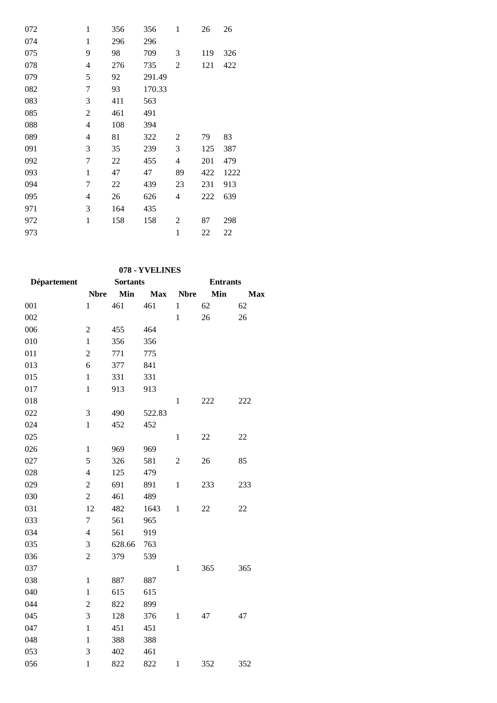| 072 | $\mathbf{1}$ | 356 | 356    | $\mathbf{1}$ | 26  | 26   |
|-----|--------------|-----|--------|--------------|-----|------|
| 074 | $\mathbf{1}$ | 296 | 296    |              |     |      |
| 075 | 9            | 98  | 709    | 3            | 119 | 326  |
| 078 | 4            | 276 | 735    | 2            | 121 | 422  |
| 079 | 5            | 92  | 291.49 |              |     |      |
| 082 | 7            | 93  | 170.33 |              |     |      |
| 083 | 3            | 411 | 563    |              |     |      |
| 085 | 2            | 461 | 491    |              |     |      |
| 088 | 4            | 108 | 394    |              |     |      |
| 089 | 4            | 81  | 322    | 2            | 79  | 83   |
| 091 | 3            | 35  | 239    | 3            | 125 | 387  |
| 092 | 7            | 22  | 455    | 4            | 201 | 479  |
| 093 | $\mathbf{1}$ | 47  | 47     | 89           | 422 | 1222 |
| 094 | 7            | 22  | 439    | 23           | 231 | 913  |
| 095 | 4            | 26  | 626    | 4            | 222 | 639  |
| 971 | 3            | 164 | 435    |              |     |      |
| 972 | 1            | 158 | 158    | 2            | 87  | 298  |
| 973 |              |     |        | $\mathbf{1}$ | 22  | 22   |

# **078 - YVELINES**

| Département |                         | <b>Sortants</b> |            | <b>Entrants</b> |        |     |  |
|-------------|-------------------------|-----------------|------------|-----------------|--------|-----|--|
|             | <b>Nbre</b>             | Min             | <b>Max</b> | <b>Nbre</b>     | Min    | Max |  |
| 001         | $\mathbf{1}$            | 461             | 461        | $\mathbf{1}$    | 62     | 62  |  |
| 002         |                         |                 |            | $\mathbf{1}$    | 26     | 26  |  |
| 006         | $\overline{c}$          | 455             | 464        |                 |        |     |  |
| 010         | $\mathbf{1}$            | 356             | 356        |                 |        |     |  |
| 011         | $\overline{c}$          | 771             | 775        |                 |        |     |  |
| 013         | 6                       | 377             | 841        |                 |        |     |  |
| 015         | $\mathbf{1}$            | 331             | 331        |                 |        |     |  |
| 017         | $\mathbf{1}$            | 913             | 913        |                 |        |     |  |
| 018         |                         |                 |            | $\mathbf{1}$    | 222    | 222 |  |
| 022         | 3                       | 490             | 522.83     |                 |        |     |  |
| 024         | $\mathbf{1}$            | 452             | 452        |                 |        |     |  |
| 025         |                         |                 |            | $\mathbf{1}$    | $22\,$ | 22  |  |
| 026         | $\mathbf{1}$            | 969             | 969        |                 |        |     |  |
| 027         | 5                       | 326             | 581        | $\overline{2}$  | 26     | 85  |  |
| 028         | $\overline{\mathbf{4}}$ | 125             | 479        |                 |        |     |  |
| 029         | $\overline{c}$          | 691             | 891        | $\mathbf{1}$    | 233    | 233 |  |
| 030         | $\overline{c}$          | 461             | 489        |                 |        |     |  |
| 031         | 12                      | 482             | 1643       | $\,1$           | 22     | 22  |  |
| 033         | $\overline{7}$          | 561             | 965        |                 |        |     |  |
| 034         | $\overline{4}$          | 561             | 919        |                 |        |     |  |
| 035         | 3                       | 628.66          | 763        |                 |        |     |  |
| 036         | $\overline{2}$          | 379             | 539        |                 |        |     |  |
| 037         |                         |                 |            | $\mathbf{1}$    | 365    | 365 |  |
| 038         | $\mathbf{1}$            | 887             | 887        |                 |        |     |  |
| 040         | $\mathbf{1}$            | 615             | 615        |                 |        |     |  |
| 044         | $\overline{c}$          | 822             | 899        |                 |        |     |  |
| 045         | 3                       | 128             | 376        | $\mathbf{1}$    | 47     | 47  |  |
| 047         | $\mathbf{1}$            | 451             | 451        |                 |        |     |  |
| 048         | $\mathbf{1}$            | 388             | 388        |                 |        |     |  |
| 053         | 3                       | 402             | 461        |                 |        |     |  |
| 056         | $\mathbf{1}$            | 822             | 822        | $\mathbf{1}$    | 352    | 352 |  |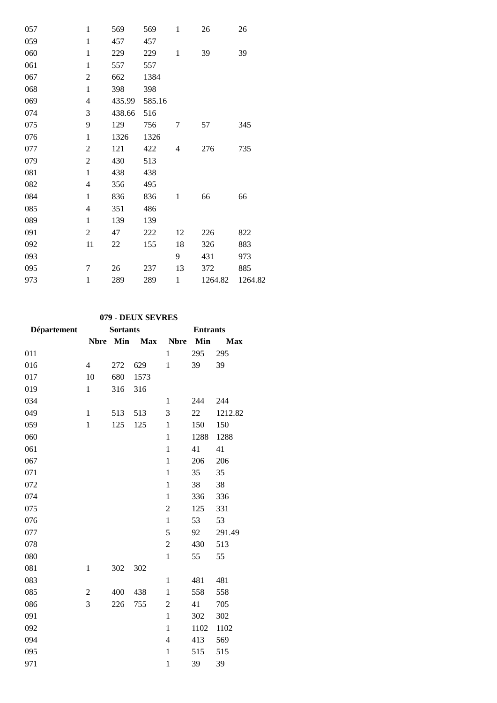| $\mathbf{1}$   | 569    | 569    | $\mathbf{1}$ | 26      | 26      |
|----------------|--------|--------|--------------|---------|---------|
| $\mathbf{1}$   | 457    | 457    |              |         |         |
| $\mathbf{1}$   | 229    | 229    | $\mathbf{1}$ | 39      | 39      |
| $\mathbf{1}$   | 557    | 557    |              |         |         |
| $\overline{c}$ | 662    | 1384   |              |         |         |
| $\mathbf{1}$   | 398    | 398    |              |         |         |
| $\overline{4}$ | 435.99 | 585.16 |              |         |         |
| 3              | 438.66 | 516    |              |         |         |
| 9              | 129    | 756    | 7            | 57      | 345     |
| $\mathbf{1}$   | 1326   | 1326   |              |         |         |
| $\overline{2}$ | 121    | 422    | 4            | 276     | 735     |
| $\mathfrak{2}$ | 430    | 513    |              |         |         |
| $\mathbf{1}$   | 438    | 438    |              |         |         |
| $\overline{4}$ | 356    | 495    |              |         |         |
| 1              | 836    | 836    | $\mathbf{1}$ | 66      | 66      |
| 4              | 351    | 486    |              |         |         |
| $\mathbf{1}$   | 139    | 139    |              |         |         |
| $\mathbf{2}$   | 47     | 222    | 12           | 226     | 822     |
| 11             | 22     | 155    | 18           | 326     | 883     |
|                |        |        | 9            | 431     | 973     |
| 7              | 26     | 237    | 13           | 372     | 885     |
| $\mathbf{1}$   | 289    | 289    | $\mathbf{1}$ | 1264.82 | 1264.82 |
|                |        |        |              |         |         |

#### **079 - DEUX SEVRES**

| Département |                          | <b>Sortants</b> |            | <b>Entrants</b> |      |            |  |
|-------------|--------------------------|-----------------|------------|-----------------|------|------------|--|
|             | <b>Nbre</b>              | Min             | <b>Max</b> | <b>Nbre</b>     | Min  | <b>Max</b> |  |
| 011         |                          |                 |            | $\mathbf{1}$    | 295  | 295        |  |
| 016         | $\overline{\mathcal{L}}$ | 272             | 629        | $\mathbf{1}$    | 39   | 39         |  |
| 017         | 10                       | 680             | 1573       |                 |      |            |  |
| 019         | $\mathbf{1}$             | 316             | 316        |                 |      |            |  |
| 034         |                          |                 |            | $\mathbf{1}$    | 244  | 244        |  |
| 049         | $\mathbf{1}$             | 513             | 513        | 3               | 22   | 1212.82    |  |
| 059         | $\mathbf{1}$             | 125             | 125        | $\mathbf{1}$    | 150  | 150        |  |
| 060         |                          |                 |            | $\mathbf{1}$    | 1288 | 1288       |  |
| 061         |                          |                 |            | $\mathbf{1}$    | 41   | 41         |  |
| 067         |                          |                 |            | $\mathbf{1}$    | 206  | 206        |  |
| 071         |                          |                 |            | $\mathbf{1}$    | 35   | 35         |  |
| 072         |                          |                 |            | $\mathbf{1}$    | 38   | 38         |  |
| 074         |                          |                 |            | $\mathbf{1}$    | 336  | 336        |  |
| 075         |                          |                 |            | $\overline{c}$  | 125  | 331        |  |
| 076         |                          |                 |            | $\mathbf{1}$    | 53   | 53         |  |
| 077         |                          |                 |            | 5               | 92   | 291.49     |  |
| 078         |                          |                 |            | $\overline{c}$  | 430  | 513        |  |
| 080         |                          |                 |            | $\mathbf{1}$    | 55   | 55         |  |
| 081         | $\mathbf{1}$             | 302             | 302        |                 |      |            |  |
| 083         |                          |                 |            | $\mathbf{1}$    | 481  | 481        |  |
| 085         | $\overline{2}$           | 400             | 438        | $\mathbf{1}$    | 558  | 558        |  |
| 086         | $\overline{3}$           | 226             | 755        | $\overline{c}$  | 41   | 705        |  |
| 091         |                          |                 |            | $\mathbf{1}$    | 302  | 302        |  |
| 092         |                          |                 |            | $\mathbf{1}$    | 1102 | 1102       |  |
| 094         |                          |                 |            | $\overline{4}$  | 413  | 569        |  |
| 095         |                          |                 |            | $\mathbf{1}$    | 515  | 515        |  |
| 971         |                          |                 |            | $\mathbf{1}$    | 39   | 39         |  |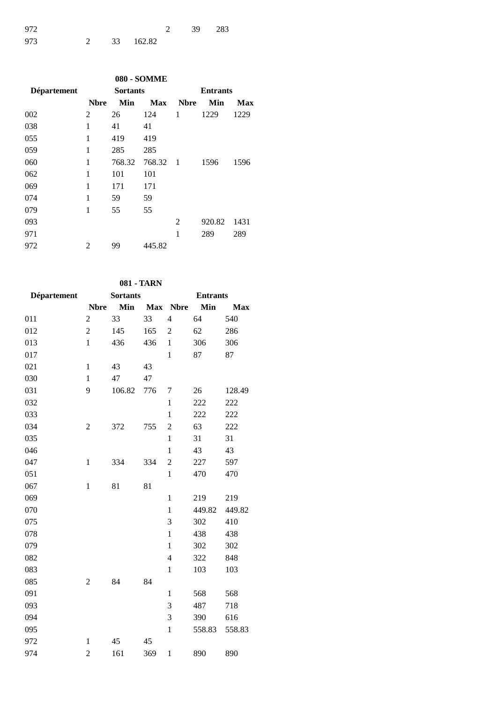| 972 |  |             | 2 39 283 |  |
|-----|--|-------------|----------|--|
| 973 |  | 2 33 162.82 |          |  |

|             |             |                 | <b>080 - SOMME</b> |                 |        |      |  |
|-------------|-------------|-----------------|--------------------|-----------------|--------|------|--|
| Département |             | <b>Sortants</b> |                    | <b>Entrants</b> |        |      |  |
|             | <b>Nbre</b> | Min             | <b>Max</b>         | <b>Nbre</b>     | Min    | Max  |  |
| 002         | 2           | 26              | 124                | 1               | 1229   | 1229 |  |
| 038         | 1           | 41              | 41                 |                 |        |      |  |
| 055         | 1           | 419             | 419                |                 |        |      |  |
| 059         | 1           | 285             | 285                |                 |        |      |  |
| 060         | 1           | 768.32          | 768.32             | - 1             | 1596   | 1596 |  |
| 062         | 1           | 101             | 101                |                 |        |      |  |
| 069         | 1           | 171             | 171                |                 |        |      |  |
| 074         | 1           | 59              | 59                 |                 |        |      |  |
| 079         | 1           | 55              | 55                 |                 |        |      |  |
| 093         |             |                 |                    | 2               | 920.82 | 1431 |  |
| 971         |             |                 |                    | 1               | 289    | 289  |  |
| 972         | 2           | 99              | 445.82             |                 |        |      |  |
|             |             |                 |                    |                 |        |      |  |

## **081 - TARN**

| Département | <b>Sortants</b>  |        |            | <b>Entrants</b> |        |            |  |
|-------------|------------------|--------|------------|-----------------|--------|------------|--|
|             | <b>Nbre</b>      | Min    | <b>Max</b> | <b>Nbre</b>     | Min    | <b>Max</b> |  |
| 011         | $\boldsymbol{2}$ | 33     | 33         | $\overline{4}$  | 64     | 540        |  |
| 012         | $\overline{c}$   | 145    | 165        | $\overline{2}$  | 62     | 286        |  |
| 013         | $\mathbf{1}$     | 436    | 436        | $\mathbf{1}$    | 306    | 306        |  |
| 017         |                  |        |            | $\mathbf{1}$    | 87     | 87         |  |
| 021         | $\mathbf{1}$     | 43     | 43         |                 |        |            |  |
| 030         | $\mathbf{1}$     | 47     | 47         |                 |        |            |  |
| 031         | 9                | 106.82 | 776        | 7               | 26     | 128.49     |  |
| 032         |                  |        |            | $\mathbf{1}$    | 222    | 222        |  |
| 033         |                  |        |            | $\mathbf{1}$    | 222    | 222        |  |
| 034         | $\overline{c}$   | 372    | 755        | $\overline{2}$  | 63     | 222        |  |
| 035         |                  |        |            | $\mathbf{1}$    | 31     | 31         |  |
| 046         |                  |        |            | $\mathbf{1}$    | 43     | 43         |  |
| 047         | $\mathbf{1}$     | 334    | 334        | $\overline{2}$  | 227    | 597        |  |
| 051         |                  |        |            | $\mathbf{1}$    | 470    | 470        |  |
| 067         | $\mathbf{1}$     | 81     | 81         |                 |        |            |  |
| 069         |                  |        |            | $\mathbf{1}$    | 219    | 219        |  |
| 070         |                  |        |            | $\mathbf{1}$    | 449.82 | 449.82     |  |
| 075         |                  |        |            | 3               | 302    | 410        |  |
| 078         |                  |        |            | $\mathbf{1}$    | 438    | 438        |  |
| 079         |                  |        |            | $\mathbf{1}$    | 302    | 302        |  |
| 082         |                  |        |            | 4               | 322    | 848        |  |
| 083         |                  |        |            | $\mathbf{1}$    | 103    | 103        |  |
| 085         | $\overline{c}$   | 84     | 84         |                 |        |            |  |
| 091         |                  |        |            | $\mathbf{1}$    | 568    | 568        |  |
| 093         |                  |        |            | 3               | 487    | 718        |  |
| 094         |                  |        |            | 3               | 390    | 616        |  |
| 095         |                  |        |            | $\mathbf{1}$    | 558.83 | 558.83     |  |
| 972         | $\mathbf{1}$     | 45     | 45         |                 |        |            |  |
| 974         | $\overline{c}$   | 161    | 369        | $\mathbf{1}$    | 890    | 890        |  |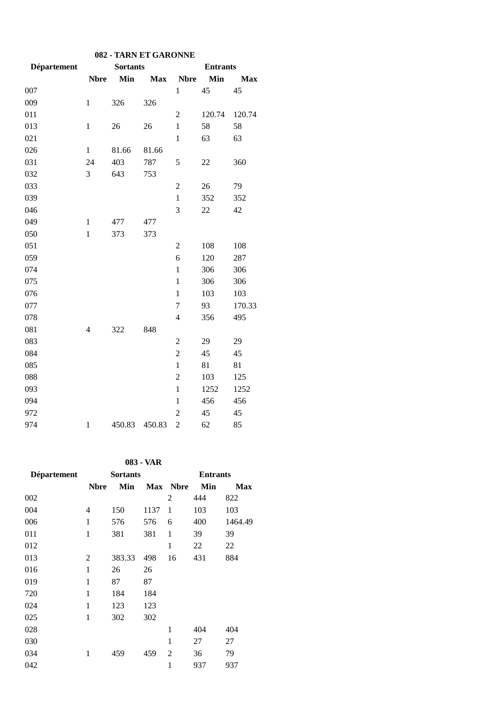| 082 - TARN ET GARONNE |                |                 |            |                  |        |            |  |
|-----------------------|----------------|-----------------|------------|------------------|--------|------------|--|
| Département           |                | <b>Entrants</b> |            |                  |        |            |  |
|                       | <b>Nbre</b>    | Min             | <b>Max</b> | <b>Nbre</b>      | Min    | <b>Max</b> |  |
| 007                   |                |                 |            | $\mathbf{1}$     | 45     | 45         |  |
| 009                   | $\mathbf{1}$   | 326             | 326        |                  |        |            |  |
| 011                   |                |                 |            | $\overline{c}$   | 120.74 | 120.74     |  |
| 013                   | $\mathbf{1}$   | 26              | 26         | $\mathbf{1}$     | 58     | 58         |  |
| 021                   |                |                 |            | $\mathbf{1}$     | 63     | 63         |  |
| 026                   | $\mathbf{1}$   | 81.66           | 81.66      |                  |        |            |  |
| 031                   | 24             | 403             | 787        | 5                | 22     | 360        |  |
| 032                   | 3              | 643             | 753        |                  |        |            |  |
| 033                   |                |                 |            | $\overline{2}$   | 26     | 79         |  |
| 039                   |                |                 |            | $\mathbf{1}$     | 352    | 352        |  |
| 046                   |                |                 |            | 3                | 22     | 42         |  |
| 049                   | $\mathbf{1}$   | 477             | 477        |                  |        |            |  |
| 050                   | $\mathbf{1}$   | 373             | 373        |                  |        |            |  |
| 051                   |                |                 |            | $\overline{2}$   | 108    | 108        |  |
| 059                   |                |                 |            | 6                | 120    | 287        |  |
| 074                   |                |                 |            | $\mathbf 1$      | 306    | 306        |  |
| 075                   |                |                 |            | $\mathbf{1}$     | 306    | 306        |  |
| 076                   |                |                 |            | $\mathbf{1}$     | 103    | 103        |  |
| 077                   |                |                 |            | $\overline{7}$   | 93     | 170.33     |  |
| 078                   |                |                 |            | $\overline{4}$   | 356    | 495        |  |
| 081                   | $\overline{4}$ | 322             | 848        |                  |        |            |  |
| 083                   |                |                 |            | $\boldsymbol{2}$ | 29     | 29         |  |
| 084                   |                |                 |            | $\overline{c}$   | 45     | 45         |  |
| 085                   |                |                 |            | $\mathbf{1}$     | 81     | 81         |  |
| 088                   |                |                 |            | $\overline{c}$   | 103    | 125        |  |
| 093                   |                |                 |            | $\mathbf{1}$     | 1252   | 1252       |  |
| 094                   |                |                 |            | $\mathbf{1}$     | 456    | 456        |  |
| 972                   |                |                 |            | $\overline{c}$   | 45     | 45         |  |
| 974                   | $\mathbf{1}$   | 450.83          | 450.83     | $\overline{c}$   | 62     | 85         |  |

**083 - VAR**

| Département |              | <b>Sortants</b> |      | <b>Entrants</b> |     |         |
|-------------|--------------|-----------------|------|-----------------|-----|---------|
|             | <b>Nbre</b>  | Min             |      | Max Nbre        | Min | Max     |
| 002         |              |                 |      | 2               | 444 | 822     |
| 004         | 4            | 150             | 1137 | 1               | 103 | 103     |
| 006         | $\mathbf{1}$ | 576             | 576  | 6               | 400 | 1464.49 |
| 011         | $\mathbf{1}$ | 381             | 381  | 1               | 39  | 39      |
| 012         |              |                 |      | 1               | 22  | 22      |
| 013         | 2            | 383.33          | 498  | 16              | 431 | 884     |
| 016         | 1            | 26              | 26   |                 |     |         |
| 019         | $\mathbf{1}$ | 87              | 87   |                 |     |         |
| 720         | 1            | 184             | 184  |                 |     |         |
| 024         | $\mathbf{1}$ | 123             | 123  |                 |     |         |
| 025         | $\mathbf{1}$ | 302             | 302  |                 |     |         |
| 028         |              |                 |      | 1               | 404 | 404     |
| 030         |              |                 |      | $\mathbf{1}$    | 27  | 27      |
| 034         | 1            | 459             | 459  | $\overline{2}$  | 36  | 79      |
| 042         |              |                 |      | 1               | 937 | 937     |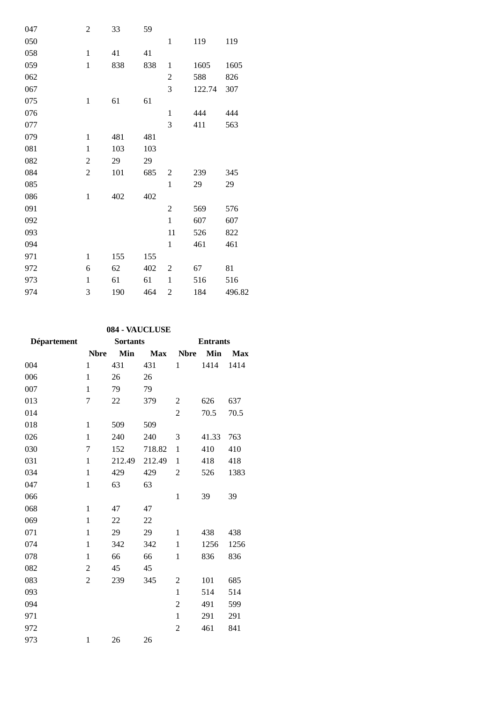| 047 | $\overline{c}$   | 33  | 59  |                |        |        |
|-----|------------------|-----|-----|----------------|--------|--------|
| 050 |                  |     |     | $\mathbf{1}$   | 119    | 119    |
| 058 | $\mathbf{1}$     | 41  | 41  |                |        |        |
| 059 | $\mathbf{1}$     | 838 | 838 | $\mathbf{1}$   | 1605   | 1605   |
| 062 |                  |     |     | $\overline{c}$ | 588    | 826    |
| 067 |                  |     |     | 3              | 122.74 | 307    |
| 075 | $\mathbf{1}$     | 61  | 61  |                |        |        |
| 076 |                  |     |     | $\mathbf{1}$   | 444    | 444    |
| 077 |                  |     |     | 3              | 411    | 563    |
| 079 | $\mathbf{1}$     | 481 | 481 |                |        |        |
| 081 | $\mathbf{1}$     | 103 | 103 |                |        |        |
| 082 | $\boldsymbol{2}$ | 29  | 29  |                |        |        |
| 084 | $\boldsymbol{2}$ | 101 | 685 | $\overline{2}$ | 239    | 345    |
| 085 |                  |     |     | $\mathbf{1}$   | 29     | 29     |
| 086 | $\mathbf{1}$     | 402 | 402 |                |        |        |
| 091 |                  |     |     | $\mathfrak{2}$ | 569    | 576    |
| 092 |                  |     |     | $\mathbf{1}$   | 607    | 607    |
| 093 |                  |     |     | 11             | 526    | 822    |
| 094 |                  |     |     | $\,1$          | 461    | 461    |
| 971 | $\mathbf{1}$     | 155 | 155 |                |        |        |
| 972 | 6                | 62  | 402 | $\overline{2}$ | 67     | 81     |
| 973 | $\mathbf{1}$     | 61  | 61  | $\mathbf{1}$   | 516    | 516    |
| 974 | 3                | 190 | 464 | $\overline{c}$ | 184    | 496.82 |

## **084 - VAUCLUSE**

| Département | <b>Sortants</b> |        |            | <b>Entrants</b> |       |            |  |
|-------------|-----------------|--------|------------|-----------------|-------|------------|--|
|             | <b>Nbre</b>     | Min    | <b>Max</b> | <b>Nbre</b>     | Min   | <b>Max</b> |  |
| 004         | $\mathbf{1}$    | 431    | 431        | 1               | 1414  | 1414       |  |
| 006         | 1               | 26     | 26         |                 |       |            |  |
| 007         | 1               | 79     | 79         |                 |       |            |  |
| 013         | 7               | 22     | 379        | $\overline{c}$  | 626   | 637        |  |
| 014         |                 |        |            | 2               | 70.5  | 70.5       |  |
| 018         | $\mathbf{1}$    | 509    | 509        |                 |       |            |  |
| 026         | $\mathbf{1}$    | 240    | 240        | 3               | 41.33 | 763        |  |
| 030         | 7               | 152    | 718.82     | $\mathbf{1}$    | 410   | 410        |  |
| 031         | 1               | 212.49 | 212.49     | 1               | 418   | 418        |  |
| 034         | $\mathbf{1}$    | 429    | 429        | 2               | 526   | 1383       |  |
| 047         | $\mathbf{1}$    | 63     | 63         |                 |       |            |  |
| 066         |                 |        |            | $\mathbf{1}$    | 39    | 39         |  |
| 068         | $\mathbf{1}$    | 47     | 47         |                 |       |            |  |
| 069         | 1               | 22     | 22         |                 |       |            |  |
| 071         | $\mathbf{1}$    | 29     | 29         | 1               | 438   | 438        |  |
| 074         | $\mathbf{1}$    | 342    | 342        | $\mathbf{1}$    | 1256  | 1256       |  |
| 078         | 1               | 66     | 66         | 1               | 836   | 836        |  |
| 082         | $\overline{c}$  | 45     | 45         |                 |       |            |  |
| 083         | $\overline{c}$  | 239    | 345        | 2               | 101   | 685        |  |
| 093         |                 |        |            | $\mathbf{1}$    | 514   | 514        |  |
| 094         |                 |        |            | $\overline{2}$  | 491   | 599        |  |
| 971         |                 |        |            | $\mathbf{1}$    | 291   | 291        |  |
| 972         |                 |        |            | $\overline{c}$  | 461   | 841        |  |
| 973         | $\mathbf{1}$    | 26     | 26         |                 |       |            |  |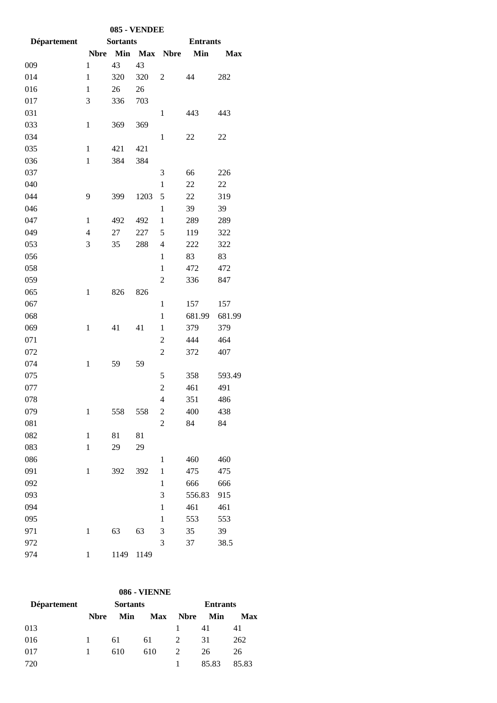| 085 - VENDEE |                          |                 |            |                |                 |            |  |
|--------------|--------------------------|-----------------|------------|----------------|-----------------|------------|--|
| Département  |                          | <b>Sortants</b> |            |                | <b>Entrants</b> |            |  |
|              | <b>Nbre</b>              | Min             | <b>Max</b> | <b>Nbre</b>    | Min             | <b>Max</b> |  |
| 009          | $\mathbf{1}$             | 43              | 43         |                |                 |            |  |
| 014          | $\mathbf{1}$             | 320             | 320        | 2              | 44              | 282        |  |
| 016          | $\mathbf{1}$             | 26              | 26         |                |                 |            |  |
| 017          | 3                        | 336             | 703        |                |                 |            |  |
| 031          |                          |                 |            | 1              | 443             | 443        |  |
| 033          | $\mathbf{1}$             | 369             | 369        |                |                 |            |  |
| 034          |                          |                 |            | $\mathbf{1}$   | 22              | 22         |  |
| 035          | $\mathbf{1}$             | 421             | 421        |                |                 |            |  |
| 036          | $\mathbf{1}$             | 384             | 384        |                |                 |            |  |
| 037          |                          |                 |            | 3              | 66              | 226        |  |
| 040          |                          |                 |            | $\mathbf{1}$   | 22              | 22         |  |
| 044          | 9                        | 399             | 1203       | 5              | 22              | 319        |  |
| 046          |                          |                 |            | $\mathbf{1}$   | 39              | 39         |  |
| 047          | $\mathbf{1}$             | 492             | 492        | $\mathbf 1$    | 289             | 289        |  |
| 049          | $\overline{\mathcal{L}}$ | 27              | 227        | 5              | 119             | 322        |  |
| 053          | 3                        | 35              | 288        | 4              | 222             | 322        |  |
| 056          |                          |                 |            | $\mathbf{1}$   | 83              | 83         |  |
| 058          |                          |                 |            | $\mathbf{1}$   | 472             | 472        |  |
| 059          |                          |                 |            | 2              | 336             | 847        |  |
| 065          | $\mathbf{1}$             | 826             | 826        |                |                 |            |  |
| 067          |                          |                 |            | $\mathbf{1}$   | 157             | 157        |  |
| 068          |                          |                 |            | $\mathbf{1}$   | 681.99          | 681.99     |  |
| 069          | $\mathbf{1}$             | 41              | 41         | $\mathbf{1}$   | 379             | 379        |  |
| 071          |                          |                 |            | $\overline{c}$ | 444             | 464        |  |
| 072          |                          |                 |            | $\overline{c}$ | 372             | 407        |  |
| 074          | $\mathbf{1}$             | 59              | 59         |                |                 |            |  |
| 075          |                          |                 |            | 5              | 358             | 593.49     |  |
| 077          |                          |                 |            | $\overline{c}$ | 461             | 491        |  |
| 078          |                          |                 |            | 4              | 351             | 486        |  |
| 079          | $\mathbf{1}$             | 558             | 558        | $\overline{c}$ | 400             | 438        |  |
| 081          |                          |                 |            | $\overline{c}$ | 84              | 84         |  |
| 082          | $\mathbf{1}$             | 81              | 81         |                |                 |            |  |
| 083          | $\mathbf{1}$             | 29              | 29         |                |                 |            |  |
| 086          |                          |                 |            | $\mathbf{1}$   | 460             | 460        |  |
| 091          | $\mathbf{1}$             | 392             | 392        | $\mathbf{1}$   | 475             | 475        |  |
| 092          |                          |                 |            | 1              | 666             | 666        |  |
| 093          |                          |                 |            | 3              | 556.83          | 915        |  |
| 094          |                          |                 |            | $\mathbf{1}$   | 461             | 461        |  |
| 095          |                          |                 |            | $\mathbf{1}$   | 553             | 553        |  |
| 971          | $\mathbf{1}$             | 63              | 63         | 3              | 35              | 39         |  |
| 972          |                          |                 |            | 3              | 37              | 38.5       |  |
| 974          | $\mathbf{1}$             | 1149            | 1149       |                |                 |            |  |

# **086 - VIENNE**

| <b>Département</b> | <b>Sortants</b> |     |            | <b>Entrants</b> |       |       |  |
|--------------------|-----------------|-----|------------|-----------------|-------|-------|--|
|                    | <b>N</b> bre    | Min | <b>Max</b> | <b>Nbre</b>     | Min   | Max   |  |
| 013                |                 |     |            |                 | 41    | 41    |  |
| 016                | 1               | 61  | 61         | 2               | 31    | 262   |  |
| 017                | 1               | 610 | 610        | 2               | 26    | 26    |  |
| 720                |                 |     |            |                 | 85.83 | 85.83 |  |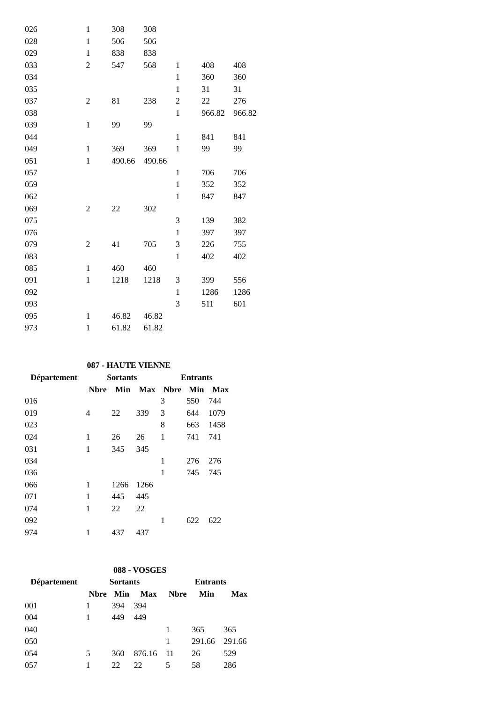| 026 | $\mathbf{1}$   | 308    | 308    |                |        |        |
|-----|----------------|--------|--------|----------------|--------|--------|
| 028 | $\mathbf{1}$   | 506    | 506    |                |        |        |
| 029 | $\mathbf{1}$   | 838    | 838    |                |        |        |
| 033 | $\overline{2}$ | 547    | 568    | $\mathbf{1}$   | 408    | 408    |
| 034 |                |        |        | $\mathbf{1}$   | 360    | 360    |
| 035 |                |        |        | $\mathbf{1}$   | 31     | 31     |
| 037 | $\overline{c}$ | 81     | 238    | $\mathfrak{2}$ | 22     | 276    |
| 038 |                |        |        | $\mathbf{1}$   | 966.82 | 966.82 |
| 039 | $\mathbf{1}$   | 99     | 99     |                |        |        |
| 044 |                |        |        | $\mathbf{1}$   | 841    | 841    |
| 049 | $\mathbf{1}$   | 369    | 369    | $\mathbf{1}$   | 99     | 99     |
| 051 | $\mathbf{1}$   | 490.66 | 490.66 |                |        |        |
| 057 |                |        |        | $\mathbf{1}$   | 706    | 706    |
| 059 |                |        |        | $\mathbf{1}$   | 352    | 352    |
| 062 |                |        |        | $\mathbf{1}$   | 847    | 847    |
| 069 | $\overline{2}$ | 22     | 302    |                |        |        |
| 075 |                |        |        | 3              | 139    | 382    |
| 076 |                |        |        | $\mathbf{1}$   | 397    | 397    |
| 079 | $\overline{2}$ | 41     | 705    | 3              | 226    | 755    |
| 083 |                |        |        | $\mathbf{1}$   | 402    | 402    |
| 085 | $\mathbf{1}$   | 460    | 460    |                |        |        |
| 091 | $\mathbf{1}$   | 1218   | 1218   | 3              | 399    | 556    |
| 092 |                |        |        | $\mathbf{1}$   | 1286   | 1286   |
| 093 |                |        |        | 3              | 511    | 601    |
| 095 | $\mathbf{1}$   | 46.82  | 46.82  |                |        |        |
| 973 | $\mathbf{1}$   | 61.82  | 61.82  |                |        |        |

### **087 - HAUTE VIENNE**

|                |      |      | <b>Entrants</b> |     |                  |  |
|----------------|------|------|-----------------|-----|------------------|--|
| <b>N</b> bre   |      |      |                 |     | <b>Max</b>       |  |
|                |      |      | 3               | 550 | 744              |  |
| $\overline{4}$ | 22   | 339  | 3               | 644 | 1079             |  |
|                |      |      | 8               | 663 | 1458             |  |
| 1              | 26   | 26   | 1               | 741 | 741              |  |
| 1              | 345  | 345  |                 |     |                  |  |
|                |      |      | 1               | 276 | 276              |  |
|                |      |      | 1               | 745 | 745              |  |
| 1              | 1266 | 1266 |                 |     |                  |  |
| 1              | 445  | 445  |                 |     |                  |  |
| 1              | 22   | 22   |                 |     |                  |  |
|                |      |      | 1               | 622 | 622              |  |
| 1              | 437  | 437  |                 |     |                  |  |
|                |      |      | <b>Sortants</b> |     | Min Max Nbre Min |  |

### **088 - VOSGES**

| Département | <b>Sortants</b> |     |        | <b>Entrants</b> |        |        |  |
|-------------|-----------------|-----|--------|-----------------|--------|--------|--|
|             | Nbre            | Min | Max    | <b>Nbre</b>     | Min    | Max    |  |
| 001         |                 | 394 | 394    |                 |        |        |  |
| 004         |                 | 449 | 449    |                 |        |        |  |
| 040         |                 |     |        | 1               | 365    | 365    |  |
| 050         |                 |     |        | 1               | 291.66 | 291.66 |  |
| 054         | 5               | 360 | 876.16 | -11             | 26     | 529    |  |
| 057         |                 | 22  | 22     | 5               | 58     | 286    |  |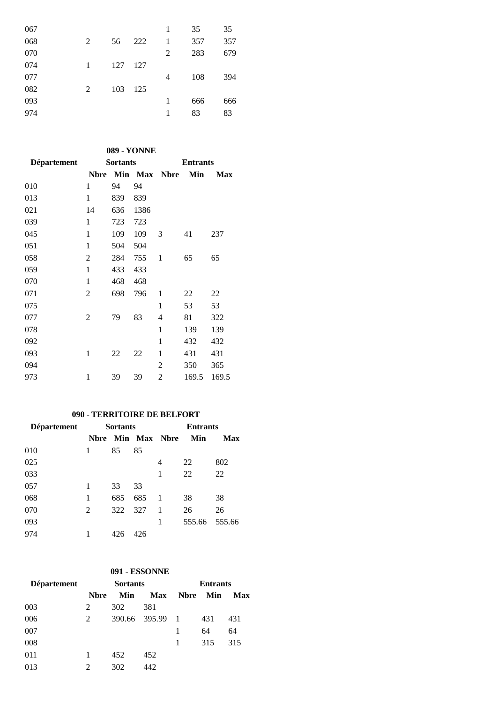| 067 |   |     |     | 1 | 35  | 35  |
|-----|---|-----|-----|---|-----|-----|
| 068 | 2 | 56  | 222 | 1 | 357 | 357 |
| 070 |   |     |     | 2 | 283 | 679 |
| 074 | 1 | 127 | 127 |   |     |     |
| 077 |   |     |     | 4 | 108 | 394 |
| 082 | 2 | 103 | 125 |   |     |     |
| 093 |   |     |     | 1 | 666 | 666 |
| 974 |   |     |     | 1 | 83  | 83  |
|     |   |     |     |   |     |     |

**089 - YONNE**

| Département |                | <b>Sortants</b> |      | <b>Entrants</b> |       |            |  |
|-------------|----------------|-----------------|------|-----------------|-------|------------|--|
|             | <b>Nbre</b>    |                 |      | Min Max Nbre    | Min   | <b>Max</b> |  |
| 010         | 1              | 94              | 94   |                 |       |            |  |
| 013         | 1              | 839             | 839  |                 |       |            |  |
| 021         | 14             | 636             | 1386 |                 |       |            |  |
| 039         | $\mathbf{1}$   | 723             | 723  |                 |       |            |  |
| 045         | 1              | 109             | 109  | 3               | 41    | 237        |  |
| 051         | $\mathbf{1}$   | 504             | 504  |                 |       |            |  |
| 058         | $\overline{2}$ | 284             | 755  | $\mathbf{1}$    | 65    | 65         |  |
| 059         | $\mathbf{1}$   | 433             | 433  |                 |       |            |  |
| 070         | 1              | 468             | 468  |                 |       |            |  |
| 071         | 2              | 698             | 796  | 1               | 22    | 22         |  |
| 075         |                |                 |      | 1               | 53    | 53         |  |
| 077         | 2              | 79              | 83   | 4               | 81    | 322        |  |
| 078         |                |                 |      | 1               | 139   | 139        |  |
| 092         |                |                 |      | 1               | 432   | 432        |  |
| 093         | 1              | 22              | 22   | 1               | 431   | 431        |  |
| 094         |                |                 |      | $\overline{c}$  | 350   | 365        |  |
| 973         | 1              | 39              | 39   | 2               | 169.5 | 169.5      |  |

### **090 - TERRITOIRE DE BELFORT**

| <b>Département</b> | <b>Sortants</b> |     |     | <b>Entrants</b>     |        |        |
|--------------------|-----------------|-----|-----|---------------------|--------|--------|
|                    | <b>N</b> bre    |     |     | <b>Min Max Nbre</b> | Min    | Max    |
| 010                | 1               | 85  | 85  |                     |        |        |
| 025                |                 |     |     | 4                   | 22     | 802    |
| 033                |                 |     |     | 1                   | 22     | 22     |
| 057                | 1               | 33  | 33  |                     |        |        |
| 068                | 1               | 685 | 685 | 1                   | 38     | 38     |
| 070                | 2               | 322 | 327 | 1                   | 26     | 26     |
| 093                |                 |     |     | 1                   | 555.66 | 555.66 |
| 974                |                 | 426 | 426 |                     |        |        |

### **091 - ESSONNE**

| Département | <b>Sortants</b> |     |               | <b>Entrants</b> |     |     |  |
|-------------|-----------------|-----|---------------|-----------------|-----|-----|--|
|             | <b>N</b> bre    | Min | <b>Max</b>    | <b>N</b> bre    | Min | Max |  |
| 003         | 2               | 302 | 381           |                 |     |     |  |
| 006         | 2               |     | 390.66 395.99 | $\blacksquare$  | 431 | 431 |  |
| 007         |                 |     |               | 1               | 64  | 64  |  |
| 008         |                 |     |               | 1               | 315 | 315 |  |
| 011         |                 | 452 | 452           |                 |     |     |  |
| 013         | 2               | 302 | 442           |                 |     |     |  |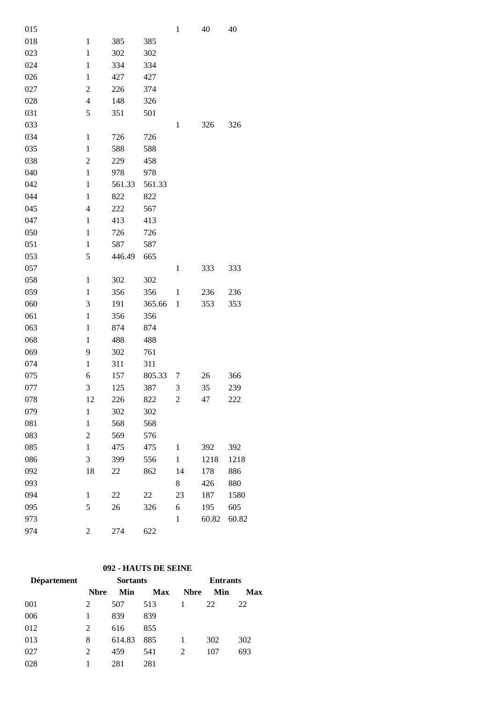| 015 |                         |        |        | $\mathbf{1}$   | 40    | 40    |
|-----|-------------------------|--------|--------|----------------|-------|-------|
| 018 | $\mathbf{1}$            | 385    | 385    |                |       |       |
| 023 | $\mathbf{1}$            | 302    | 302    |                |       |       |
| 024 | $\mathbf{1}$            | 334    | 334    |                |       |       |
| 026 | $\mathbf{1}$            | 427    | 427    |                |       |       |
| 027 | $\overline{c}$          | 226    | 374    |                |       |       |
| 028 | $\overline{\mathbf{4}}$ | 148    | 326    |                |       |       |
| 031 | 5                       | 351    | 501    |                |       |       |
| 033 |                         |        |        | $\mathbf{1}$   | 326   | 326   |
| 034 | $\mathbf{1}$            | 726    | 726    |                |       |       |
| 035 | $\mathbf{1}$            | 588    | 588    |                |       |       |
| 038 | $\overline{2}$          | 229    | 458    |                |       |       |
| 040 | $\mathbf{1}$            | 978    | 978    |                |       |       |
| 042 | $\mathbf{1}$            | 561.33 | 561.33 |                |       |       |
| 044 | $\mathbf{1}$            | 822    | 822    |                |       |       |
| 045 | $\overline{4}$          | 222    | 567    |                |       |       |
| 047 | $\mathbf{1}$            | 413    | 413    |                |       |       |
| 050 | $\mathbf{1}$            | 726    | 726    |                |       |       |
| 051 | $\mathbf{1}$            | 587    | 587    |                |       |       |
| 053 | 5                       | 446.49 | 665    |                |       |       |
| 057 |                         |        |        | $\mathbf{1}$   | 333   | 333   |
| 058 | $\mathbf{1}$            | 302    | 302    |                |       |       |
| 059 | 1                       | 356    | 356    | $\mathbf{1}$   | 236   | 236   |
| 060 | 3                       | 191    | 365.66 | $\,1$          | 353   | 353   |
| 061 | $\mathbf{1}$            | 356    | 356    |                |       |       |
| 063 | $\mathbf{1}$            | 874    | 874    |                |       |       |
| 068 | $\mathbf{1}$            | 488    | 488    |                |       |       |
| 069 | 9                       | 302    | 761    |                |       |       |
| 074 | $\mathbf{1}$            | 311    | 311    |                |       |       |
| 075 | 6                       | 157    | 805.33 | 7              | 26    | 366   |
| 077 | 3                       | 125    | 387    | 3              | 35    | 239   |
| 078 | 12                      | 226    | 822    | $\overline{2}$ | 47    | 222   |
| 079 | $\mathbf{1}$            | 302    | 302    |                |       |       |
| 081 | $\mathbf{1}$            | 568    | 568    |                |       |       |
| 083 | $\overline{c}$          | 569    | 576    |                |       |       |
| 085 | $\mathbf{1}$            | 475    | 475    | $\mathbf{1}$   | 392   | 392   |
| 086 | 3                       | 399    | 556    | $\mathbf{1}$   | 1218  | 1218  |
| 092 | 18                      | 22     | 862    | 14             | 178   | 886   |
| 093 |                         |        |        | 8              | 426   | 880   |
| 094 | $\mathbf{1}$            | 22     | 22     | 23             | 187   | 1580  |
| 095 | 5                       | 26     | 326    | 6              | 195   | 605   |
| 973 |                         |        |        | $\mathbf{1}$   | 60.82 | 60.82 |
| 974 | $\overline{c}$          | 274    | 622    |                |       |       |

### **092 - HAUTS DE SEINE**

| Département | <b>Sortants</b> |        |            | <b>Entrants</b> |     |     |  |
|-------------|-----------------|--------|------------|-----------------|-----|-----|--|
|             | <b>N</b> bre    | Min    | <b>Max</b> | <b>Nbre</b>     | Min | Max |  |
| 001         | 2               | 507    | 513        |                 | 22  | 22  |  |
| 006         | 1               | 839    | 839        |                 |     |     |  |
| 012         | 2               | 616    | 855        |                 |     |     |  |
| 013         | 8               | 614.83 | 885        |                 | 302 | 302 |  |
| 027         | 2               | 459    | 541        | 2               | 107 | 693 |  |
| 028         |                 | 281    | 281        |                 |     |     |  |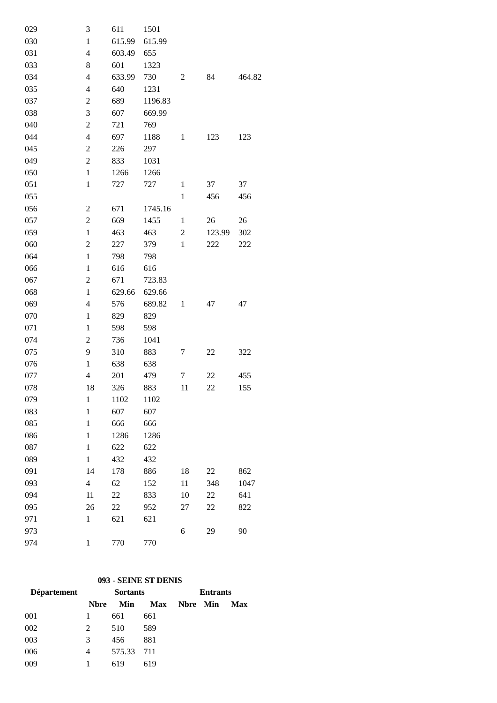| 029 | 3                        | 611    | 1501    |                |        |        |
|-----|--------------------------|--------|---------|----------------|--------|--------|
| 030 | $\mathbf{1}$             | 615.99 | 615.99  |                |        |        |
| 031 | $\overline{4}$           | 603.49 | 655     |                |        |        |
| 033 | 8                        | 601    | 1323    |                |        |        |
| 034 | $\overline{4}$           | 633.99 | 730     | 2              | 84     | 464.82 |
| 035 | $\overline{4}$           | 640    | 1231    |                |        |        |
| 037 | $\boldsymbol{2}$         | 689    | 1196.83 |                |        |        |
| 038 | 3                        | 607    | 669.99  |                |        |        |
| 040 | $\overline{c}$           | 721    | 769     |                |        |        |
| 044 | $\overline{4}$           | 697    | 1188    | $\mathbf{1}$   | 123    | 123    |
| 045 | $\overline{c}$           | 226    | 297     |                |        |        |
| 049 | $\overline{c}$           | 833    | 1031    |                |        |        |
| 050 | $\mathbf{1}$             | 1266   | 1266    |                |        |        |
| 051 | $\mathbf{1}$             | 727    | 727     | $\mathbf{1}$   | 37     | 37     |
| 055 |                          |        |         | $\mathbf{1}$   | 456    | 456    |
| 056 | $\overline{2}$           | 671    | 1745.16 |                |        |        |
| 057 | $\overline{c}$           | 669    | 1455    | $\mathbf{1}$   | 26     | 26     |
| 059 | $\mathbf{1}$             | 463    | 463     | $\overline{c}$ | 123.99 | 302    |
| 060 | $\overline{c}$           | 227    | 379     | $\mathbf{1}$   | 222    | 222    |
| 064 | $\mathbf{1}$             | 798    | 798     |                |        |        |
| 066 | $\mathbf 1$              | 616    | 616     |                |        |        |
| 067 | $\overline{c}$           | 671    | 723.83  |                |        |        |
| 068 | $\mathbf{1}$             | 629.66 | 629.66  |                |        |        |
| 069 | $\overline{4}$           | 576    | 689.82  | $\mathbf{1}$   | 47     | 47     |
| 070 | $\mathbf 1$              | 829    | 829     |                |        |        |
| 071 | $\mathbf{1}$             | 598    | 598     |                |        |        |
| 074 | $\overline{c}$           | 736    | 1041    |                |        |        |
| 075 | 9                        | 310    | 883     | 7              | 22     | 322    |
| 076 | $\mathbf{1}$             | 638    | 638     |                |        |        |
| 077 | $\overline{\mathcal{L}}$ | 201    | 479     | 7              | 22     | 455    |
| 078 | 18                       | 326    | 883     | 11             | 22     | 155    |
| 079 | $\mathbf{1}$             | 1102   | 1102    |                |        |        |
| 083 | $\mathbf{1}$             | 607    | 607     |                |        |        |
| 085 | $\mathbf{1}$             | 666    | 666     |                |        |        |
| 086 | $\mathbf{1}$             | 1286   | 1286    |                |        |        |
| 087 | $\mathbf{1}$             | 622    | 622     |                |        |        |
| 089 | $\mathbf{1}$             | 432    | 432     |                |        |        |
| 091 | 14                       | 178    | 886     | 18             | 22     | 862    |
| 093 | $\overline{4}$           | 62     | 152     | 11             | 348    | 1047   |
| 094 | 11                       | 22     | 833     | 10             | 22     | 641    |
| 095 | 26                       | 22     | 952     | 27             | 22     | 822    |
| 971 | $\mathbf{1}$             | 621    | 621     |                |        |        |
| 973 |                          |        |         | 6              | 29     | 90     |
| 974 | $\mathbf{1}$             | 770    | 770     |                |        |        |

## **093 - SEINE ST DENIS**

| <b>Département</b> |             | <b>Sortants</b> |            | <b>Entrants</b> |  |            |
|--------------------|-------------|-----------------|------------|-----------------|--|------------|
|                    | <b>Nbre</b> | Min             | <b>Max</b> | Nbre Min        |  | <b>Max</b> |
| 001                |             | 661             | 661        |                 |  |            |
| 002                | 2           | 510             | 589        |                 |  |            |
| 003                | 3           | 456             | 881        |                 |  |            |
| 006                | 4           | 575.33          | 711        |                 |  |            |
| 009                |             | 619             | 619        |                 |  |            |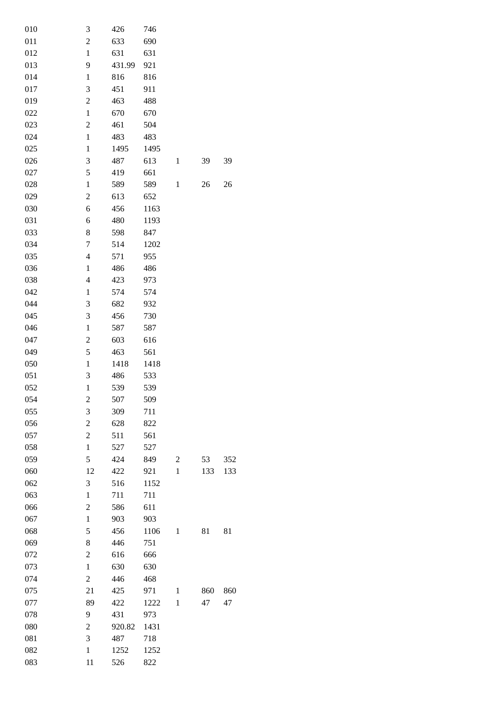| 010 | 3                        | 426    | 746  |                |     |     |
|-----|--------------------------|--------|------|----------------|-----|-----|
| 011 | $\overline{c}$           | 633    | 690  |                |     |     |
| 012 | $\mathbf{1}$             | 631    | 631  |                |     |     |
| 013 | 9                        | 431.99 | 921  |                |     |     |
| 014 | $\mathbf{1}$             | 816    | 816  |                |     |     |
| 017 | 3                        | 451    | 911  |                |     |     |
| 019 | $\boldsymbol{2}$         | 463    | 488  |                |     |     |
| 022 | $\mathbf{1}$             | 670    | 670  |                |     |     |
| 023 | $\overline{c}$           | 461    | 504  |                |     |     |
| 024 | $\mathbf{1}$             | 483    | 483  |                |     |     |
| 025 | $\mathbf{1}$             | 1495   | 1495 |                |     |     |
| 026 | 3                        | 487    | 613  | $\mathbf{1}$   | 39  | 39  |
| 027 | 5                        | 419    | 661  |                |     |     |
| 028 | $\mathbf{1}$             | 589    | 589  | $\mathbf{1}$   | 26  | 26  |
| 029 | $\overline{c}$           | 613    | 652  |                |     |     |
|     |                          |        |      |                |     |     |
| 030 | 6                        | 456    | 1163 |                |     |     |
| 031 | 6                        | 480    | 1193 |                |     |     |
| 033 | 8                        | 598    | 847  |                |     |     |
| 034 | 7                        | 514    | 1202 |                |     |     |
| 035 | $\overline{4}$           | 571    | 955  |                |     |     |
| 036 | $\mathbf{1}$             | 486    | 486  |                |     |     |
| 038 | $\overline{\mathcal{L}}$ | 423    | 973  |                |     |     |
| 042 | $\mathbf{1}$             | 574    | 574  |                |     |     |
| 044 | 3                        | 682    | 932  |                |     |     |
| 045 | 3                        | 456    | 730  |                |     |     |
| 046 | $\mathbf{1}$             | 587    | 587  |                |     |     |
| 047 | $\overline{c}$           | 603    | 616  |                |     |     |
| 049 | 5                        | 463    | 561  |                |     |     |
| 050 | $\mathbf{1}$             | 1418   | 1418 |                |     |     |
| 051 | 3                        | 486    | 533  |                |     |     |
| 052 | $\mathbf{1}$             | 539    | 539  |                |     |     |
| 054 | 2                        | 507    | 509  |                |     |     |
| 055 | 3                        | 309    | 711  |                |     |     |
| 056 | $\overline{c}$           | 628    | 822  |                |     |     |
| 057 | $\overline{c}$           | 511    | 561  |                |     |     |
| 058 | $\mathbf{1}$             | 527    | 527  |                |     |     |
| 059 | 5                        | 424    | 849  | $\overline{c}$ | 53  | 352 |
| 060 | 12                       | 422    | 921  | $\mathbf{1}$   | 133 | 133 |
| 062 | 3                        | 516    | 1152 |                |     |     |
| 063 | $\mathbf{1}$             | 711    | 711  |                |     |     |
| 066 | $\boldsymbol{2}$         | 586    | 611  |                |     |     |
| 067 | $\,1$                    | 903    | 903  |                |     |     |
| 068 | 5                        | 456    | 1106 | 1              | 81  | 81  |
| 069 | 8                        | 446    | 751  |                |     |     |
| 072 | $\boldsymbol{2}$         | 616    | 666  |                |     |     |
| 073 | $\,1$                    | 630    | 630  |                |     |     |
| 074 | $\overline{c}$           | 446    | 468  |                |     |     |
| 075 | 21                       | 425    | 971  | $\mathbf{1}$   | 860 | 860 |
| 077 | 89                       | 422    | 1222 | $\mathbf{1}$   | 47  | 47  |
| 078 | 9                        | 431    | 973  |                |     |     |
|     |                          | 920.82 | 1431 |                |     |     |
| 080 | $\overline{c}$<br>3      |        |      |                |     |     |
| 081 |                          | 487    | 718  |                |     |     |
| 082 | $\mathbf{1}$             | 1252   | 1252 |                |     |     |
| 083 | 11                       | 526    | 822  |                |     |     |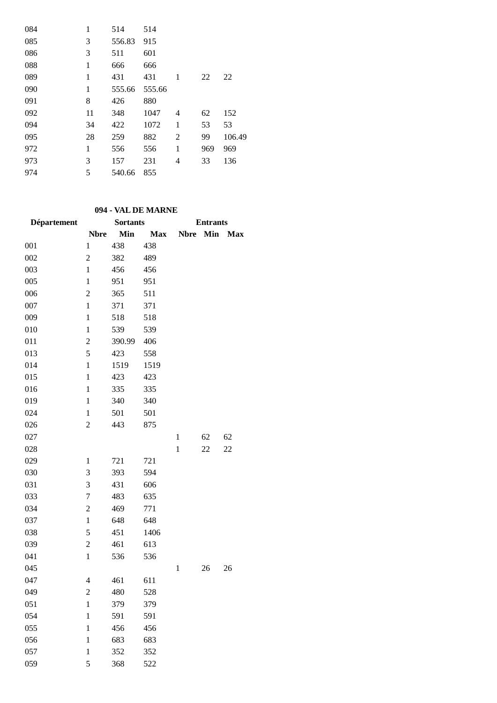| 084 | 1  | 514    | 514    |   |     |        |
|-----|----|--------|--------|---|-----|--------|
| 085 | 3  | 556.83 | 915    |   |     |        |
| 086 | 3  | 511    | 601    |   |     |        |
| 088 | 1  | 666    | 666    |   |     |        |
| 089 | 1  | 431    | 431    | 1 | 22  | 22     |
| 090 | 1  | 555.66 | 555.66 |   |     |        |
| 091 | 8  | 426    | 880    |   |     |        |
| 092 | 11 | 348    | 1047   | 4 | 62  | 152    |
| 094 | 34 | 422    | 1072   | 1 | 53  | 53     |
| 095 | 28 | 259    | 882    | 2 | 99  | 106.49 |
| 972 | 1  | 556    | 556    | 1 | 969 | 969    |
| 973 | 3  | 157    | 231    | 4 | 33  | 136    |
| 974 | 5  | 540.66 | 855    |   |     |        |

## **094 - VAL DE MARNE**

| Département |                  | <b>Sortants</b> |            |              | <b>Entrants</b> |            |
|-------------|------------------|-----------------|------------|--------------|-----------------|------------|
|             | <b>Nbre</b>      | Min             | <b>Max</b> | <b>Nbre</b>  | Min             | <b>Max</b> |
| 001         | $\mathbf{1}$     | 438             | 438        |              |                 |            |
| 002         | $\overline{2}$   | 382             | 489        |              |                 |            |
| 003         | $\mathbf{1}$     | 456             | 456        |              |                 |            |
| 005         | $\mathbf{1}$     | 951             | 951        |              |                 |            |
| 006         | $\overline{2}$   | 365             | 511        |              |                 |            |
| 007         | $\mathbf{1}$     | 371             | 371        |              |                 |            |
| 009         | $\mathbf{1}$     | 518             | 518        |              |                 |            |
| 010         | $\mathbf{1}$     | 539             | 539        |              |                 |            |
| 011         | $\overline{c}$   | 390.99          | 406        |              |                 |            |
| 013         | 5                | 423             | 558        |              |                 |            |
| 014         | $\mathbf{1}$     | 1519            | 1519       |              |                 |            |
| 015         | $\mathbf{1}$     | 423             | 423        |              |                 |            |
| 016         | $\mathbf{1}$     | 335             | 335        |              |                 |            |
| 019         | $\mathbf{1}$     | 340             | 340        |              |                 |            |
| 024         | $\mathbf{1}$     | 501             | 501        |              |                 |            |
| 026         | $\overline{c}$   | 443             | 875        |              |                 |            |
| 027         |                  |                 |            | $\mathbf{1}$ | 62              | 62         |
| 028         |                  |                 |            | $\mathbf{1}$ | 22              | 22         |
| 029         | $\mathbf{1}$     | 721             | 721        |              |                 |            |
| 030         | 3                | 393             | 594        |              |                 |            |
| 031         | 3                | 431             | 606        |              |                 |            |
| 033         | 7                | 483             | 635        |              |                 |            |
| 034         | $\boldsymbol{2}$ | 469             | 771        |              |                 |            |
| 037         | $\mathbf{1}$     | 648             | 648        |              |                 |            |
| 038         | 5                | 451             | 1406       |              |                 |            |
| 039         | $\boldsymbol{2}$ | 461             | 613        |              |                 |            |
| 041         | $\mathbf{1}$     | 536             | 536        |              |                 |            |
| 045         |                  |                 |            | $\,1$        | 26              | 26         |
| 047         | 4                | 461             | 611        |              |                 |            |
| 049         | $\boldsymbol{2}$ | 480             | 528        |              |                 |            |
| 051         | $\mathbf{1}$     | 379             | 379        |              |                 |            |
| 054         | $\mathbf{1}$     | 591             | 591        |              |                 |            |
| 055         | $\mathbf{1}$     | 456             | 456        |              |                 |            |
| 056         | $\mathbf{1}$     | 683             | 683        |              |                 |            |
| 057         | $\mathbf{1}$     | 352             | 352        |              |                 |            |
| 059         | 5                | 368             | 522        |              |                 |            |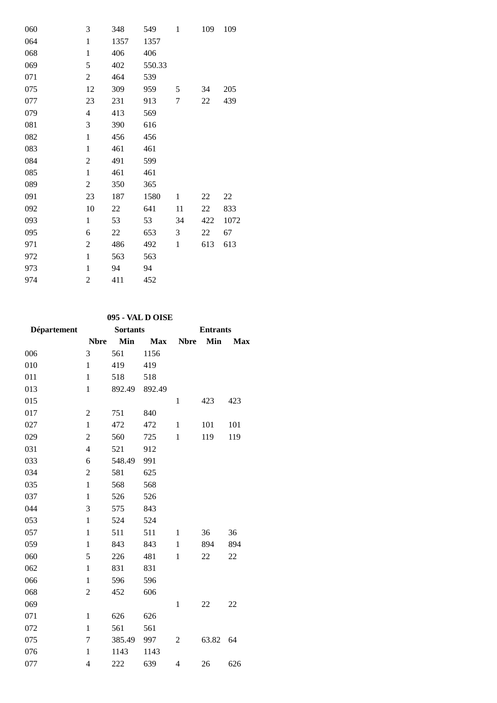| 060 | 3              | 348  | 549    | $\mathbf{1}$ | 109 | 109  |
|-----|----------------|------|--------|--------------|-----|------|
| 064 | $\mathbf{1}$   | 1357 | 1357   |              |     |      |
| 068 | $\mathbf{1}$   | 406  | 406    |              |     |      |
| 069 | 5              | 402  | 550.33 |              |     |      |
| 071 | $\overline{c}$ | 464  | 539    |              |     |      |
| 075 | 12             | 309  | 959    | 5            | 34  | 205  |
| 077 | 23             | 231  | 913    | 7            | 22  | 439  |
| 079 | 4              | 413  | 569    |              |     |      |
| 081 | 3              | 390  | 616    |              |     |      |
| 082 | $\mathbf 1$    | 456  | 456    |              |     |      |
| 083 | $\mathbf{1}$   | 461  | 461    |              |     |      |
| 084 | $\mathfrak{2}$ | 491  | 599    |              |     |      |
| 085 | $\mathbf{1}$   | 461  | 461    |              |     |      |
| 089 | $\overline{2}$ | 350  | 365    |              |     |      |
| 091 | 23             | 187  | 1580   | 1            | 22  | 22   |
| 092 | 10             | 22   | 641    | 11           | 22  | 833  |
| 093 | $\mathbf{1}$   | 53   | 53     | 34           | 422 | 1072 |
| 095 | 6              | 22   | 653    | 3            | 22  | 67   |
| 971 | $\overline{c}$ | 486  | 492    | $\mathbf{1}$ | 613 | 613  |
| 972 | $\mathbf{1}$   | 563  | 563    |              |     |      |
| 973 | $\mathbf{1}$   | 94   | 94     |              |     |      |
| 974 | $\overline{c}$ | 411  | 452    |              |     |      |

# **095 - VAL D OISE**

| Département |                  | <b>Sortants</b> |            |              | <b>Entrants</b> |            |  |
|-------------|------------------|-----------------|------------|--------------|-----------------|------------|--|
|             | <b>Nbre</b>      | Min             | <b>Max</b> | <b>Nbre</b>  | Min             | <b>Max</b> |  |
| 006         | 3                | 561             | 1156       |              |                 |            |  |
| 010         | $\mathbf{1}$     | 419             | 419        |              |                 |            |  |
| 011         | $\mathbf{1}$     | 518             | 518        |              |                 |            |  |
| 013         | $\mathbf{1}$     | 892.49          | 892.49     |              |                 |            |  |
| 015         |                  |                 |            | $\mathbf{1}$ | 423             | 423        |  |
| 017         | $\overline{2}$   | 751             | 840        |              |                 |            |  |
| 027         | $\mathbf{1}$     | 472             | 472        | $\mathbf{1}$ | 101             | 101        |  |
| 029         | $\boldsymbol{2}$ | 560             | 725        | $\mathbf{1}$ | 119             | 119        |  |
| 031         | $\overline{4}$   | 521             | 912        |              |                 |            |  |
| 033         | 6                | 548.49          | 991        |              |                 |            |  |
| 034         | $\overline{2}$   | 581             | 625        |              |                 |            |  |
| 035         | $\mathbf{1}$     | 568             | 568        |              |                 |            |  |
| 037         | $\mathbf{1}$     | 526             | 526        |              |                 |            |  |
| 044         | 3                | 575             | 843        |              |                 |            |  |
| 053         | $\mathbf{1}$     | 524             | 524        |              |                 |            |  |
| 057         | $\mathbf{1}$     | 511             | 511        | $\mathbf{1}$ | 36              | 36         |  |
| 059         | $\mathbf{1}$     | 843             | 843        | $\mathbf{1}$ | 894             | 894        |  |
| 060         | 5                | 226             | 481        | 1            | 22              | 22         |  |
| 062         | $\mathbf{1}$     | 831             | 831        |              |                 |            |  |
| 066         | 1                | 596             | 596        |              |                 |            |  |
| 068         | $\overline{2}$   | 452             | 606        |              |                 |            |  |
| 069         |                  |                 |            | $\mathbf{1}$ | 22              | 22         |  |
| 071         | $\mathbf{1}$     | 626             | 626        |              |                 |            |  |
| 072         | $\mathbf{1}$     | 561             | 561        |              |                 |            |  |
| 075         | 7                | 385.49          | 997        | 2            | 63.82           | 64         |  |
| 076         | $\mathbf{1}$     | 1143            | 1143       |              |                 |            |  |
| 077         | $\overline{4}$   | 222             | 639        | 4            | 26              | 626        |  |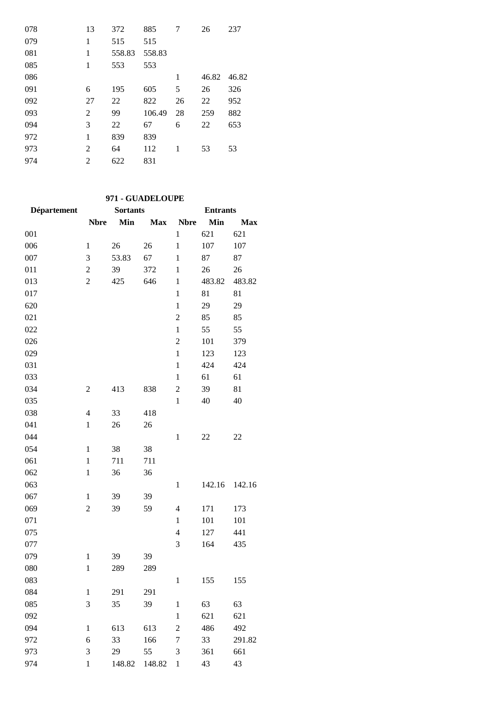| 078 | 13 | 372    | 885    | 7  | 26    | 237   |
|-----|----|--------|--------|----|-------|-------|
| 079 | 1  | 515    | 515    |    |       |       |
| 081 | 1  | 558.83 | 558.83 |    |       |       |
| 085 | 1  | 553    | 553    |    |       |       |
| 086 |    |        |        | 1  | 46.82 | 46.82 |
| 091 | 6  | 195    | 605    | 5  | 26    | 326   |
| 092 | 27 | 22     | 822    | 26 | 22    | 952   |
| 093 | 2  | 99     | 106.49 | 28 | 259   | 882   |
| 094 | 3  | 22     | 67     | 6  | 22    | 653   |
| 972 | 1  | 839    | 839    |    |       |       |
| 973 | 2  | 64     | 112    | 1  | 53    | 53    |
| 974 | 2  | 622    | 831    |    |       |       |

# **971 - GUADELOUPE**

| <b>Département</b> |                | <b>Sortants</b> |            |                | <b>Entrants</b> |            |
|--------------------|----------------|-----------------|------------|----------------|-----------------|------------|
|                    | <b>Nbre</b>    | Min             | <b>Max</b> | <b>Nbre</b>    | Min             | <b>Max</b> |
| 001                |                |                 |            | $\mathbf{1}$   | 621             | 621        |
| 006                | $\mathbf{1}$   | 26              | 26         | $\mathbf{1}$   | 107             | 107        |
| 007                | 3              | 53.83           | 67         | $\mathbf{1}$   | 87              | 87         |
| 011                | $\overline{2}$ | 39              | 372        | $\mathbf{1}$   | 26              | 26         |
| 013                | $\mathfrak{2}$ | 425             | 646        | $\mathbf{1}$   | 483.82          | 483.82     |
| 017                |                |                 |            | $\mathbf{1}$   | 81              | 81         |
| 620                |                |                 |            | $\mathbf{1}$   | 29              | 29         |
| 021                |                |                 |            | $\overline{c}$ | 85              | 85         |
| 022                |                |                 |            | $\mathbf{1}$   | 55              | 55         |
| 026                |                |                 |            | $\overline{c}$ | 101             | 379        |
| 029                |                |                 |            | $\mathbf{1}$   | 123             | 123        |
| 031                |                |                 |            | $\mathbf{1}$   | 424             | 424        |
| 033                |                |                 |            | $\mathbf{1}$   | 61              | 61         |
| 034                | $\overline{2}$ | 413             | 838        | $\overline{c}$ | 39              | 81         |
| 035                |                |                 |            | $\mathbf{1}$   | 40              | 40         |
| 038                | $\overline{4}$ | 33              | 418        |                |                 |            |
| 041                | $\mathbf{1}$   | 26              | 26         |                |                 |            |
| 044                |                |                 |            | $\mathbf{1}$   | 22              | 22         |
| 054                | $\mathbf{1}$   | 38              | 38         |                |                 |            |
| 061                | $\mathbf{1}$   | 711             | 711        |                |                 |            |
| 062                | $\mathbf{1}$   | 36              | 36         |                |                 |            |
| 063                |                |                 |            | $\,1$          | 142.16          | 142.16     |
| 067                | $\mathbf{1}$   | 39              | 39         |                |                 |            |
| 069                | $\mathfrak{2}$ | 39              | 59         | $\overline{4}$ | 171             | 173        |
| 071                |                |                 |            | $\mathbf{1}$   | 101             | 101        |
| 075                |                |                 |            | $\overline{4}$ | 127             | 441        |
| 077                |                |                 |            | 3              | 164             | 435        |
| 079                | $\mathbf{1}$   | 39              | 39         |                |                 |            |
| 080                | $\mathbf{1}$   | 289             | 289        |                |                 |            |
| 083                |                |                 |            | $\mathbf{1}$   | 155             | 155        |
| 084                | $\mathbf{1}$   | 291             | 291        |                |                 |            |
| 085                | 3              | 35              | 39         | $\,1$          | 63              | 63         |
| 092                |                |                 |            | $\mathbf 1$    | 621             | 621        |
| 094                | $\mathbf{1}$   | 613             | 613        | $\overline{c}$ | 486             | 492        |
| 972                | 6              | 33              | 166        | $\overline{7}$ | 33              | 291.82     |
| 973                | 3              | 29              | 55         | 3              | 361             | 661        |
| 974                | $\mathbf{1}$   | 148.82          | 148.82     | $\mathbf{1}$   | 43              | 43         |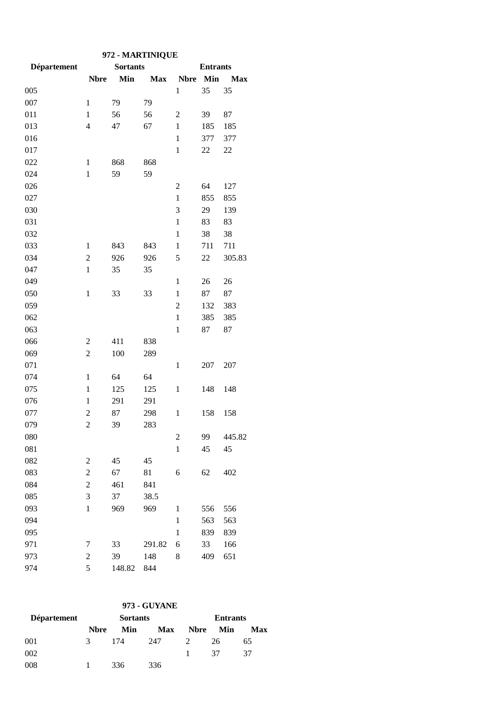| 972 - MARTINIQUE |                |                 |            |                |                 |            |  |  |
|------------------|----------------|-----------------|------------|----------------|-----------------|------------|--|--|
| Département      |                | <b>Sortants</b> |            |                | <b>Entrants</b> |            |  |  |
|                  | <b>Nbre</b>    | Min             | <b>Max</b> | <b>Nbre</b>    | Min             | <b>Max</b> |  |  |
| 005              |                |                 |            | $\mathbf{1}$   | 35              | 35         |  |  |
| 007              | $\mathbf{1}$   | 79              | 79         |                |                 |            |  |  |
| 011              | $\mathbf{1}$   | 56              | 56         | $\overline{2}$ | 39              | 87         |  |  |
| 013              | $\overline{4}$ | 47              | 67         | $\mathbf{1}$   | 185             | 185        |  |  |
| 016              |                |                 |            | $\mathbf{1}$   | 377             | 377        |  |  |
| 017              |                |                 |            | $\mathbf{1}$   | 22              | 22         |  |  |
| 022              | $\mathbf{1}$   | 868             | 868        |                |                 |            |  |  |
| 024              | $\mathbf{1}$   | 59              | 59         |                |                 |            |  |  |
| 026              |                |                 |            | $\overline{c}$ | 64              | 127        |  |  |
| 027              |                |                 |            | $\mathbf{1}$   | 855             | 855        |  |  |
| 030              |                |                 |            | 3              | 29              | 139        |  |  |
| 031              |                |                 |            | $\mathbf{1}$   | 83              | 83         |  |  |
| 032              |                |                 |            | $\mathbf{1}$   | 38              | 38         |  |  |
| 033              | 1              | 843             | 843        | $\mathbf{1}$   | 711             | 711        |  |  |
| 034              | $\overline{2}$ | 926             | 926        | 5              | 22              | 305.83     |  |  |
| 047              | $\mathbf{1}$   | 35              | 35         |                |                 |            |  |  |
| 049              |                |                 |            | $\mathbf{1}$   | 26              | 26         |  |  |
| 050              | $\mathbf{1}$   | 33              | 33         | $\mathbf{1}$   | 87              | 87         |  |  |
| 059              |                |                 |            | $\overline{2}$ | 132             | 383        |  |  |
| 062              |                |                 |            | $\mathbf{1}$   | 385             | 385        |  |  |
| 063              |                |                 |            | $\mathbf{1}$   | 87              | 87         |  |  |
| 066              | $\overline{c}$ | 411             | 838        |                |                 |            |  |  |
| 069              | $\overline{2}$ | 100             | 289        |                |                 |            |  |  |
| 071              |                |                 |            | $\mathbf{1}$   | 207             | 207        |  |  |
| 074              | $\mathbf{1}$   | 64              | 64         |                |                 |            |  |  |
| 075              | $\mathbf{1}$   | 125             | 125        | $\mathbf{1}$   | 148             | 148        |  |  |
| 076              | $\mathbf{1}$   | 291             | 291        |                |                 |            |  |  |
| 077              | $\overline{c}$ | 87              | 298        | $\mathbf{1}$   | 158             | 158        |  |  |
| 079              | $\overline{c}$ | 39              | 283        |                |                 |            |  |  |
| 080              |                |                 |            | $\overline{2}$ | 99              | 445.82     |  |  |
| 081              |                |                 |            | $\mathbf{1}$   | 45              | 45         |  |  |
| 082              | $\overline{2}$ | 45              | 45         |                |                 |            |  |  |
| 083              | $\overline{c}$ | 67              | 81         | 6              | 62              | 402        |  |  |
| 084              | $\overline{c}$ | 461             | 841        |                |                 |            |  |  |
| 085              | 3              | 37              | 38.5       |                |                 |            |  |  |
| 093              | $\mathbf{1}$   | 969             | 969        | $\mathbf{1}$   | 556             | 556        |  |  |
| 094              |                |                 |            | $\mathbf{1}$   | 563             | 563        |  |  |
| 095              |                |                 |            | $\mathbf{1}$   | 839             | 839        |  |  |
| 971              | 7              | 33              | 291.82     | 6              | 33              | 166        |  |  |
| 973              | $\overline{c}$ | 39              | 148        | 8              | 409             | 651        |  |  |
| 974              | 5              | 148.82          | 844        |                |                 |            |  |  |

|  | 973 - GUYANE |
|--|--------------|
|--|--------------|

| <b>Département</b> |              | <b>Sortants</b> |            |               | <b>Entrants</b> |     |
|--------------------|--------------|-----------------|------------|---------------|-----------------|-----|
|                    | <b>N</b> bre | Min             | <b>Max</b> | <b>Nbre</b>   | Min             | Max |
| 001                | 3            | -174            | 247        | $\mathcal{L}$ | 26              | 65  |
| 002                |              |                 |            | 1.            | -37             | 37  |
| 008                |              | 336             | 336        |               |                 |     |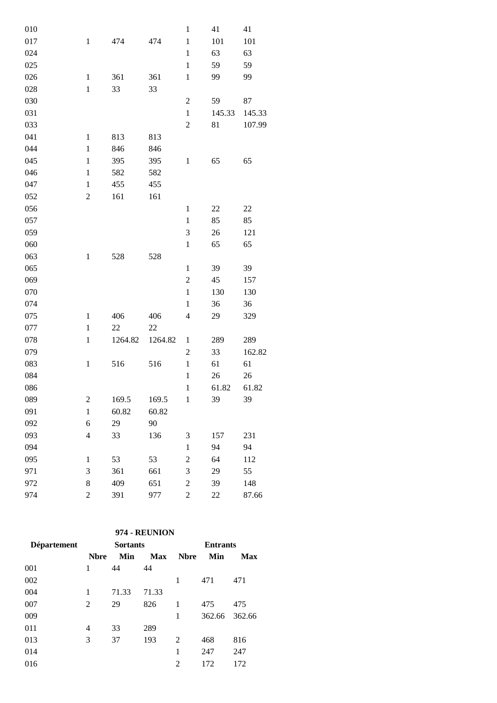| 010 |                  |         |         | $\,1$                    | 41     | 41     |
|-----|------------------|---------|---------|--------------------------|--------|--------|
| 017 | $\,1$            | 474     | 474     | $\,1$                    | 101    | 101    |
| 024 |                  |         |         | $\mathbf{1}$             | 63     | 63     |
| 025 |                  |         |         | $\mathbf{1}$             | 59     | 59     |
| 026 | $\,1$            | 361     | 361     | $\,1$                    | 99     | 99     |
| 028 | $\,1$            | 33      | 33      |                          |        |        |
| 030 |                  |         |         | $\overline{2}$           | 59     | 87     |
| 031 |                  |         |         | $\mathbf{1}$             | 145.33 | 145.33 |
| 033 |                  |         |         | $\boldsymbol{2}$         | 81     | 107.99 |
| 041 | $\mathbf{1}$     | 813     | 813     |                          |        |        |
| 044 | $\mathbf{1}$     | 846     | 846     |                          |        |        |
| 045 | $\mathbf{1}$     | 395     | 395     | $\mathbf{1}$             | 65     | 65     |
| 046 | $\mathbf{1}$     | 582     | 582     |                          |        |        |
| 047 | $\mathbf{1}$     | 455     | 455     |                          |        |        |
| 052 | $\overline{2}$   | 161     | 161     |                          |        |        |
| 056 |                  |         |         | $\mathbf 1$              | 22     | 22     |
| 057 |                  |         |         | $\mathbf 1$              | 85     | 85     |
| 059 |                  |         |         | 3                        | 26     | 121    |
| 060 |                  |         |         | $\,1$                    | 65     | 65     |
| 063 | $\,1$            | 528     | 528     |                          |        |        |
| 065 |                  |         |         | $\mathbf{1}$             | 39     | 39     |
| 069 |                  |         |         | $\boldsymbol{2}$         | 45     | 157    |
| 070 |                  |         |         | $\,1$                    | 130    | 130    |
| 074 |                  |         |         | $\mathbf{1}$             | 36     | 36     |
| 075 | $\mathbf{1}$     | 406     | 406     | $\overline{\mathcal{L}}$ | 29     | 329    |
| 077 | $\,1$            | 22      | 22      |                          |        |        |
| 078 | $\mathbf{1}$     | 1264.82 | 1264.82 | 1                        | 289    | 289    |
| 079 |                  |         |         | $\mathfrak{2}$           | 33     | 162.82 |
| 083 | $\,1$            | 516     | 516     | $\mathbf{1}$             | 61     | 61     |
| 084 |                  |         |         | $\mathbf 1$              | 26     | 26     |
| 086 |                  |         |         | $\,1$                    | 61.82  | 61.82  |
| 089 | $\overline{c}$   | 169.5   | 169.5   | $\mathbf{1}$             | 39     | 39     |
| 091 | $\mathbf{1}$     | 60.82   | 60.82   |                          |        |        |
| 092 | 6                | 29      | 90      |                          |        |        |
| 093 | $\overline{4}$   | 33      | 136     | 3                        | 157    | 231    |
| 094 |                  |         |         | $\mathbf{1}$             | 94     | 94     |
| 095 | $\mathbf{1}$     | 53      | 53      | $\overline{c}$           | 64     | 112    |
| 971 | 3                | 361     | 661     | 3                        | 29     | 55     |
| 972 | 8                | 409     | 651     | $\overline{c}$           | 39     | 148    |
| 974 | $\boldsymbol{2}$ | 391     | 977     | $\sqrt{2}$               | 22     | 87.66  |
|     |                  |         |         |                          |        |        |

## **974 - REUNION**

| Département |              | <b>Sortants</b> |       |             | <b>Entrants</b> |        |
|-------------|--------------|-----------------|-------|-------------|-----------------|--------|
|             | <b>N</b> bre | Min             | Max   | <b>Nbre</b> | Min             | Max    |
| 001         | 1            | 44              | 44    |             |                 |        |
| 002         |              |                 |       | 1           | 471             | 471    |
| 004         | 1            | 71.33           | 71.33 |             |                 |        |
| 007         | 2            | 29              | 826   | 1           | 475             | 475    |
| 009         |              |                 |       | 1           | 362.66          | 362.66 |
| 011         | 4            | 33              | 289   |             |                 |        |
| 013         | 3            | 37              | 193   | 2           | 468             | 816    |
| 014         |              |                 |       | 1           | 247             | 247    |
| 016         |              |                 |       | 2           | 172             | 172    |